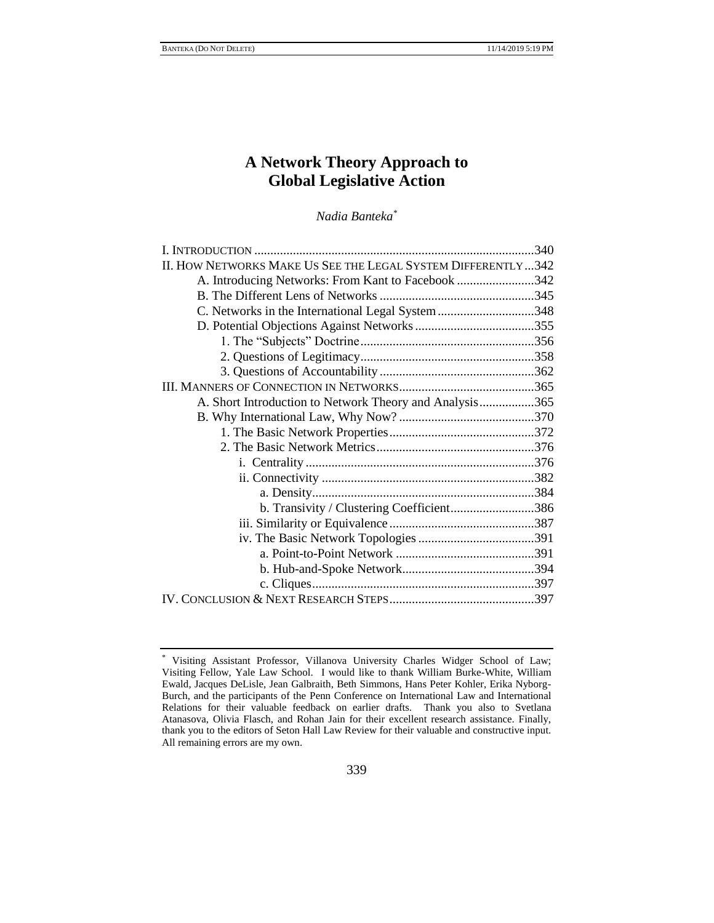# **A Network Theory Approach to Global Legislative Action**

*Nadia Banteka\**

| II. HOW NETWORKS MAKE US SEE THE LEGAL SYSTEM DIFFERENTLY342 |  |
|--------------------------------------------------------------|--|
| A. Introducing Networks: From Kant to Facebook 342           |  |
|                                                              |  |
| C. Networks in the International Legal System 348            |  |
|                                                              |  |
|                                                              |  |
|                                                              |  |
|                                                              |  |
|                                                              |  |
| A. Short Introduction to Network Theory and Analysis365      |  |
|                                                              |  |
|                                                              |  |
|                                                              |  |
|                                                              |  |
|                                                              |  |
|                                                              |  |
| b. Transivity / Clustering Coefficient386                    |  |
|                                                              |  |
|                                                              |  |
|                                                              |  |
|                                                              |  |
|                                                              |  |
|                                                              |  |
|                                                              |  |

Visiting Assistant Professor, Villanova University Charles Widger School of Law; Visiting Fellow, Yale Law School. I would like to thank William Burke-White, William Ewald, Jacques DeLisle, Jean Galbraith, Beth Simmons, Hans Peter Kohler, Erika Nyborg-Burch, and the participants of the Penn Conference on International Law and International Relations for their valuable feedback on earlier drafts. Thank you also to Svetlana Atanasova, Olivia Flasch, and Rohan Jain for their excellent research assistance. Finally, thank you to the editors of Seton Hall Law Review for their valuable and constructive input. All remaining errors are my own.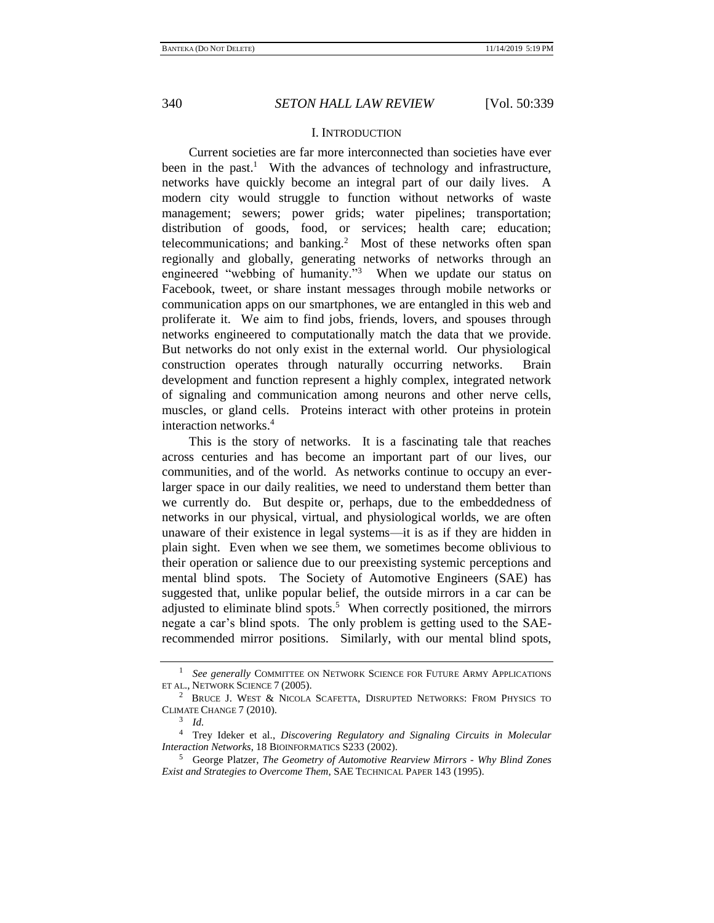## I. INTRODUCTION

Current societies are far more interconnected than societies have ever been in the past.<sup>1</sup> With the advances of technology and infrastructure, networks have quickly become an integral part of our daily lives. A modern city would struggle to function without networks of waste management; sewers; power grids; water pipelines; transportation; distribution of goods, food, or services; health care; education; telecommunications; and banking.<sup>2</sup> Most of these networks often span regionally and globally, generating networks of networks through an engineered "webbing of humanity."<sup>3</sup> When we update our status on Facebook, tweet, or share instant messages through mobile networks or communication apps on our smartphones, we are entangled in this web and proliferate it. We aim to find jobs, friends, lovers, and spouses through networks engineered to computationally match the data that we provide. But networks do not only exist in the external world. Our physiological construction operates through naturally occurring networks. Brain development and function represent a highly complex, integrated network of signaling and communication among neurons and other nerve cells, muscles, or gland cells. Proteins interact with other proteins in protein interaction networks.<sup>4</sup>

This is the story of networks. It is a fascinating tale that reaches across centuries and has become an important part of our lives, our communities, and of the world. As networks continue to occupy an everlarger space in our daily realities, we need to understand them better than we currently do. But despite or, perhaps, due to the embeddedness of networks in our physical, virtual, and physiological worlds, we are often unaware of their existence in legal systems—it is as if they are hidden in plain sight. Even when we see them, we sometimes become oblivious to their operation or salience due to our preexisting systemic perceptions and mental blind spots. The Society of Automotive Engineers (SAE) has suggested that, unlike popular belief, the outside mirrors in a car can be adjusted to eliminate blind spots.<sup>5</sup> When correctly positioned, the mirrors negate a car's blind spots. The only problem is getting used to the SAErecommended mirror positions. Similarly, with our mental blind spots,

<sup>1</sup> *See generally* COMMITTEE ON NETWORK SCIENCE FOR FUTURE ARMY APPLICATIONS ET AL., NETWORK SCIENCE 7 (2005).

<sup>2</sup> BRUCE J. WEST & NICOLA SCAFETTA, DISRUPTED NETWORKS: FROM PHYSICS TO CLIMATE CHANGE 7 (2010).

<sup>3</sup> *Id.* 

<sup>4</sup> Trey Ideker et al., *Discovering Regulatory and Signaling Circuits in Molecular Interaction Networks*, 18 BIOINFORMATICS S233 (2002).

<sup>5</sup> George Platzer, *The Geometry of Automotive Rearview Mirrors - Why Blind Zones Exist and Strategies to Overcome Them*, SAE TECHNICAL PAPER 143 (1995).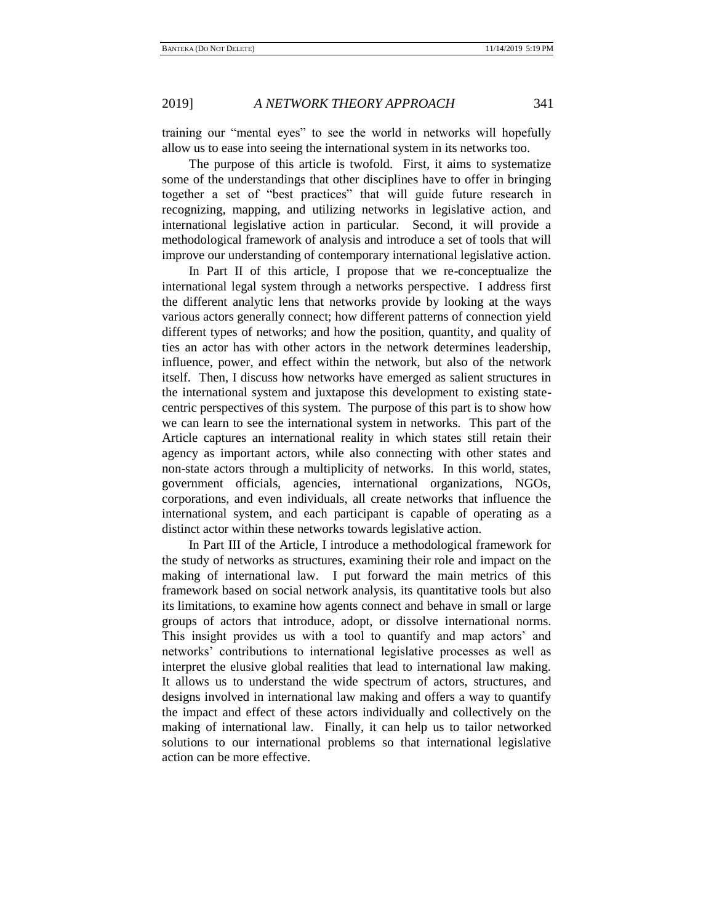training our "mental eyes" to see the world in networks will hopefully allow us to ease into seeing the international system in its networks too.

The purpose of this article is twofold. First, it aims to systematize some of the understandings that other disciplines have to offer in bringing together a set of "best practices" that will guide future research in recognizing, mapping, and utilizing networks in legislative action, and international legislative action in particular. Second, it will provide a methodological framework of analysis and introduce a set of tools that will improve our understanding of contemporary international legislative action.

In Part II of this article, I propose that we re-conceptualize the international legal system through a networks perspective. I address first the different analytic lens that networks provide by looking at the ways various actors generally connect; how different patterns of connection yield different types of networks; and how the position, quantity, and quality of ties an actor has with other actors in the network determines leadership, influence, power, and effect within the network, but also of the network itself. Then, I discuss how networks have emerged as salient structures in the international system and juxtapose this development to existing statecentric perspectives of this system. The purpose of this part is to show how we can learn to see the international system in networks. This part of the Article captures an international reality in which states still retain their agency as important actors, while also connecting with other states and non-state actors through a multiplicity of networks. In this world, states, government officials, agencies, international organizations, NGOs, corporations, and even individuals, all create networks that influence the international system, and each participant is capable of operating as a distinct actor within these networks towards legislative action.

In Part III of the Article, I introduce a methodological framework for the study of networks as structures, examining their role and impact on the making of international law. I put forward the main metrics of this framework based on social network analysis, its quantitative tools but also its limitations, to examine how agents connect and behave in small or large groups of actors that introduce, adopt, or dissolve international norms. This insight provides us with a tool to quantify and map actors' and networks' contributions to international legislative processes as well as interpret the elusive global realities that lead to international law making. It allows us to understand the wide spectrum of actors, structures, and designs involved in international law making and offers a way to quantify the impact and effect of these actors individually and collectively on the making of international law. Finally, it can help us to tailor networked solutions to our international problems so that international legislative action can be more effective.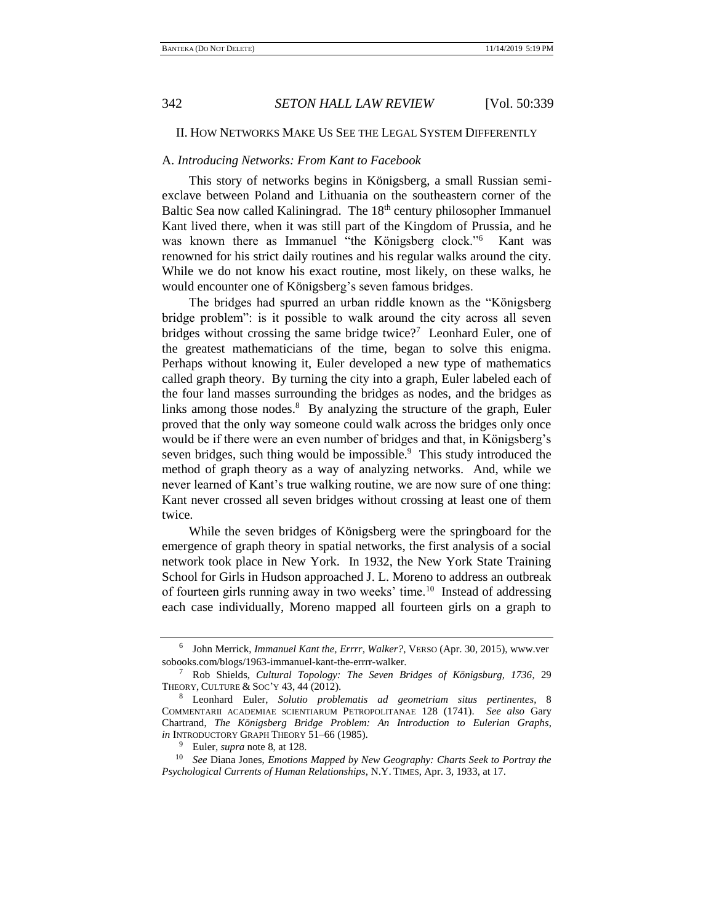## II. HOW NETWORKS MAKE US SEE THE LEGAL SYSTEM DIFFERENTLY

## A. *Introducing Networks: From Kant to Facebook*

This story of networks begins in Königsberg, a small Russian semiexclave between Poland and Lithuania on the southeastern corner of the Baltic Sea now called Kaliningrad. The 18<sup>th</sup> century philosopher Immanuel Kant lived there, when it was still part of the Kingdom of Prussia, and he was known there as Immanuel "the Königsberg clock."<sup>6</sup> Kant was renowned for his strict daily routines and his regular walks around the city. While we do not know his exact routine, most likely, on these walks, he would encounter one of Königsberg's seven famous bridges.

<span id="page-3-0"></span>The bridges had spurred an urban riddle known as the "Königsberg bridge problem": is it possible to walk around the city across all seven bridges without crossing the same bridge twice?<sup>7</sup> Leonhard Euler, one of the greatest mathematicians of the time, began to solve this enigma. Perhaps without knowing it, Euler developed a new type of mathematics called graph theory. By turning the city into a graph, Euler labeled each of the four land masses surrounding the bridges as nodes, and the bridges as links among those nodes.<sup>8</sup> By analyzing the structure of the graph, Euler proved that the only way someone could walk across the bridges only once would be if there were an even number of bridges and that, in Königsberg's seven bridges, such thing would be impossible.<sup>9</sup> This study introduced the method of graph theory as a way of analyzing networks. And, while we never learned of Kant's true walking routine, we are now sure of one thing: Kant never crossed all seven bridges without crossing at least one of them twice.

While the seven bridges of Königsberg were the springboard for the emergence of graph theory in spatial networks, the first analysis of a social network took place in New York. In 1932, the New York State Training School for Girls in Hudson approached J. L. Moreno to address an outbreak of fourteen girls running away in two weeks' time.<sup>10</sup> Instead of addressing each case individually, Moreno mapped all fourteen girls on a graph to

<sup>6</sup> John Merrick, *Immanuel Kant the, Errrr, Walker?*, VERSO (Apr. 30, 2015), www.ver sobooks.com/blogs/1963-immanuel-kant-the-errrr-walker.

<sup>7</sup> Rob Shields, *Cultural Topology: The Seven Bridges of Königsburg, 1736*, 29 THEORY, CULTURE & SOC'Y 43, 44 (2012).

<sup>8</sup> Leonhard Euler, *Solutio problematis ad geometriam situs pertinentes*, 8 COMMENTARII ACADEMIAE SCIENTIARUM PETROPOLITANAE 128 (1741). *See also* Gary Chartrand, *The Königsberg Bridge Problem: An Introduction to Eulerian Graphs*, *in* INTRODUCTORY GRAPH THEORY 51–66 (1985).

<sup>9</sup> Euler, *supra* not[e 8,](#page-3-0) at 128.

<sup>10</sup> *See* Diana Jones, *Emotions Mapped by New Geography: Charts Seek to Portray the Psychological Currents of Human Relationships*, N.Y. TIMES, Apr. 3, 1933, at 17.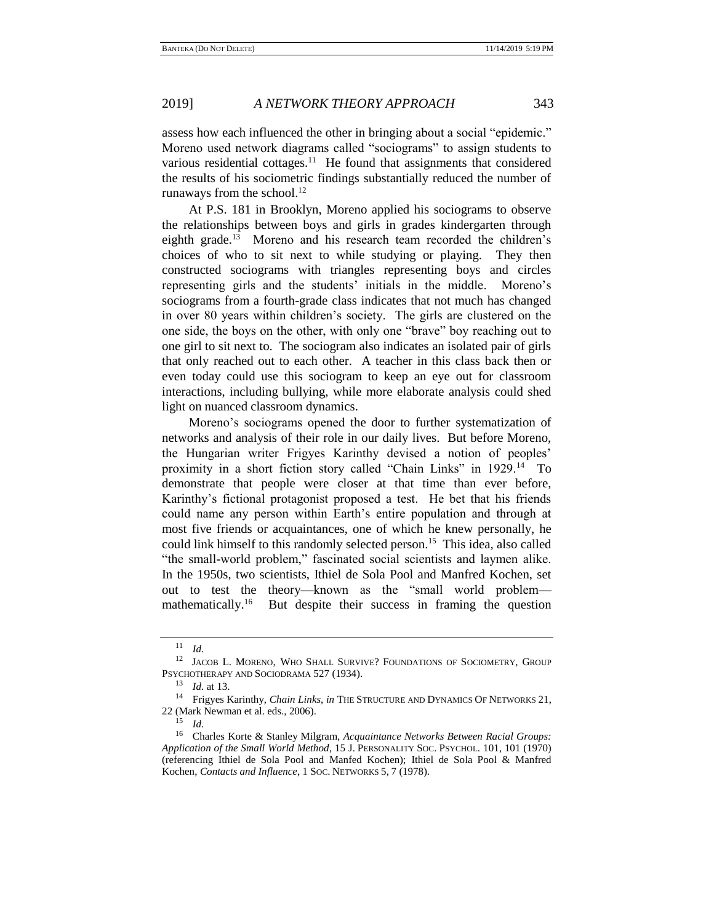assess how each influenced the other in bringing about a social "epidemic." Moreno used network diagrams called "sociograms" to assign students to various residential cottages.<sup>11</sup> He found that assignments that considered the results of his sociometric findings substantially reduced the number of runaways from the school.<sup>12</sup>

At P.S. 181 in Brooklyn, Moreno applied his sociograms to observe the relationships between boys and girls in grades kindergarten through eighth grade.<sup>13</sup> Moreno and his research team recorded the children's choices of who to sit next to while studying or playing. They then constructed sociograms with triangles representing boys and circles representing girls and the students' initials in the middle. Moreno's sociograms from a fourth-grade class indicates that not much has changed in over 80 years within children's society. The girls are clustered on the one side, the boys on the other, with only one "brave" boy reaching out to one girl to sit next to. The sociogram also indicates an isolated pair of girls that only reached out to each other. A teacher in this class back then or even today could use this sociogram to keep an eye out for classroom interactions, including bullying, while more elaborate analysis could shed light on nuanced classroom dynamics.

Moreno's sociograms opened the door to further systematization of networks and analysis of their role in our daily lives. But before Moreno, the Hungarian writer Frigyes Karinthy devised a notion of peoples' proximity in a short fiction story called "Chain Links" in 1929.<sup>14</sup> To demonstrate that people were closer at that time than ever before, Karinthy's fictional protagonist proposed a test. He bet that his friends could name any person within Earth's entire population and through at most five friends or acquaintances, one of which he knew personally, he could link himself to this randomly selected person.<sup>15</sup> This idea, also called "the small-world problem," fascinated social scientists and laymen alike. In the 1950s, two scientists, Ithiel de Sola Pool and Manfred Kochen, set out to test the theory—known as the "small world problem mathematically.<sup>16</sup> But despite their success in framing the question

<span id="page-4-0"></span><sup>11</sup> *Id.*

<sup>&</sup>lt;sup>12</sup> JACOB L. MORENO, WHO SHALL SURVIVE? FOUNDATIONS OF SOCIOMETRY, GROUP PSYCHOTHERAPY AND SOCIODRAMA 527 (1934).

<sup>13</sup> *Id.* at 13.

<sup>14</sup> Frigyes Karinthy, *Chain Links*, *in* THE STRUCTURE AND DYNAMICS OF NETWORKS 21, 22 (Mark Newman et al. eds., 2006).

<sup>15</sup> *Id.*

<sup>16</sup> Charles Korte & Stanley Milgram, *Acquaintance Networks Between Racial Groups: Application of the Small World Method*, 15 J. PERSONALITY SOC. PSYCHOL. 101, 101 (1970) (referencing Ithiel de Sola Pool and Manfed Kochen); Ithiel de Sola Pool & Manfred Kochen, *Contacts and Influence*, 1 SOC. NETWORKS 5, 7 (1978).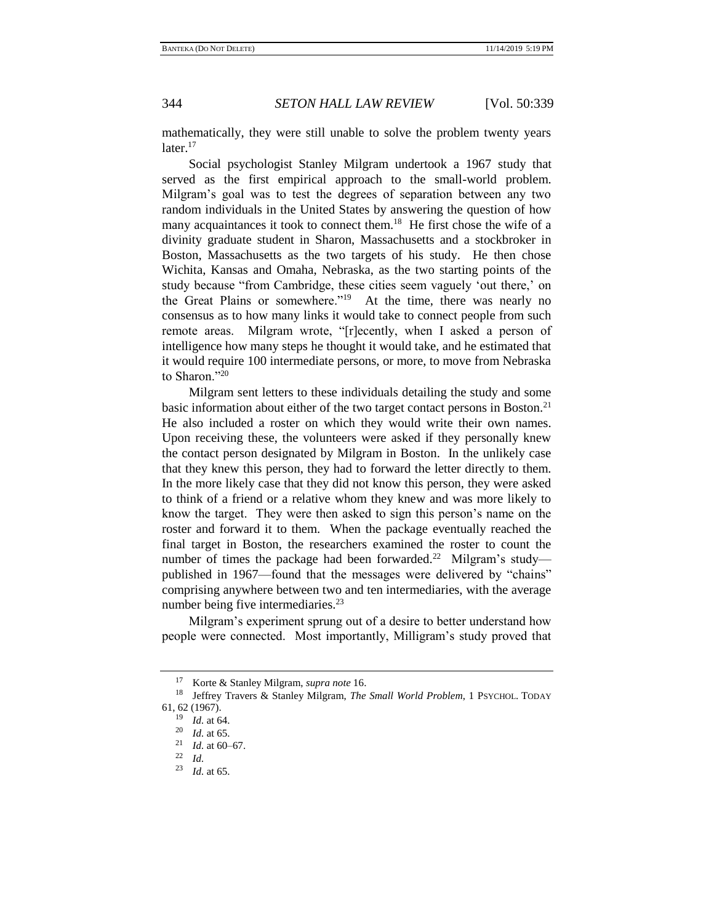mathematically, they were still unable to solve the problem twenty years later. $17$ 

Social psychologist Stanley Milgram undertook a 1967 study that served as the first empirical approach to the small-world problem. Milgram's goal was to test the degrees of separation between any two random individuals in the United States by answering the question of how many acquaintances it took to connect them.<sup>18</sup> He first chose the wife of a divinity graduate student in Sharon, Massachusetts and a stockbroker in Boston, Massachusetts as the two targets of his study. He then chose Wichita, Kansas and Omaha, Nebraska, as the two starting points of the study because "from Cambridge, these cities seem vaguely 'out there,' on the Great Plains or somewhere."<sup>19</sup> At the time, there was nearly no consensus as to how many links it would take to connect people from such remote areas. Milgram wrote, "[r]ecently, when I asked a person of intelligence how many steps he thought it would take, and he estimated that it would require 100 intermediate persons, or more, to move from Nebraska to Sharon."<sup>20</sup>

<span id="page-5-0"></span>Milgram sent letters to these individuals detailing the study and some basic information about either of the two target contact persons in Boston.<sup>21</sup> He also included a roster on which they would write their own names. Upon receiving these, the volunteers were asked if they personally knew the contact person designated by Milgram in Boston. In the unlikely case that they knew this person, they had to forward the letter directly to them. In the more likely case that they did not know this person, they were asked to think of a friend or a relative whom they knew and was more likely to know the target. They were then asked to sign this person's name on the roster and forward it to them. When the package eventually reached the final target in Boston, the researchers examined the roster to count the number of times the package had been forwarded.<sup>22</sup> Milgram's studypublished in 1967—found that the messages were delivered by "chains" comprising anywhere between two and ten intermediaries, with the average number being five intermediaries.<sup>23</sup>

Milgram's experiment sprung out of a desire to better understand how people were connected. Most importantly, Milligram's study proved that

<sup>17</sup> Korte & Stanley Milgram, *supra note* [16.](#page-4-0)

<sup>18</sup> Jeffrey Travers & Stanley Milgram, *The Small World Problem*, 1 PSYCHOL. TODAY 61, 62 (1967).

 $\frac{19}{20}$  *Id.* at 64.

 $\frac{20}{21}$  *Id.* at 65.

 $\frac{21}{22}$  *Id.* at 60–67.

 $\frac{22}{23}$  *Id.* 

*Id.* at 65.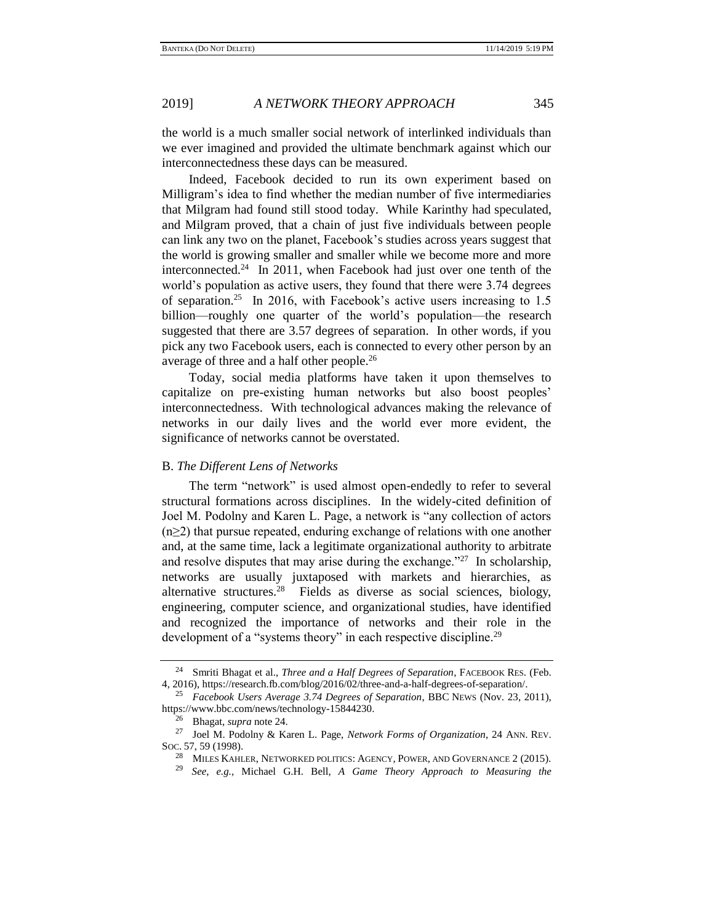the world is a much smaller social network of interlinked individuals than we ever imagined and provided the ultimate benchmark against which our interconnectedness these days can be measured.

<span id="page-6-0"></span>Indeed, Facebook decided to run its own experiment based on Milligram's idea to find whether the median number of five intermediaries that Milgram had found still stood today. While Karinthy had speculated, and Milgram proved, that a chain of just five individuals between people can link any two on the planet, Facebook's studies across years suggest that the world is growing smaller and smaller while we become more and more interconnected.<sup>24</sup> In 2011, when Facebook had just over one tenth of the world's population as active users, they found that there were 3.74 degrees of separation.<sup>25</sup> In 2016, with Facebook's active users increasing to 1.5 billion—roughly one quarter of the world's population—the research suggested that there are 3.57 degrees of separation. In other words, if you pick any two Facebook users, each is connected to every other person by an average of three and a half other people.<sup>26</sup>

Today, social media platforms have taken it upon themselves to capitalize on pre-existing human networks but also boost peoples' interconnectedness. With technological advances making the relevance of networks in our daily lives and the world ever more evident, the significance of networks cannot be overstated.

## B. *The Different Lens of Networks*

<span id="page-6-1"></span>The term "network" is used almost open-endedly to refer to several structural formations across disciplines. In the widely-cited definition of Joel M. Podolny and Karen L. Page, a network is "any collection of actors  $(n \geq 2)$  that pursue repeated, enduring exchange of relations with one another and, at the same time, lack a legitimate organizational authority to arbitrate and resolve disputes that may arise during the exchange." $^{27}$  In scholarship, networks are usually juxtaposed with markets and hierarchies, as alternative structures.<sup>28</sup> Fields as diverse as social sciences, biology, engineering, computer science, and organizational studies, have identified and recognized the importance of networks and their role in the development of a "systems theory" in each respective discipline.<sup>29</sup>

<sup>24</sup> Smriti Bhagat et al., *Three and a Half Degrees of Separation*, FACEBOOK RES. (Feb. 4, 2016), https://research.fb.com/blog/2016/02/three-and-a-half-degrees-of-separation/.

<sup>25</sup> *Facebook Users Average 3.74 Degrees of Separation*, BBC NEWS (Nov. 23, 2011), https://www.bbc.com/news/technology-15844230.

<sup>26</sup> Bhagat, *supra* not[e 24.](#page-6-0)

<sup>27</sup> Joel M. Podolny & Karen L. Page, *Network Forms of Organization*, 24 ANN. REV. SOC. 57, 59 (1998).

MILES KAHLER, NETWORKED POLITICS: AGENCY, POWER, AND GOVERNANCE 2 (2015).

<sup>29</sup> *See*, *e.g.,* Michael G.H. Bell, *A Game Theory Approach to Measuring the*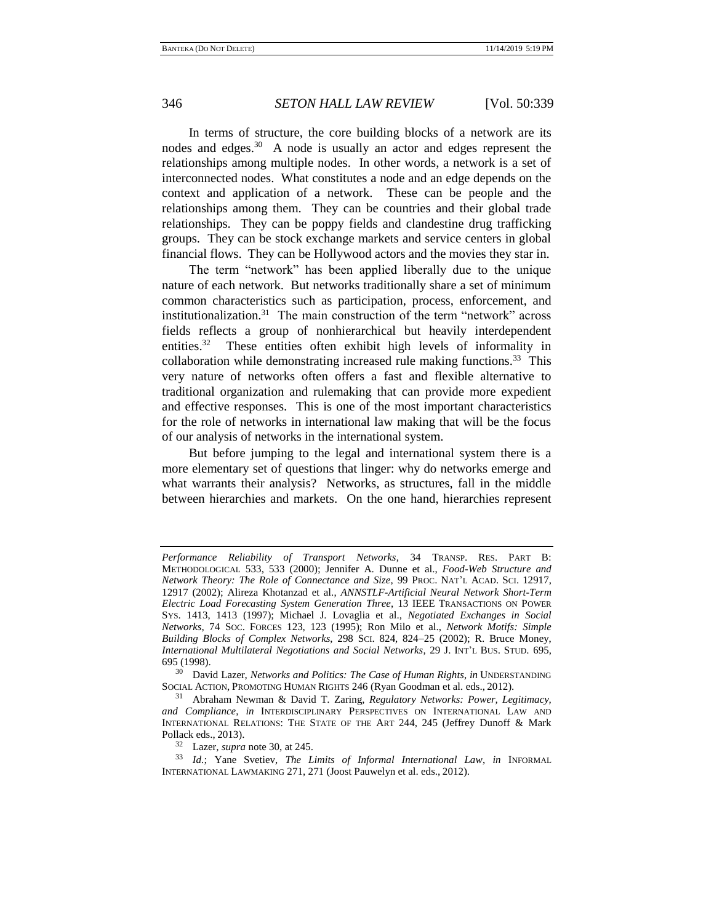<span id="page-7-0"></span>In terms of structure, the core building blocks of a network are its nodes and edges.<sup>30</sup> A node is usually an actor and edges represent the relationships among multiple nodes. In other words, a network is a set of interconnected nodes. What constitutes a node and an edge depends on the context and application of a network. These can be people and the relationships among them. They can be countries and their global trade relationships. They can be poppy fields and clandestine drug trafficking groups. They can be stock exchange markets and service centers in global financial flows. They can be Hollywood actors and the movies they star in.

<span id="page-7-1"></span>The term "network" has been applied liberally due to the unique nature of each network. But networks traditionally share a set of minimum common characteristics such as participation, process, enforcement, and institutionalization.<sup>31</sup> The main construction of the term "network" across fields reflects a group of nonhierarchical but heavily interdependent entities.<sup>32</sup> These entities often exhibit high levels of informality in collaboration while demonstrating increased rule making functions.<sup>33</sup> This very nature of networks often offers a fast and flexible alternative to traditional organization and rulemaking that can provide more expedient and effective responses. This is one of the most important characteristics for the role of networks in international law making that will be the focus of our analysis of networks in the international system.

But before jumping to the legal and international system there is a more elementary set of questions that linger: why do networks emerge and what warrants their analysis? Networks, as structures, fall in the middle between hierarchies and markets. On the one hand, hierarchies represent

*Performance Reliability of Transport Networks*, 34 TRANSP. RES. PART B: METHODOLOGICAL 533, 533 (2000); Jennifer A. Dunne et al., *Food-Web Structure and Network Theory: The Role of Connectance and Size*, 99 PROC. NAT'L ACAD. SCI. 12917, 12917 (2002); Alireza Khotanzad et al., *ANNSTLF-Artificial Neural Network Short-Term Electric Load Forecasting System Generation Three*, 13 IEEE TRANSACTIONS ON POWER SYS. 1413, 1413 (1997); Michael J. Lovaglia et al., *Negotiated Exchanges in Social Networks*, 74 SOC. FORCES 123, 123 (1995); Ron Milo et al., *Network Motifs: Simple Building Blocks of Complex Networks*, 298 SCI. 824, 824−25 (2002); R. Bruce Money, *International Multilateral Negotiations and Social Networks*, 29 J. INT'L BUS. STUD. 695, 695 (1998).

<sup>30</sup> David Lazer, *Networks and Politics: The Case of Human Rights*, *in* UNDERSTANDING SOCIAL ACTION, PROMOTING HUMAN RIGHTS 246 (Ryan Goodman et al. eds., 2012).

<sup>31</sup> Abraham Newman & David T. Zaring, *Regulatory Networks: Power, Legitimacy, and Compliance*, *in* INTERDISCIPLINARY PERSPECTIVES ON INTERNATIONAL LAW AND INTERNATIONAL RELATIONS: THE STATE OF THE ART 244, 245 (Jeffrey Dunoff & Mark Pollack eds., 2013).

<sup>32</sup> Lazer, *supra* not[e 30,](#page-7-0) at 245.

<sup>33</sup> *Id.*; Yane Svetiev, *The Limits of Informal International Law*, *in* INFORMAL INTERNATIONAL LAWMAKING 271, 271 (Joost Pauwelyn et al. eds., 2012).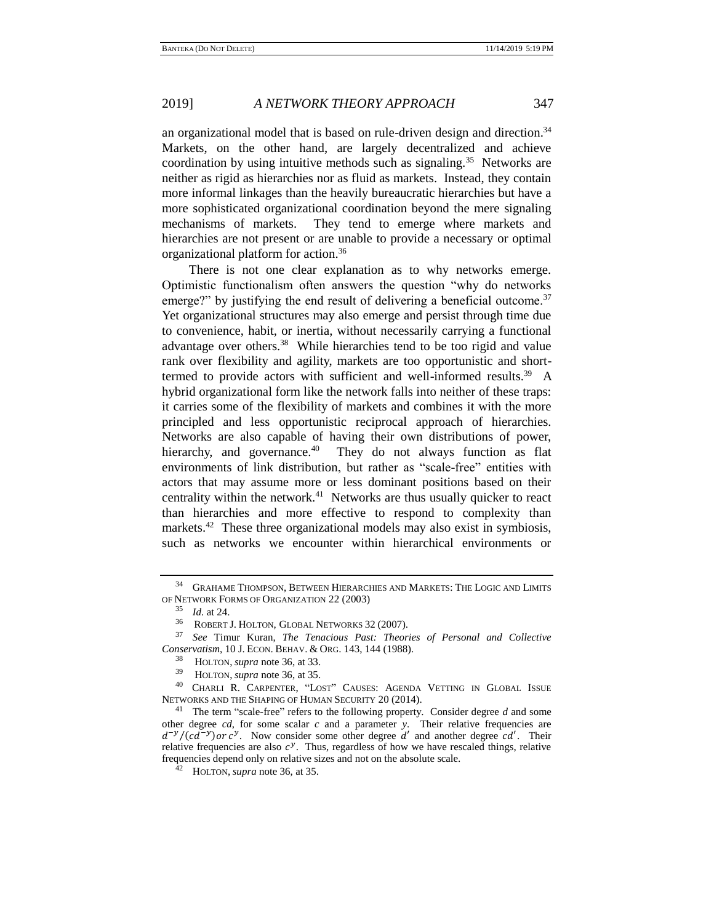an organizational model that is based on rule-driven design and direction.<sup>34</sup> Markets, on the other hand, are largely decentralized and achieve coordination by using intuitive methods such as signaling.<sup>35</sup> Networks are neither as rigid as hierarchies nor as fluid as markets. Instead, they contain more informal linkages than the heavily bureaucratic hierarchies but have a more sophisticated organizational coordination beyond the mere signaling mechanisms of markets. They tend to emerge where markets and hierarchies are not present or are unable to provide a necessary or optimal organizational platform for action.<sup>36</sup>

<span id="page-8-0"></span>There is not one clear explanation as to why networks emerge. Optimistic functionalism often answers the question "why do networks emerge?" by justifying the end result of delivering a beneficial outcome.<sup>37</sup> Yet organizational structures may also emerge and persist through time due to convenience, habit, or inertia, without necessarily carrying a functional advantage over others.<sup>38</sup> While hierarchies tend to be too rigid and value rank over flexibility and agility, markets are too opportunistic and shorttermed to provide actors with sufficient and well-informed results.<sup>39</sup> A hybrid organizational form like the network falls into neither of these traps: it carries some of the flexibility of markets and combines it with the more principled and less opportunistic reciprocal approach of hierarchies. Networks are also capable of having their own distributions of power, hierarchy, and governance.<sup>40</sup> They do not always function as flat environments of link distribution, but rather as "scale-free" entities with actors that may assume more or less dominant positions based on their centrality within the network. $41$  Networks are thus usually quicker to react than hierarchies and more effective to respond to complexity than markets.<sup>42</sup> These three organizational models may also exist in symbiosis, such as networks we encounter within hierarchical environments or

<span id="page-8-1"></span><sup>&</sup>lt;sup>34</sup> GRAHAME THOMPSON, BETWEEN HIERARCHIES AND MARKETS: THE LOGIC AND LIMITS OF NETWORK FORMS OF ORGANIZATION 22 (2003)

<sup>35</sup> *Id.* at 24.

<sup>36</sup> ROBERT J. HOLTON, GLOBAL NETWORKS 32 (2007).

<sup>37</sup> *See* Timur Kuran, *The Tenacious Past: Theories of Personal and Collective Conservatism*, 10 J. ECON. BEHAV. & ORG. 143, 144 (1988).

<sup>38</sup> HOLTON, *supra* not[e 36,](#page-8-0) at 33.

<sup>39</sup> HOLTON, *supra* not[e 36,](#page-8-0) at 35.

<sup>40</sup> CHARLI R. CARPENTER, "LOST" CAUSES: AGENDA VETTING IN GLOBAL ISSUE NETWORKS AND THE SHAPING OF HUMAN SECURITY 20 (2014).

<sup>41</sup> The term "scale-free" refers to the following property. Consider degree *d* and some other degree *cd*, for some scalar *c* and a parameter *y*. Their relative frequencies are  $d^{-y}/(cd^{-y})$  or  $c^y$ . Now consider some other degree d' and another degree cd'. Their relative frequencies are also  $c^y$ . Thus, regardless of how we have rescaled things, relative frequencies depend only on relative sizes and not on the absolute scale.

<sup>42</sup> HOLTON, *supra* note [36,](#page-8-0) at 35.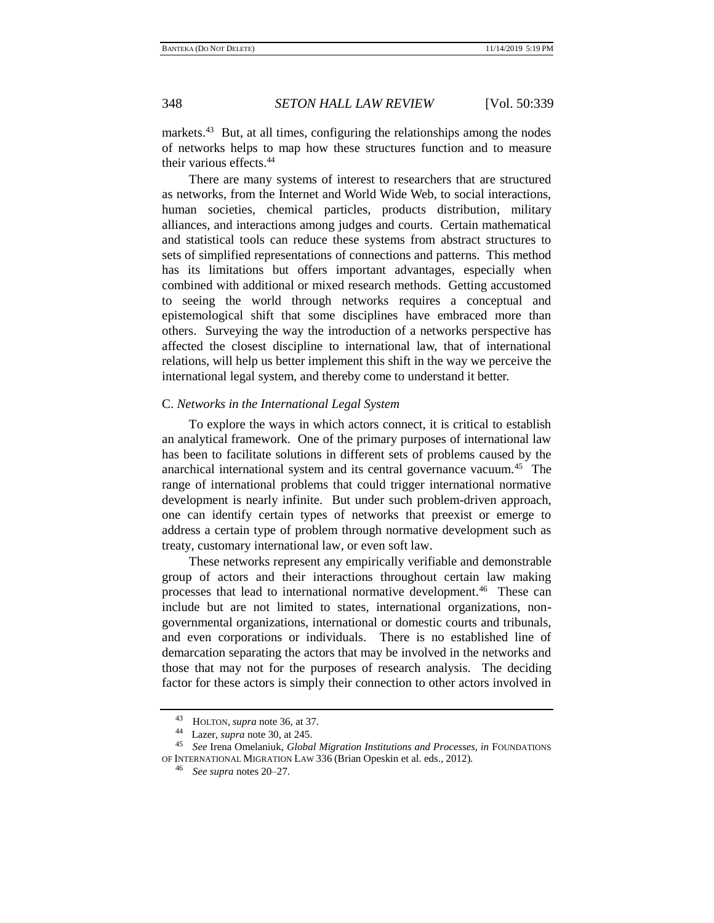markets.<sup>43</sup> But, at all times, configuring the relationships among the nodes of networks helps to map how these structures function and to measure their various effects.<sup>44</sup>

There are many systems of interest to researchers that are structured as networks, from the Internet and World Wide Web, to social interactions, human societies, chemical particles, products distribution, military alliances, and interactions among judges and courts. Certain mathematical and statistical tools can reduce these systems from abstract structures to sets of simplified representations of connections and patterns. This method has its limitations but offers important advantages, especially when combined with additional or mixed research methods. Getting accustomed to seeing the world through networks requires a conceptual and epistemological shift that some disciplines have embraced more than others. Surveying the way the introduction of a networks perspective has affected the closest discipline to international law, that of international relations, will help us better implement this shift in the way we perceive the international legal system, and thereby come to understand it better.

## C. *Networks in the International Legal System*

To explore the ways in which actors connect, it is critical to establish an analytical framework. One of the primary purposes of international law has been to facilitate solutions in different sets of problems caused by the anarchical international system and its central governance vacuum.<sup>45</sup> The range of international problems that could trigger international normative development is nearly infinite. But under such problem-driven approach, one can identify certain types of networks that preexist or emerge to address a certain type of problem through normative development such as treaty, customary international law, or even soft law.

These networks represent any empirically verifiable and demonstrable group of actors and their interactions throughout certain law making processes that lead to international normative development.<sup>46</sup> These can include but are not limited to states, international organizations, nongovernmental organizations, international or domestic courts and tribunals, and even corporations or individuals. There is no established line of demarcation separating the actors that may be involved in the networks and those that may not for the purposes of research analysis. The deciding factor for these actors is simply their connection to other actors involved in

<sup>43</sup> HOLTON, *supra* note [36](#page-8-0)*,* at 37.

<sup>44</sup> Lazer, *supra* note [30,](#page-7-0) at 245.

<sup>45</sup> *See* Irena Omelaniuk, *Global Migration Institutions and Processes, in* FOUNDATIONS OF INTERNATIONAL MIGRATION LAW 336 (Brian Opeskin et al. eds., 2012).

<sup>46</sup> *See supra* notes [20](#page-5-0)[–27.](#page-6-1)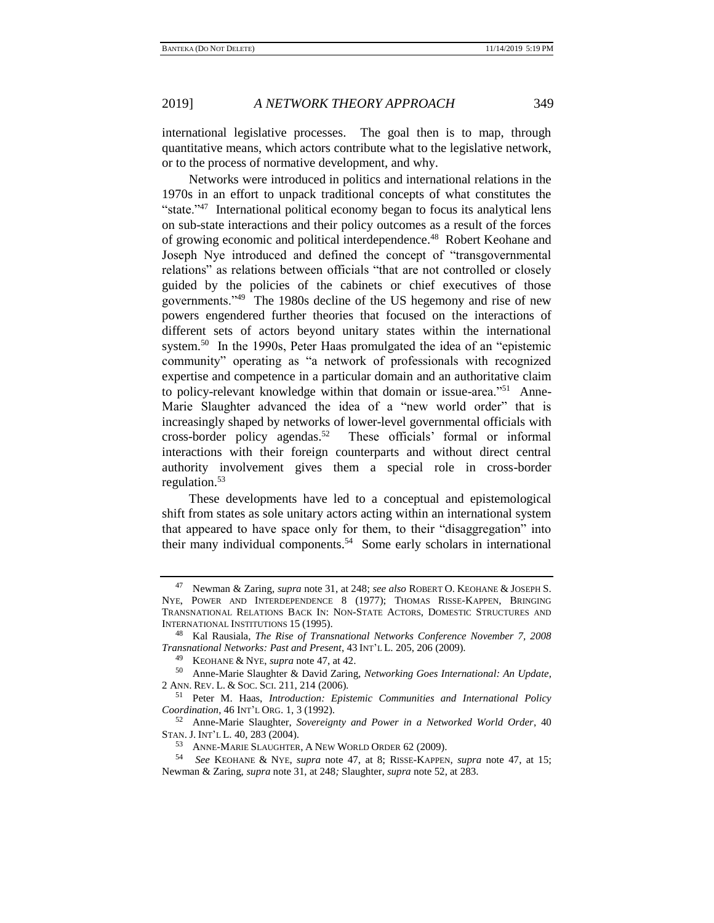international legislative processes. The goal then is to map, through quantitative means, which actors contribute what to the legislative network, or to the process of normative development, and why.

<span id="page-10-0"></span>Networks were introduced in politics and international relations in the 1970s in an effort to unpack traditional concepts of what constitutes the "state."<sup>47</sup> International political economy began to focus its analytical lens on sub-state interactions and their policy outcomes as a result of the forces of growing economic and political interdependence.<sup>48</sup> Robert Keohane and Joseph Nye introduced and defined the concept of "transgovernmental relations" as relations between officials "that are not controlled or closely guided by the policies of the cabinets or chief executives of those governments."<sup>49</sup> The 1980s decline of the US hegemony and rise of new powers engendered further theories that focused on the interactions of different sets of actors beyond unitary states within the international system.<sup>50</sup> In the 1990s, Peter Haas promulgated the idea of an "epistemic community" operating as "a network of professionals with recognized expertise and competence in a particular domain and an authoritative claim to policy-relevant knowledge within that domain or issue-area."<sup>51</sup> Anne-Marie Slaughter advanced the idea of a "new world order" that is increasingly shaped by networks of lower-level governmental officials with cross-border policy agendas.<sup>52</sup> These officials' formal or informal interactions with their foreign counterparts and without direct central authority involvement gives them a special role in cross-border regulation.<sup>53</sup>

<span id="page-10-4"></span><span id="page-10-2"></span><span id="page-10-1"></span>These developments have led to a conceptual and epistemological shift from states as sole unitary actors acting within an international system that appeared to have space only for them, to their "disaggregation" into their many individual components.<sup>54</sup> Some early scholars in international

<span id="page-10-3"></span>

<sup>47</sup> Newman & Zaring, *supra* note [31,](#page-7-1) at 248; *see also* ROBERT O. KEOHANE & JOSEPH S. NYE, POWER AND INTERDEPENDENCE 8 (1977); THOMAS RISSE-KAPPEN, BRINGING TRANSNATIONAL RELATIONS BACK IN: NON-STATE ACTORS, DOMESTIC STRUCTURES AND INTERNATIONAL INSTITUTIONS 15 (1995).

<sup>48</sup> Kal Rausiala, *The Rise of Transnational Networks Conference November 7, 2008 Transnational Networks: Past and Present*, 43 INT'L L. 205, 206 (2009).

<sup>49</sup> KEOHANE & NYE, *supra* note [47,](#page-10-0) at 42.

<sup>50</sup> Anne-Marie Slaughter & David Zaring, *Networking Goes International: An Update*, 2 ANN. REV. L. & SOC. SCI. 211, 214 (2006).

<sup>51</sup> Peter M. Haas, *Introduction: Epistemic Communities and International Policy Coordination*, 46 INT'L ORG. 1, 3 (1992).

<sup>52</sup> Anne-Marie Slaughter, *Sovereignty and Power in a Networked World Order*, 40 STAN. J. INT'L L. 40, 283 (2004).

<sup>53</sup> ANNE-MARIE SLAUGHTER, A NEW WORLD ORDER 62 (2009).

<sup>54</sup> *See* KEOHANE & NYE, *supra* note [47,](#page-10-0) at 8; RISSE-KAPPEN, *supra* note [47,](#page-10-0) at 15; Newman & Zaring, *supra* note [31,](#page-7-1) at 248*;* Slaughter, *supra* not[e 52,](#page-10-1) at 283.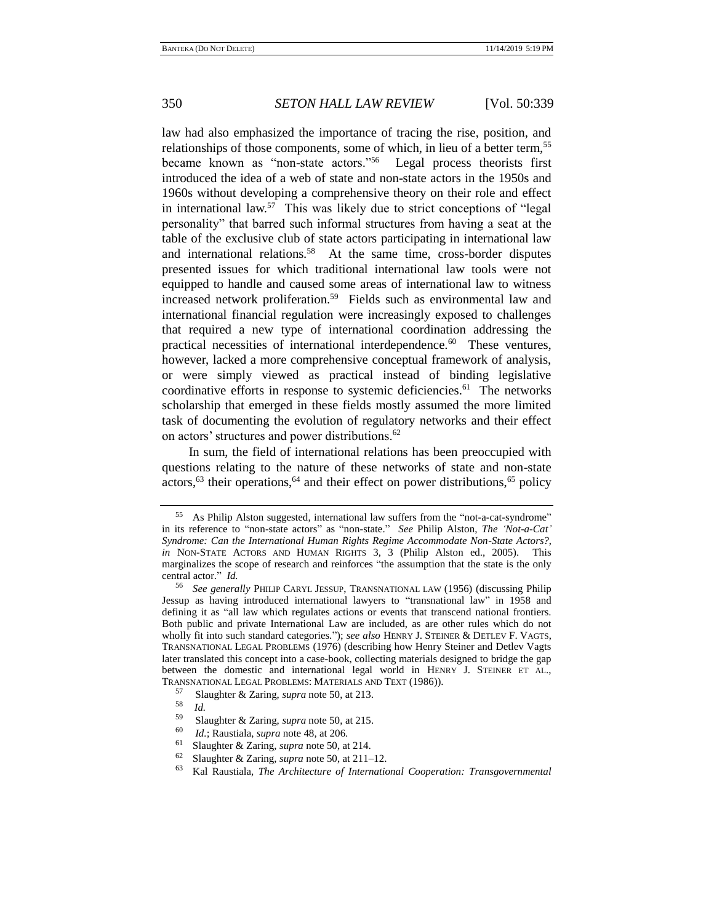<span id="page-11-1"></span>

law had also emphasized the importance of tracing the rise, position, and relationships of those components, some of which, in lieu of a better term,<sup>55</sup> became known as "non-state actors."<sup>56</sup> Legal process theorists first introduced the idea of a web of state and non-state actors in the 1950s and 1960s without developing a comprehensive theory on their role and effect in international law.<sup>57</sup> This was likely due to strict conceptions of "legal personality" that barred such informal structures from having a seat at the table of the exclusive club of state actors participating in international law and international relations.<sup>58</sup> At the same time, cross-border disputes presented issues for which traditional international law tools were not equipped to handle and caused some areas of international law to witness increased network proliferation.<sup>59</sup> Fields such as environmental law and international financial regulation were increasingly exposed to challenges that required a new type of international coordination addressing the practical necessities of international interdependence.<sup>60</sup> These ventures, however, lacked a more comprehensive conceptual framework of analysis, or were simply viewed as practical instead of binding legislative coordinative efforts in response to systemic deficiencies.<sup>61</sup> The networks scholarship that emerged in these fields mostly assumed the more limited task of documenting the evolution of regulatory networks and their effect on actors' structures and power distributions.<sup>62</sup>

<span id="page-11-0"></span>In sum, the field of international relations has been preoccupied with questions relating to the nature of these networks of state and non-state  $\arccos$ ,<sup>63</sup> their operations,<sup>64</sup> and their effect on power distributions,<sup>65</sup> policy

<sup>55</sup> As Philip Alston suggested, international law suffers from the "not-a-cat-syndrome" in its reference to "non-state actors" as "non-state." *See* Philip Alston, *The 'Not-a-Cat' Syndrome: Can the International Human Rights Regime Accommodate Non-State Actors?*, *in* NON-STATE ACTORS AND HUMAN RIGHTS 3, 3 (Philip Alston ed., 2005). This marginalizes the scope of research and reinforces "the assumption that the state is the only central actor." *Id.* 

<sup>56</sup> *See generally* PHILIP CARYL JESSUP, TRANSNATIONAL LAW (1956) (discussing Philip Jessup as having introduced international lawyers to "transnational law" in 1958 and defining it as "all law which regulates actions or events that transcend national frontiers. Both public and private International Law are included, as are other rules which do not wholly fit into such standard categories."); *see also* HENRY J. STEINER & DETLEV F. VAGTS, TRANSNATIONAL LEGAL PROBLEMS (1976) (describing how Henry Steiner and Detlev Vagts later translated this concept into a case-book, collecting materials designed to bridge the gap between the domestic and international legal world in HENRY J. STEINER ET AL., TRANSNATIONAL LEGAL PROBLEMS: MATERIALS AND TEXT (1986)).

<sup>57</sup> Slaughter & Zaring, *supra* not[e 50,](#page-10-2) at 213.

 $\frac{58}{59}$  *Id.* 

<sup>59</sup> Slaughter & Zaring, *supra* not[e 50,](#page-10-2) at 215.

 $^{60}$  *Id.*; Raustiala, *supra* not[e 48,](#page-10-3) at 206.

<sup>&</sup>lt;sup>61</sup> Slaughter & Zaring, *supra* not[e 50,](#page-10-2) at 214.

<sup>62</sup> Slaughter & Zaring, *supra* not[e 50,](#page-10-2) at 211–12.

<sup>63</sup> Kal Raustiala, *The Architecture of International Cooperation: Transgovernmental*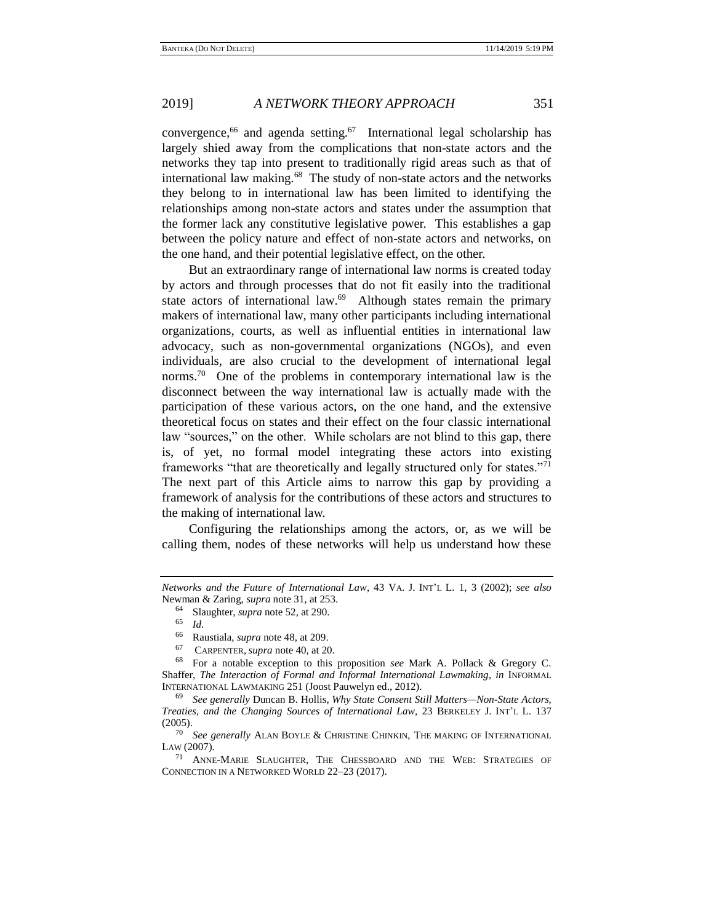<span id="page-12-2"></span>convergence,<sup>66</sup> and agenda setting.<sup>67</sup> International legal scholarship has largely shied away from the complications that non-state actors and the networks they tap into present to traditionally rigid areas such as that of international law making.<sup>68</sup> The study of non-state actors and the networks they belong to in international law has been limited to identifying the relationships among non-state actors and states under the assumption that the former lack any constitutive legislative power. This establishes a gap between the policy nature and effect of non-state actors and networks, on the one hand, and their potential legislative effect, on the other.

<span id="page-12-1"></span>But an extraordinary range of international law norms is created today by actors and through processes that do not fit easily into the traditional state actors of international law.<sup>69</sup> Although states remain the primary makers of international law, many other participants including international organizations, courts, as well as influential entities in international law advocacy, such as non-governmental organizations (NGOs), and even individuals, are also crucial to the development of international legal norms.<sup>70</sup> One of the problems in contemporary international law is the disconnect between the way international law is actually made with the participation of these various actors, on the one hand, and the extensive theoretical focus on states and their effect on the four classic international law "sources," on the other. While scholars are not blind to this gap, there is, of yet, no formal model integrating these actors into existing frameworks "that are theoretically and legally structured only for states."<sup>71</sup> The next part of this Article aims to narrow this gap by providing a framework of analysis for the contributions of these actors and structures to the making of international law.

Configuring the relationships among the actors, or, as we will be calling them, nodes of these networks will help us understand how these

<sup>65</sup> *Id.* 

<sup>67</sup> CARPENTER, *supra* not[e 40,](#page-8-1) at 20.

<span id="page-12-0"></span>

*Networks and the Future of International Law*, 43 VA. J. INT'L L. 1, 3 (2002); *see also* Newman & Zaring, *supra* note [31,](#page-7-1) at 253.

<sup>&</sup>lt;sup>64</sup> Slaughter, *supra* not[e 52,](#page-10-1) at 290.

<sup>66</sup> Raustiala, *supra* not[e 48,](#page-10-3) at 209.

<sup>68</sup> For a notable exception to this proposition *see* Mark A. Pollack & Gregory C. Shaffer, *The Interaction of Formal and Informal International Lawmaking*, *in* INFORMAL INTERNATIONAL LAWMAKING 251 (Joost Pauwelyn ed., 2012).

<sup>69</sup> *See generally* Duncan B. Hollis, *Why State Consent Still Matters—Non-State Actors, Treaties, and the Changing Sources of International Law*, 23 BERKELEY J. INT'L L. 137  $(2005).$ 

<sup>70</sup> *See generally* ALAN BOYLE & CHRISTINE CHINKIN, THE MAKING OF INTERNATIONAL LAW (2007).

<sup>71</sup> ANNE-MARIE SLAUGHTER, THE CHESSBOARD AND THE WEB: STRATEGIES OF CONNECTION IN A NETWORKED WORLD 22–23 (2017).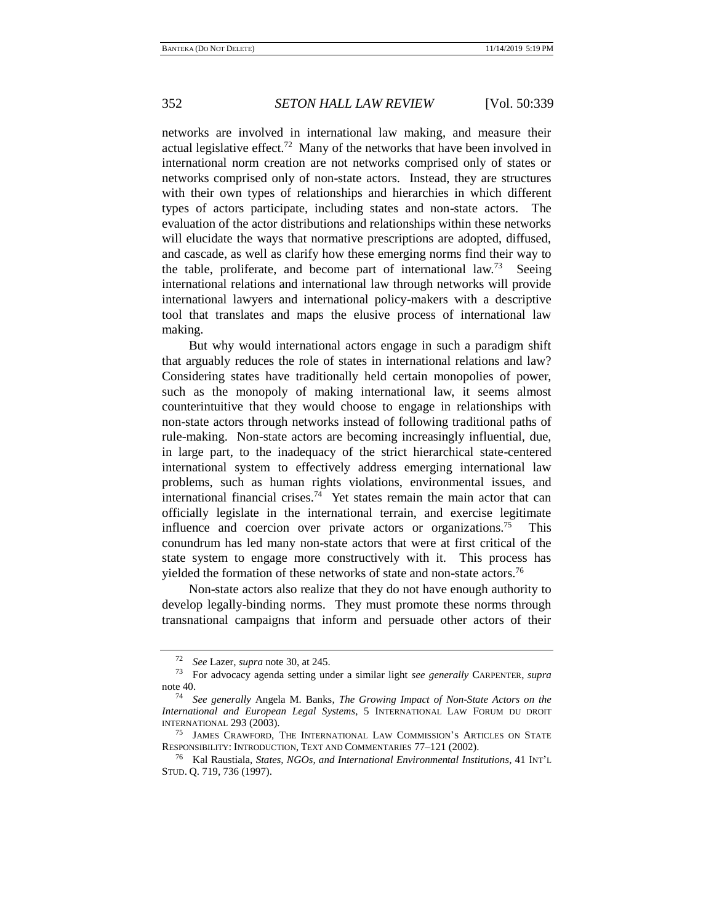networks are involved in international law making, and measure their actual legislative effect.<sup>72</sup> Many of the networks that have been involved in international norm creation are not networks comprised only of states or networks comprised only of non-state actors. Instead, they are structures with their own types of relationships and hierarchies in which different types of actors participate, including states and non-state actors. The evaluation of the actor distributions and relationships within these networks will elucidate the ways that normative prescriptions are adopted, diffused, and cascade, as well as clarify how these emerging norms find their way to the table, proliferate, and become part of international law.<sup>73</sup> Seeing international relations and international law through networks will provide international lawyers and international policy-makers with a descriptive tool that translates and maps the elusive process of international law making.

But why would international actors engage in such a paradigm shift that arguably reduces the role of states in international relations and law? Considering states have traditionally held certain monopolies of power, such as the monopoly of making international law, it seems almost counterintuitive that they would choose to engage in relationships with non-state actors through networks instead of following traditional paths of rule-making. Non-state actors are becoming increasingly influential, due, in large part, to the inadequacy of the strict hierarchical state-centered international system to effectively address emerging international law problems, such as human rights violations, environmental issues, and international financial crises.<sup>74</sup> Yet states remain the main actor that can officially legislate in the international terrain, and exercise legitimate influence and coercion over private actors or organizations.<sup>75</sup> This conundrum has led many non-state actors that were at first critical of the state system to engage more constructively with it. This process has yielded the formation of these networks of state and non-state actors.<sup>76</sup>

<span id="page-13-0"></span>Non-state actors also realize that they do not have enough authority to develop legally-binding norms. They must promote these norms through transnational campaigns that inform and persuade other actors of their

<sup>72</sup> *See* Lazer, *supra* not[e 30,](#page-7-0) at 245.

<sup>73</sup> For advocacy agenda setting under a similar light *see generally* CARPENTER, *supra*  not[e 40.](#page-8-1)

<sup>74</sup> *See generally* Angela M. Banks, *The Growing Impact of Non-State Actors on the International and European Legal Systems*, 5 INTERNATIONAL LAW FORUM DU DROIT INTERNATIONAL 293 (2003).

<sup>&</sup>lt;sup>75</sup> JAMES CRAWFORD, THE INTERNATIONAL LAW COMMISSION'S ARTICLES ON STATE RESPONSIBILITY: INTRODUCTION, TEXT AND COMMENTARIES 77–121 (2002).

<sup>76</sup> Kal Raustiala, *States, NGOs, and International Environmental Institutions*, 41 INT'<sup>L</sup> STUD. Q. 719, 736 (1997).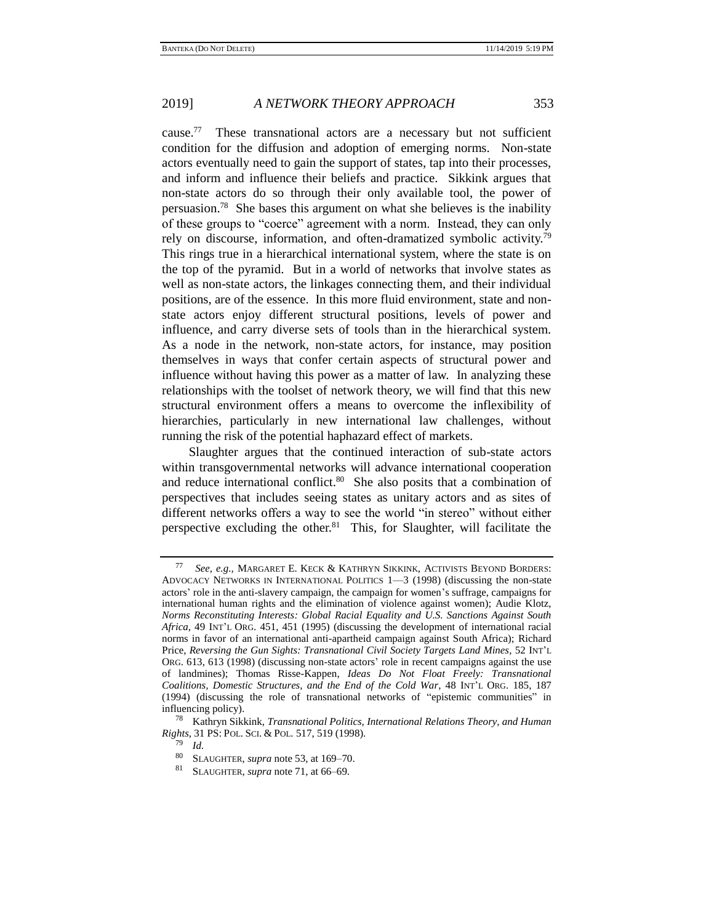cause.<sup>77</sup> These transnational actors are a necessary but not sufficient condition for the diffusion and adoption of emerging norms. Non-state actors eventually need to gain the support of states, tap into their processes, and inform and influence their beliefs and practice. Sikkink argues that non-state actors do so through their only available tool, the power of persuasion.<sup>78</sup> She bases this argument on what she believes is the inability of these groups to "coerce" agreement with a norm. Instead, they can only rely on discourse, information, and often-dramatized symbolic activity.<sup>79</sup> This rings true in a hierarchical international system, where the state is on the top of the pyramid. But in a world of networks that involve states as well as non-state actors, the linkages connecting them, and their individual positions, are of the essence. In this more fluid environment, state and nonstate actors enjoy different structural positions, levels of power and influence, and carry diverse sets of tools than in the hierarchical system. As a node in the network, non-state actors, for instance, may position themselves in ways that confer certain aspects of structural power and influence without having this power as a matter of law. In analyzing these relationships with the toolset of network theory, we will find that this new structural environment offers a means to overcome the inflexibility of hierarchies, particularly in new international law challenges, without running the risk of the potential haphazard effect of markets.

Slaughter argues that the continued interaction of sub-state actors within transgovernmental networks will advance international cooperation and reduce international conflict.<sup>80</sup> She also posits that a combination of perspectives that includes seeing states as unitary actors and as sites of different networks offers a way to see the world "in stereo" without either perspective excluding the other.<sup>81</sup> This, for Slaughter, will facilitate the

<sup>77</sup> *See, e.g.,* MARGARET E. KECK & KATHRYN SIKKINK, ACTIVISTS BEYOND BORDERS: ADVOCACY NETWORKS IN INTERNATIONAL POLITICS 1—3 (1998) (discussing the non-state actors' role in the anti-slavery campaign, the campaign for women's suffrage, campaigns for international human rights and the elimination of violence against women); Audie Klotz, *Norms Reconstituting Interests: Global Racial Equality and U.S. Sanctions Against South Africa*, 49 INT'L ORG. 451, 451 (1995) (discussing the development of international racial norms in favor of an international anti-apartheid campaign against South Africa); Richard Price, *Reversing the Gun Sights: Transnational Civil Society Targets Land Mines*, 52 INT'L ORG. 613, 613 (1998) (discussing non-state actors' role in recent campaigns against the use of landmines); Thomas Risse-Kappen, *Ideas Do Not Float Freely: Transnational Coalitions, Domestic Structures, and the End of the Cold War*, 48 INT'L ORG. 185, 187 (1994) (discussing the role of transnational networks of "epistemic communities" in influencing policy).

<sup>78</sup> Kathryn Sikkink, *Transnational Politics, International Relations Theory, and Human Rights*, 31 PS: POL. SCI. & POL. 517, 519 (1998).

 $\frac{79}{80}$  *Id.* 

<sup>&</sup>lt;sup>80</sup> SLAUGHTER, *supra* note [53,](#page-10-4) at 169–70.<br><sup>81</sup> SLAUGHTER, supra pote 71, at 66, 60

SLAUGHTER, *supra* note [71,](#page-12-0) at 66–69.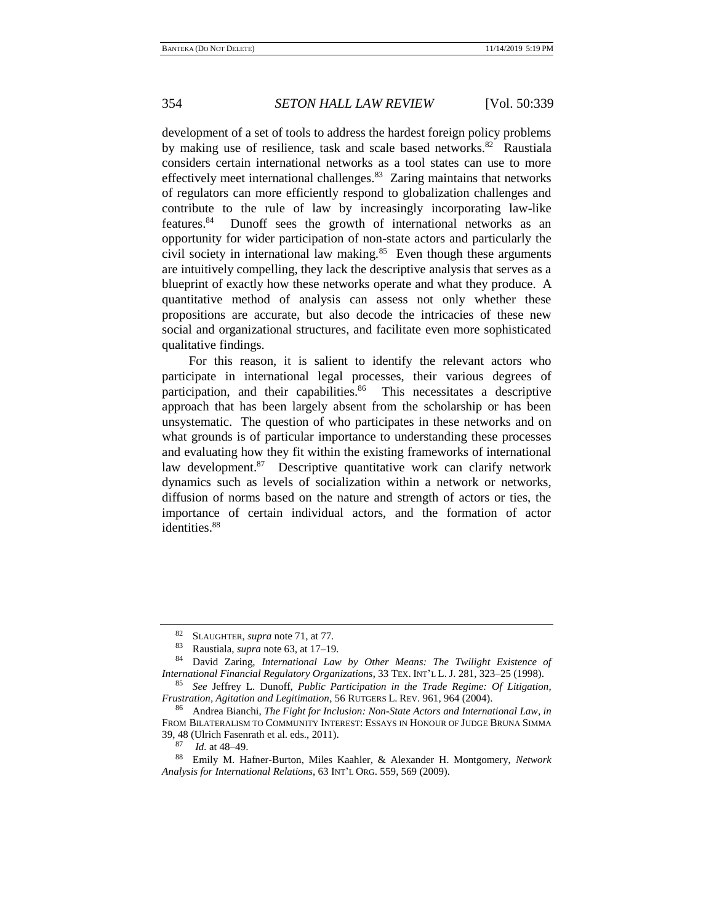development of a set of tools to address the hardest foreign policy problems by making use of resilience, task and scale based networks.<sup>82</sup> Raustiala considers certain international networks as a tool states can use to more effectively meet international challenges.<sup>83</sup> Zaring maintains that networks of regulators can more efficiently respond to globalization challenges and contribute to the rule of law by increasingly incorporating law-like features.<sup>84</sup> Dunoff sees the growth of international networks as an opportunity for wider participation of non-state actors and particularly the civil society in international law making. $85$  Even though these arguments are intuitively compelling, they lack the descriptive analysis that serves as a blueprint of exactly how these networks operate and what they produce. A quantitative method of analysis can assess not only whether these propositions are accurate, but also decode the intricacies of these new social and organizational structures, and facilitate even more sophisticated qualitative findings.

<span id="page-15-0"></span>For this reason, it is salient to identify the relevant actors who participate in international legal processes, their various degrees of participation, and their capabilities.<sup>86</sup> This necessitates a descriptive approach that has been largely absent from the scholarship or has been unsystematic. The question of who participates in these networks and on what grounds is of particular importance to understanding these processes and evaluating how they fit within the existing frameworks of international law development.<sup>87</sup> Descriptive quantitative work can clarify network dynamics such as levels of socialization within a network or networks, diffusion of norms based on the nature and strength of actors or ties, the importance of certain individual actors, and the formation of actor identities.<sup>88</sup>

<span id="page-15-1"></span><sup>82</sup> SLAUGHTER, *supra* note [71,](#page-12-0) at 77.

<sup>83</sup> Raustiala, *supra* not[e 63,](#page-11-0) at 17–19.

<sup>84</sup> David Zaring, *International Law by Other Means: The Twilight Existence of International Financial Regulatory Organizations*, 33 TEX. INT'L L. J. 281, 323–25 (1998).

<sup>85</sup> *See* Jeffrey L. Dunoff, *Public Participation in the Trade Regime: Of Litigation, Frustration, Agitation and Legitimation*, 56 RUTGERS L. REV. 961, 964 (2004).

<sup>86</sup> Andrea Bianchi, *The Fight for Inclusion: Non-State Actors and International Law*, *in* FROM BILATERALISM TO COMMUNITY INTEREST: ESSAYS IN HONOUR OF JUDGE BRUNA SIMMA 39, 48 (Ulrich Fasenrath et al. eds., 2011).<br> $^{87}$   $^{14}$  et 48, 40

*Id.* at 48–49.

<sup>88</sup> Emily M. Hafner-Burton, Miles Kaahler, & Alexander H. Montgomery, *Network Analysis for International Relations*, 63 INT'L ORG. 559, 569 (2009).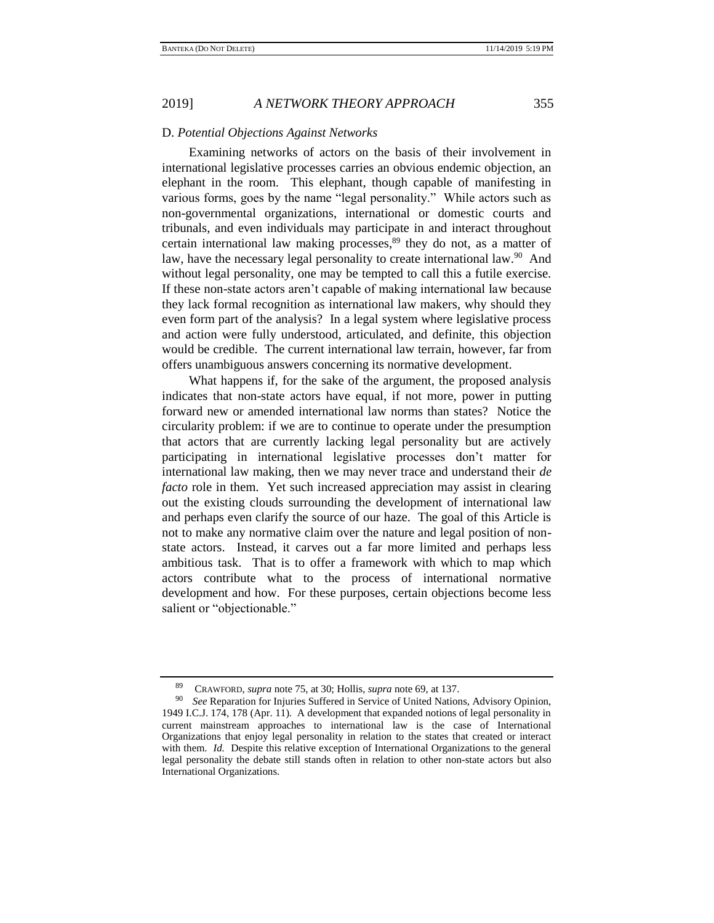## D. *Potential Objections Against Networks*

Examining networks of actors on the basis of their involvement in international legislative processes carries an obvious endemic objection, an elephant in the room. This elephant, though capable of manifesting in various forms, goes by the name "legal personality." While actors such as non-governmental organizations, international or domestic courts and tribunals, and even individuals may participate in and interact throughout certain international law making processes, $89$  they do not, as a matter of law, have the necessary legal personality to create international law.<sup>90</sup> And without legal personality, one may be tempted to call this a futile exercise. If these non-state actors aren't capable of making international law because they lack formal recognition as international law makers, why should they even form part of the analysis? In a legal system where legislative process and action were fully understood, articulated, and definite, this objection would be credible. The current international law terrain, however, far from offers unambiguous answers concerning its normative development.

What happens if, for the sake of the argument, the proposed analysis indicates that non-state actors have equal, if not more, power in putting forward new or amended international law norms than states? Notice the circularity problem: if we are to continue to operate under the presumption that actors that are currently lacking legal personality but are actively participating in international legislative processes don't matter for international law making, then we may never trace and understand their *de facto* role in them. Yet such increased appreciation may assist in clearing out the existing clouds surrounding the development of international law and perhaps even clarify the source of our haze. The goal of this Article is not to make any normative claim over the nature and legal position of nonstate actors. Instead, it carves out a far more limited and perhaps less ambitious task. That is to offer a framework with which to map which actors contribute what to the process of international normative development and how. For these purposes, certain objections become less salient or "objectionable."

<sup>89</sup> CRAWFORD, *supra* note [75,](#page-13-0) at 30; Hollis, *supra* note [69,](#page-12-1) at 137.

<sup>90</sup> *See* Reparation for Injuries Suffered in Service of United Nations, Advisory Opinion, 1949 I.C.J. 174, 178 (Apr. 11). A development that expanded notions of legal personality in current mainstream approaches to international law is the case of International Organizations that enjoy legal personality in relation to the states that created or interact with them. *Id.* Despite this relative exception of International Organizations to the general legal personality the debate still stands often in relation to other non-state actors but also International Organizations.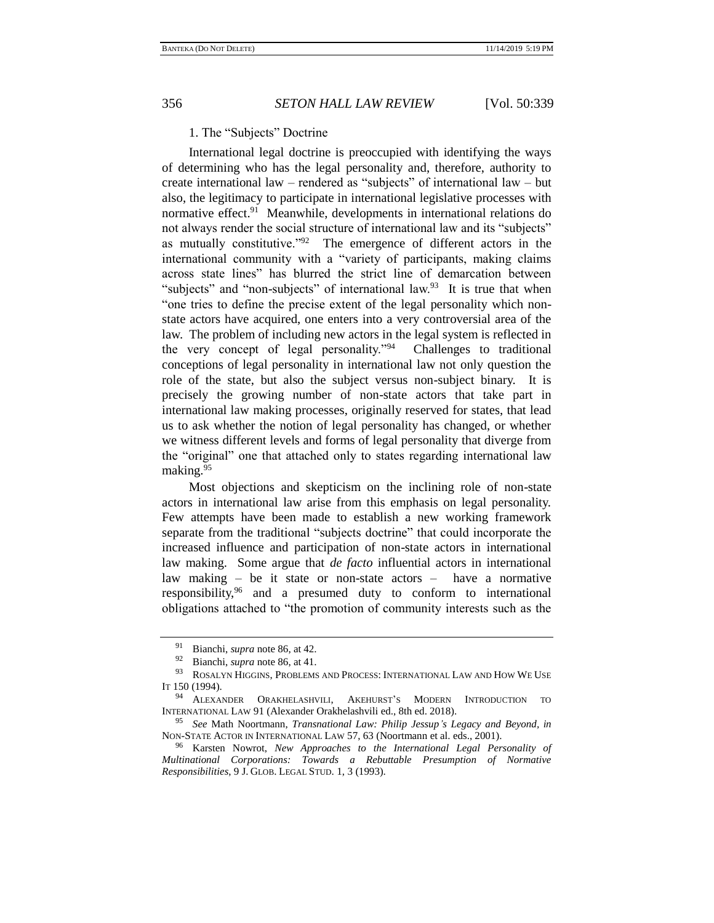## 1. The "Subjects" Doctrine

International legal doctrine is preoccupied with identifying the ways of determining who has the legal personality and, therefore, authority to create international law – rendered as "subjects" of international law – but also, the legitimacy to participate in international legislative processes with normative effect.<sup>91</sup> Meanwhile, developments in international relations do not always render the social structure of international law and its "subjects" as mutually constitutive."<sup>92</sup> The emergence of different actors in the international community with a "variety of participants, making claims across state lines" has blurred the strict line of demarcation between "subjects" and "non-subjects" of international law.<sup>93</sup> It is true that when "one tries to define the precise extent of the legal personality which nonstate actors have acquired, one enters into a very controversial area of the law. The problem of including new actors in the legal system is reflected in the very concept of legal personality."<sup>94</sup> Challenges to traditional conceptions of legal personality in international law not only question the role of the state, but also the subject versus non-subject binary. It is precisely the growing number of non-state actors that take part in international law making processes, originally reserved for states, that lead us to ask whether the notion of legal personality has changed, or whether we witness different levels and forms of legal personality that diverge from the "original" one that attached only to states regarding international law making.<sup>95</sup>

<span id="page-17-0"></span>Most objections and skepticism on the inclining role of non-state actors in international law arise from this emphasis on legal personality. Few attempts have been made to establish a new working framework separate from the traditional "subjects doctrine" that could incorporate the increased influence and participation of non-state actors in international law making. Some argue that *de facto* influential actors in international law making – be it state or non-state actors – have a normative responsibility,<sup>96</sup> and a presumed duty to conform to international obligations attached to "the promotion of community interests such as the

<sup>91</sup> Bianchi, *supra* not[e 86,](#page-15-0) at 42.

 $^{92}$  Bianchi, *supra* not[e 86,](#page-15-0) at 41.

ROSALYN HIGGINS, PROBLEMS AND PROCESS: INTERNATIONAL LAW AND HOW WE USE IT 150 (1994).

<sup>94</sup> ALEXANDER ORAKHELASHVILI, AKEHURST'S MODERN INTRODUCTION TO INTERNATIONAL LAW 91 (Alexander Orakhelashvili ed., 8th ed. 2018).

<sup>95</sup> *See* Math Noortmann, *Transnational Law: Philip Jessup's Legacy and Beyond, in* NON-STATE ACTOR IN INTERNATIONAL LAW 57, 63 (Noortmann et al. eds., 2001).

<sup>96</sup> Karsten Nowrot, *New Approaches to the International Legal Personality of Multinational Corporations: Towards a Rebuttable Presumption of Normative Responsibilities*, 9 J. GLOB. LEGAL STUD. 1, 3 (1993).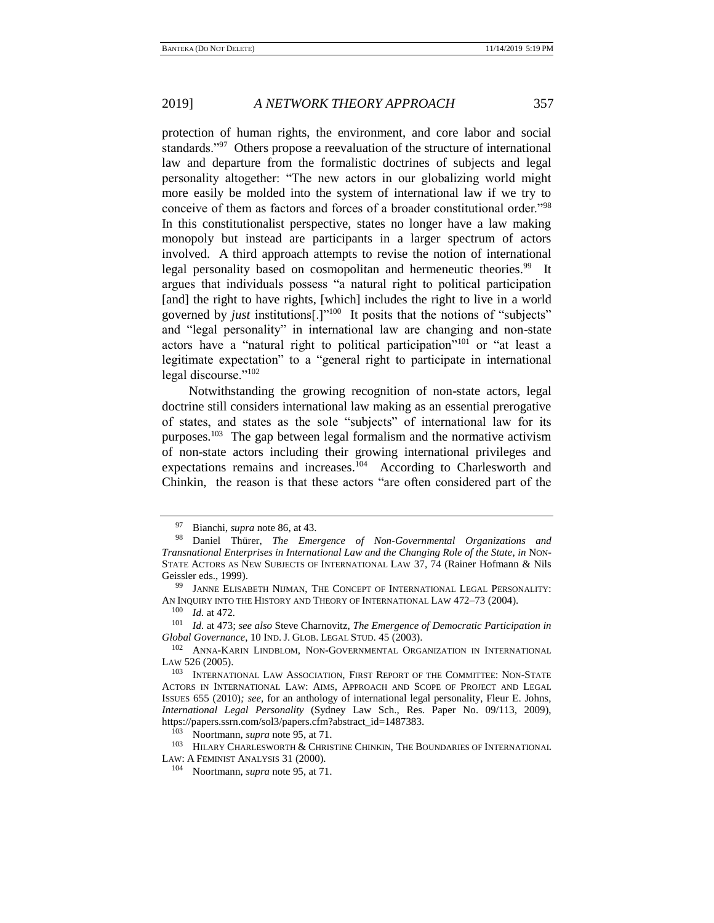protection of human rights, the environment, and core labor and social standards."<sup>97</sup> Others propose a reevaluation of the structure of international law and departure from the formalistic doctrines of subjects and legal personality altogether: "The new actors in our globalizing world might more easily be molded into the system of international law if we try to conceive of them as factors and forces of a broader constitutional order."<sup>98</sup> In this constitutionalist perspective, states no longer have a law making monopoly but instead are participants in a larger spectrum of actors involved. A third approach attempts to revise the notion of international legal personality based on cosmopolitan and hermeneutic theories.<sup>99</sup> It argues that individuals possess "a natural right to political participation [and] the right to have rights, [which] includes the right to live in a world governed by *just* institutions[.]"<sup>100</sup> It posits that the notions of "subjects" and "legal personality" in international law are changing and non-state actors have a "natural right to political participation"<sup>101</sup> or "at least a legitimate expectation" to a "general right to participate in international legal discourse."<sup>102</sup>

<span id="page-18-0"></span>Notwithstanding the growing recognition of non-state actors, legal doctrine still considers international law making as an essential prerogative of states, and states as the sole "subjects" of international law for its purposes.<sup>103</sup> The gap between legal formalism and the normative activism of non-state actors including their growing international privileges and expectations remains and increases.<sup>104</sup> According to Charlesworth and Chinkin, the reason is that these actors "are often considered part of the

<sup>97</sup> Bianchi, *supra* not[e 86,](#page-15-0) at 43.

<sup>98</sup> Daniel Thürer, *The Emergence of Non-Governmental Organizations and Transnational Enterprises in International Law and the Changing Role of the State*, *in* NON-STATE ACTORS AS NEW SUBJECTS OF INTERNATIONAL LAW 37, 74 (Rainer Hofmann & Nils Geissler eds., 1999).

<sup>&</sup>lt;sup>99</sup> JANNE ELISABETH NIJMAN, THE CONCEPT OF INTERNATIONAL LEGAL PERSONALITY: AN INQUIRY INTO THE HISTORY AND THEORY OF INTERNATIONAL LAW 472–73 (2004).

<sup>100</sup> *Id.* at 472*.* 

<sup>101</sup> *Id.* at 473; *see also* Steve Charnovitz, *The Emergence of Democratic Participation in Global Governance*, 10 IND.J. GLOB. LEGAL STUD. 45 (2003).

<sup>102</sup> ANNA-KARIN LINDBLOM, NON-GOVERNMENTAL ORGANIZATION IN INTERNATIONAL LAW 526 (2005).

<sup>103</sup> INTERNATIONAL LAW ASSOCIATION, FIRST REPORT OF THE COMMITTEE: NON-STATE ACTORS IN INTERNATIONAL LAW: AIMS, APPROACH AND SCOPE OF PROJECT AND LEGAL ISSUES 655 (2010)*; see*, for an anthology of international legal personality, Fleur E. Johns, *International Legal Personality* (Sydney Law Sch., Res. Paper No. 09/113, 2009), https://papers.ssrn.com/sol3/papers.cfm?abstract\_id=1487383.

Noortmann, *supra* not[e 95,](#page-17-0) at 71.

 $^{103}$  HILARY CHARLESWORTH & CHRISTINE CHINKIN, THE BOUNDARIES OF INTERNATIONAL LAW: A FEMINIST ANALYSIS 31 (2000).

<sup>104</sup> Noortmann, *supra* not[e 95,](#page-17-0) at 71.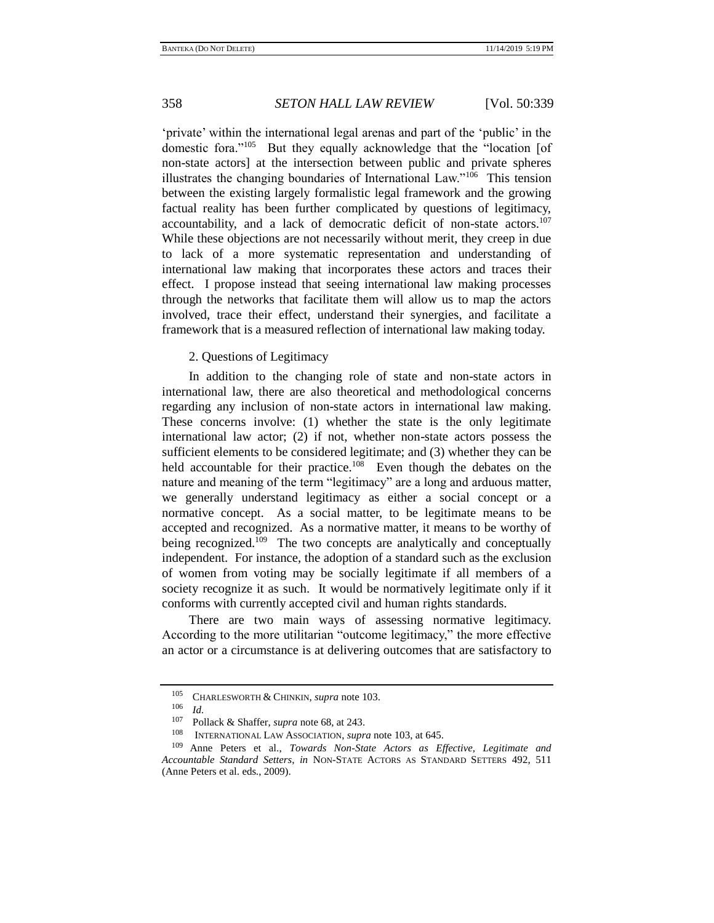'private' within the international legal arenas and part of the 'public' in the domestic fora."<sup>105</sup> But they equally acknowledge that the "location [of non-state actors] at the intersection between public and private spheres illustrates the changing boundaries of International Law."<sup>106</sup> This tension between the existing largely formalistic legal framework and the growing factual reality has been further complicated by questions of legitimacy, accountability, and a lack of democratic deficit of non-state actors.<sup>107</sup> While these objections are not necessarily without merit, they creep in due to lack of a more systematic representation and understanding of international law making that incorporates these actors and traces their effect. I propose instead that seeing international law making processes through the networks that facilitate them will allow us to map the actors involved, trace their effect, understand their synergies, and facilitate a framework that is a measured reflection of international law making today.

## 2. Questions of Legitimacy

In addition to the changing role of state and non-state actors in international law, there are also theoretical and methodological concerns regarding any inclusion of non-state actors in international law making. These concerns involve: (1) whether the state is the only legitimate international law actor; (2) if not, whether non-state actors possess the sufficient elements to be considered legitimate; and (3) whether they can be held accountable for their practice.<sup>108</sup> Even though the debates on the nature and meaning of the term "legitimacy" are a long and arduous matter, we generally understand legitimacy as either a social concept or a normative concept. As a social matter, to be legitimate means to be accepted and recognized. As a normative matter, it means to be worthy of being recognized.<sup>109</sup> The two concepts are analytically and conceptually independent. For instance, the adoption of a standard such as the exclusion of women from voting may be socially legitimate if all members of a society recognize it as such. It would be normatively legitimate only if it conforms with currently accepted civil and human rights standards.

<span id="page-19-0"></span>There are two main ways of assessing normative legitimacy. According to the more utilitarian "outcome legitimacy," the more effective an actor or a circumstance is at delivering outcomes that are satisfactory to

<sup>&</sup>lt;sup>105</sup> CHARLESWORTH & CHINKIN, *supra* not[e 103.](#page-18-0)

 $\frac{106}{107}$  *Id.* 

<sup>&</sup>lt;sup>107</sup> Pollack & Shaffer, *supra* not[e 68,](#page-12-2) at 243.<br><sup>108</sup> **INTERNATIONAL LAW ASSOCIATION** *supr* 

<sup>108</sup> INTERNATIONAL LAW ASSOCIATION, *supra* not[e 103,](#page-18-0) at 645.<br><sup>109</sup> Anno Peters et al. *Towards*, Non-State Actors as Fi

Anne Peters et al., *Towards Non-State Actors as Effective*, *Legitimate and Accountable Standard Setters*, *in* NON-STATE ACTORS AS STANDARD SETTERS 492, 511 (Anne Peters et al. eds., 2009).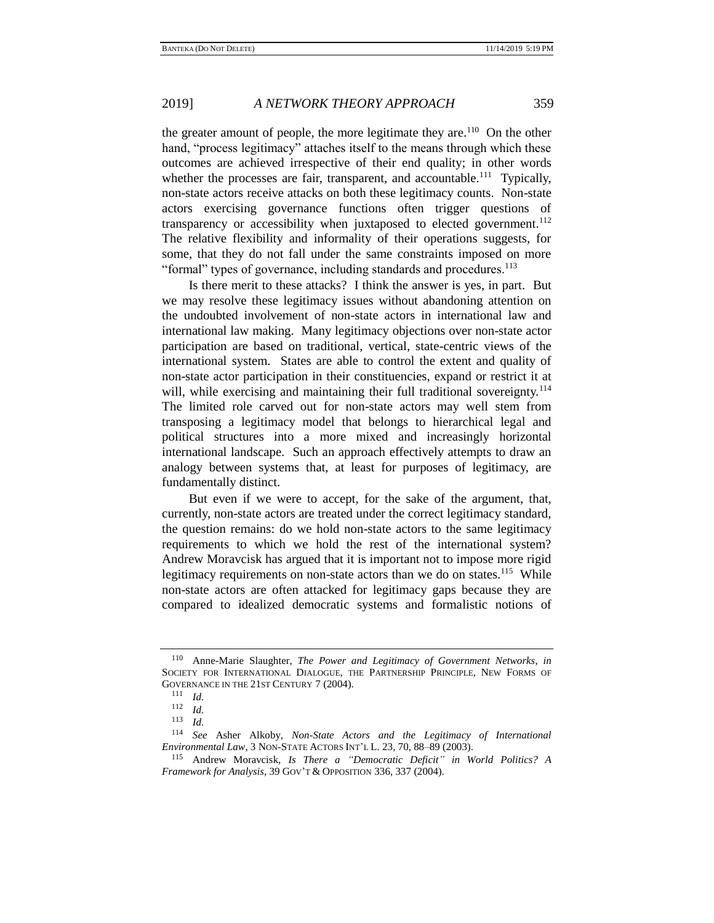the greater amount of people, the more legitimate they are.<sup>110</sup> On the other hand, "process legitimacy" attaches itself to the means through which these outcomes are achieved irrespective of their end quality; in other words whether the processes are fair, transparent, and accountable.<sup>111</sup> Typically, non-state actors receive attacks on both these legitimacy counts. Non-state actors exercising governance functions often trigger questions of transparency or accessibility when juxtaposed to elected government.<sup>112</sup> The relative flexibility and informality of their operations suggests, for some, that they do not fall under the same constraints imposed on more "formal" types of governance, including standards and procedures.<sup>113</sup>

Is there merit to these attacks? I think the answer is yes, in part. But we may resolve these legitimacy issues without abandoning attention on the undoubted involvement of non-state actors in international law and international law making. Many legitimacy objections over non-state actor participation are based on traditional, vertical, state-centric views of the international system. States are able to control the extent and quality of non-state actor participation in their constituencies, expand or restrict it at will, while exercising and maintaining their full traditional sovereignty.<sup>114</sup> The limited role carved out for non-state actors may well stem from transposing a legitimacy model that belongs to hierarchical legal and political structures into a more mixed and increasingly horizontal international landscape. Such an approach effectively attempts to draw an analogy between systems that, at least for purposes of legitimacy, are fundamentally distinct.

But even if we were to accept, for the sake of the argument, that, currently, non-state actors are treated under the correct legitimacy standard, the question remains: do we hold non-state actors to the same legitimacy requirements to which we hold the rest of the international system? Andrew Moravcisk has argued that it is important not to impose more rigid legitimacy requirements on non-state actors than we do on states.<sup>115</sup> While non-state actors are often attacked for legitimacy gaps because they are compared to idealized democratic systems and formalistic notions of

Anne-Marie Slaughter, *The Power and Legitimacy of Government Networks*, *in* SOCIETY FOR INTERNATIONAL DIALOGUE, THE PARTNERSHIP PRINCIPLE, NEW FORMS OF GOVERNANCE IN THE 21ST CENTURY 7 (2004).

 $\frac{111}{112}$  *Id.* 

 $\frac{112}{113}$  *Id.* 

 $\frac{113}{114}$  *Id.* 

<sup>114</sup> *See* Asher Alkoby, *Non-State Actors and the Legitimacy of International Environmental Law*, 3 NON-STATE ACTORS INT'L L. 23, 70, 88–89 (2003).

<sup>115</sup> Andrew Moravcisk, *Is There a "Democratic Deficit" in World Politics? A Framework for Analysis*, 39 GOV'T & OPPOSITION 336, 337 (2004).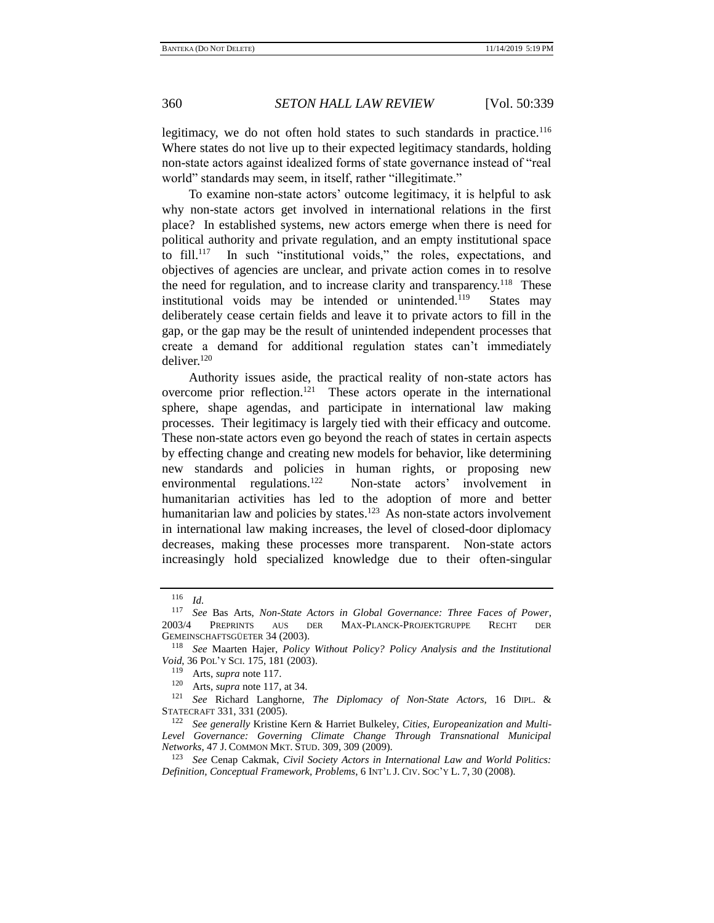legitimacy, we do not often hold states to such standards in practice.<sup>116</sup> Where states do not live up to their expected legitimacy standards, holding non-state actors against idealized forms of state governance instead of "real world" standards may seem, in itself, rather "illegitimate."

<span id="page-21-0"></span>To examine non-state actors' outcome legitimacy, it is helpful to ask why non-state actors get involved in international relations in the first place? In established systems, new actors emerge when there is need for political authority and private regulation, and an empty institutional space to fill.<sup>117</sup> In such "institutional voids," the roles, expectations, and objectives of agencies are unclear, and private action comes in to resolve the need for regulation, and to increase clarity and transparency.<sup>118</sup> These institutional voids may be intended or unintended.<sup>119</sup> States may deliberately cease certain fields and leave it to private actors to fill in the gap, or the gap may be the result of unintended independent processes that create a demand for additional regulation states can't immediately deliver. $120$ 

Authority issues aside, the practical reality of non-state actors has overcome prior reflection.<sup>121</sup> These actors operate in the international sphere, shape agendas, and participate in international law making processes. Their legitimacy is largely tied with their efficacy and outcome. These non-state actors even go beyond the reach of states in certain aspects by effecting change and creating new models for behavior, like determining new standards and policies in human rights, or proposing new environmental regulations.<sup>122</sup> Non-state actors' involvement in humanitarian activities has led to the adoption of more and better humanitarian law and policies by states.<sup>123</sup> As non-state actors involvement in international law making increases, the level of closed-door diplomacy decreases, making these processes more transparent. Non-state actors increasingly hold specialized knowledge due to their often-singular

 $\frac{116}{117}$  *Id.* 

<sup>117</sup> *See* Bas Arts, *Non-State Actors in Global Governance: Three Faces of Power*, 2003/4 PREPRINTS AUS DER MAX-PLANCK-PROJEKTGRUPPE RECHT DER GEMEINSCHAFTSGÜETER 34 (2003).

<sup>118</sup> *See* Maarten Hajer, *Policy Without Policy? Policy Analysis and the Institutional Void*, 36 POL'Y SCI. 175, 181 (2003).

Arts, *supra* note 117.

<sup>120</sup> Arts, *supra* note [117,](#page-21-0) at 34.

<sup>121</sup> *See* Richard Langhorne, *The Diplomacy of Non-State Actors*, 16 DIPL. & STATECRAFT 331, 331 (2005).

<sup>122</sup> *See generally* Kristine Kern & Harriet Bulkeley, *Cities, Europeanization and Multi-Level Governance: Governing Climate Change Through Transnational Municipal Networks*, 47 J. COMMON MKT. STUD. 309, 309 (2009).

<sup>123</sup> *See* Cenap Cakmak, *Civil Society Actors in International Law and World Politics: Definition, Conceptual Framework, Problems*, 6 INT'L J. CIV. SOC'Y L. 7, 30 (2008).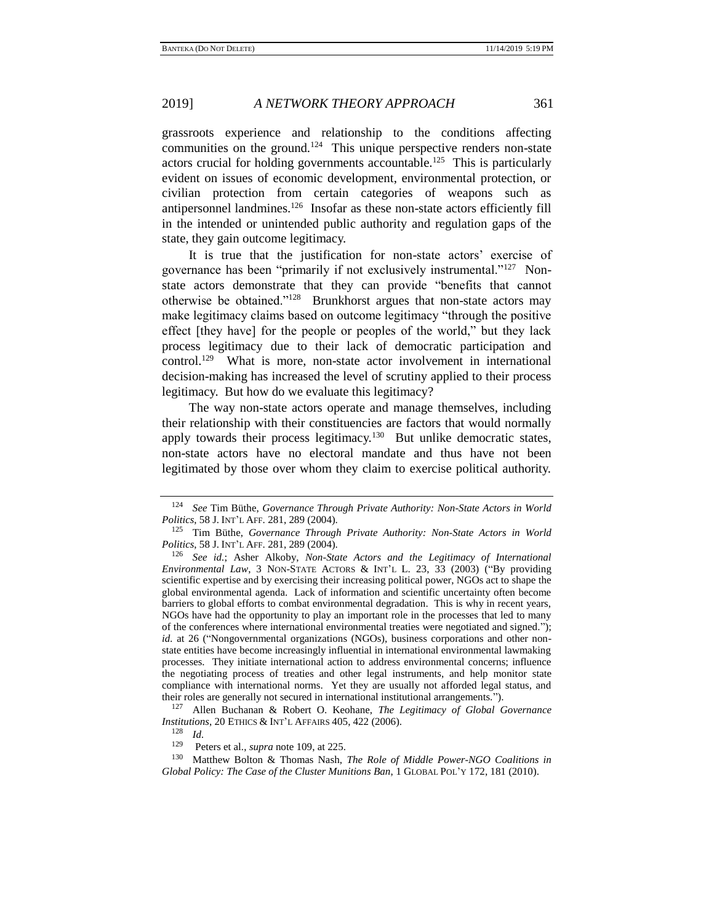grassroots experience and relationship to the conditions affecting communities on the ground.<sup>124</sup> This unique perspective renders non-state actors crucial for holding governments accountable.<sup>125</sup> This is particularly evident on issues of economic development, environmental protection, or civilian protection from certain categories of weapons such as antipersonnel landmines.<sup>126</sup> Insofar as these non-state actors efficiently fill in the intended or unintended public authority and regulation gaps of the state, they gain outcome legitimacy.

<span id="page-22-0"></span>It is true that the justification for non-state actors' exercise of governance has been "primarily if not exclusively instrumental."<sup>127</sup> Nonstate actors demonstrate that they can provide "benefits that cannot otherwise be obtained."<sup>128</sup> Brunkhorst argues that non-state actors may make legitimacy claims based on outcome legitimacy "through the positive effect [they have] for the people or peoples of the world," but they lack process legitimacy due to their lack of democratic participation and control.<sup>129</sup> What is more, non-state actor involvement in international decision-making has increased the level of scrutiny applied to their process legitimacy. But how do we evaluate this legitimacy?

The way non-state actors operate and manage themselves, including their relationship with their constituencies are factors that would normally apply towards their process legitimacy.<sup>130</sup> But unlike democratic states, non-state actors have no electoral mandate and thus have not been legitimated by those over whom they claim to exercise political authority.

<sup>124</sup> *See* Tim Büthe, *Governance Through Private Authority: Non-State Actors in World Politics*, 58 J. INT'L AFF. 281, 289 (2004).

<sup>125</sup> Tim Büthe, *Governance Through Private Authority: Non-State Actors in World Politics*, 58 J. INT'L AFF. 281, 289 (2004).

<sup>126</sup> *See id.*; Asher Alkoby, *Non-State Actors and the Legitimacy of International Environmental Law*, 3 NON-STATE ACTORS & INT'L L. 23, 33 (2003) ("By providing scientific expertise and by exercising their increasing political power, NGOs act to shape the global environmental agenda. Lack of information and scientific uncertainty often become barriers to global efforts to combat environmental degradation. This is why in recent years, NGOs have had the opportunity to play an important role in the processes that led to many of the conferences where international environmental treaties were negotiated and signed."); *id.* at 26 ("Nongovernmental organizations (NGOs), business corporations and other nonstate entities have become increasingly influential in international environmental lawmaking processes. They initiate international action to address environmental concerns; influence the negotiating process of treaties and other legal instruments, and help monitor state compliance with international norms. Yet they are usually not afforded legal status, and their roles are generally not secured in international institutional arrangements.").

<sup>127</sup> Allen Buchanan & Robert O. Keohane, *The Legitimacy of Global Governance Institutions*, 20 ETHICS & INT'L AFFAIRS 405, 422 (2006).

<sup>128</sup> *Id.*

<sup>129</sup> Peters et al., *supra* not[e 109,](#page-19-0) at 225.

<sup>130</sup> Matthew Bolton & Thomas Nash, *The Role of Middle Power-NGO Coalitions in Global Policy: The Case of the Cluster Munitions Ban*, 1 GLOBAL POL'Y 172, 181 (2010).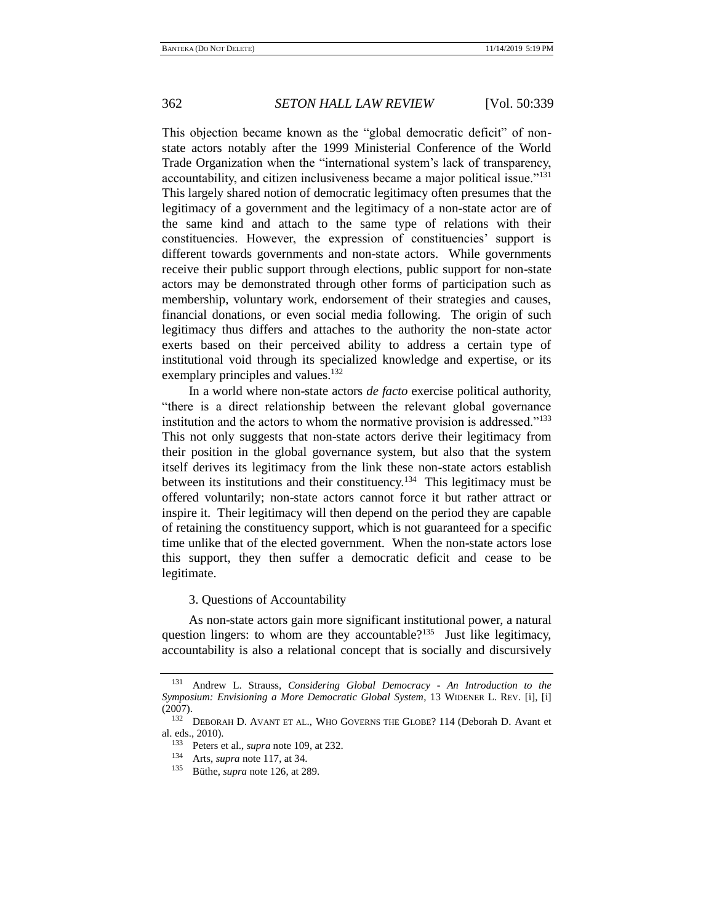This objection became known as the "global democratic deficit" of nonstate actors notably after the 1999 Ministerial Conference of the World Trade Organization when the "international system's lack of transparency, accountability, and citizen inclusiveness became a major political issue."<sup>131</sup> This largely shared notion of democratic legitimacy often presumes that the legitimacy of a government and the legitimacy of a non-state actor are of the same kind and attach to the same type of relations with their constituencies. However, the expression of constituencies' support is different towards governments and non-state actors. While governments receive their public support through elections, public support for non-state actors may be demonstrated through other forms of participation such as membership, voluntary work, endorsement of their strategies and causes, financial donations, or even social media following. The origin of such legitimacy thus differs and attaches to the authority the non-state actor exerts based on their perceived ability to address a certain type of institutional void through its specialized knowledge and expertise, or its exemplary principles and values.<sup>132</sup>

In a world where non-state actors *de facto* exercise political authority, "there is a direct relationship between the relevant global governance institution and the actors to whom the normative provision is addressed."<sup>133</sup> This not only suggests that non-state actors derive their legitimacy from their position in the global governance system, but also that the system itself derives its legitimacy from the link these non-state actors establish between its institutions and their constituency.<sup>134</sup> This legitimacy must be offered voluntarily; non-state actors cannot force it but rather attract or inspire it. Their legitimacy will then depend on the period they are capable of retaining the constituency support, which is not guaranteed for a specific time unlike that of the elected government. When the non-state actors lose this support, they then suffer a democratic deficit and cease to be legitimate.

## 3. Questions of Accountability

As non-state actors gain more significant institutional power, a natural question lingers: to whom are they accountable?<sup>135</sup> Just like legitimacy, accountability is also a relational concept that is socially and discursively

<sup>131</sup> Andrew L. Strauss, *Considering Global Democracy - An Introduction to the Symposium: Envisioning a More Democratic Global System*, 13 WIDENER L. REV. [i], [i] (2007).

<sup>132</sup> DEBORAH D. AVANT ET AL., WHO GOVERNS THE GLOBE? 114 (Deborah D. Avant et al. eds., 2010).

<sup>&</sup>lt;sup>133</sup> Peters et al., *supra* note [109,](#page-19-0) at 232.<br><sup>134</sup> Arts, *supra* pote 117, at 34.

<sup>&</sup>lt;sup>134</sup> Arts, *supra* note [117,](#page-21-0) at 34.<br><sup>135</sup> Bithe *supra* pote 126 at 28

<sup>135</sup> Büthe, *supra* note [126,](#page-22-0) at 289.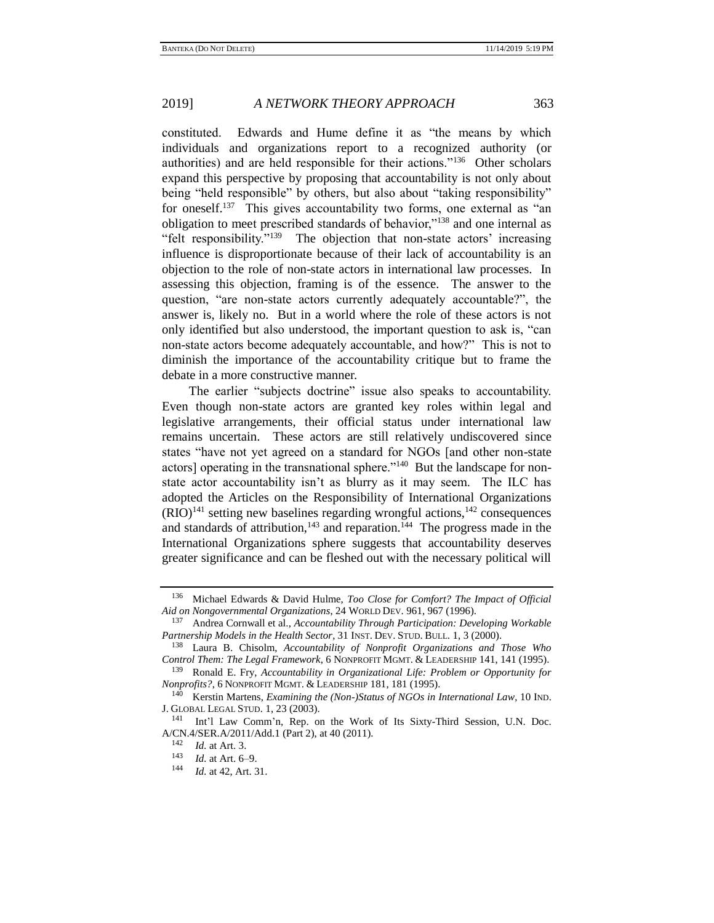constituted. Edwards and Hume define it as "the means by which individuals and organizations report to a recognized authority (or authorities) and are held responsible for their actions."<sup>136</sup> Other scholars expand this perspective by proposing that accountability is not only about being "held responsible" by others, but also about "taking responsibility" for oneself.<sup>137</sup> This gives accountability two forms, one external as "an obligation to meet prescribed standards of behavior,"<sup>138</sup> and one internal as "felt responsibility."<sup>139</sup> The objection that non-state actors' increasing influence is disproportionate because of their lack of accountability is an objection to the role of non-state actors in international law processes. In assessing this objection, framing is of the essence. The answer to the question, "are non-state actors currently adequately accountable?", the answer is, likely no. But in a world where the role of these actors is not only identified but also understood, the important question to ask is, "can non-state actors become adequately accountable, and how?" This is not to diminish the importance of the accountability critique but to frame the debate in a more constructive manner.

The earlier "subjects doctrine" issue also speaks to accountability. Even though non-state actors are granted key roles within legal and legislative arrangements, their official status under international law remains uncertain. These actors are still relatively undiscovered since states "have not yet agreed on a standard for NGOs [and other non-state actors] operating in the transnational sphere."<sup>140</sup> But the landscape for nonstate actor accountability isn't as blurry as it may seem. The ILC has adopted the Articles on the Responsibility of International Organizations  $(RIO)^{141}$  setting new baselines regarding wrongful actions,  $142$  consequences and standards of attribution,  $143$  and reparation.  $144$  The progress made in the International Organizations sphere suggests that accountability deserves greater significance and can be fleshed out with the necessary political will

<sup>136</sup> Michael Edwards & David Hulme, *Too Close for Comfort? The Impact of Official Aid on Nongovernmental Organizations*, 24 WORLD DEV. 961, 967 (1996).

<sup>137</sup> Andrea Cornwall et al., *Accountability Through Participation: Developing Workable Partnership Models in the Health Sector*, 31 INST. DEV. STUD. BULL. 1, 3 (2000).

<sup>138</sup> Laura B. Chisolm, *Accountability of Nonprofit Organizations and Those Who Control Them: The Legal Framework*, 6 NONPROFIT MGMT. & LEADERSHIP 141, 141 (1995).

<sup>139</sup> Ronald E. Fry, *Accountability in Organizational Life: Problem or Opportunity for Nonprofits?*, 6 NONPROFIT MGMT. & LEADERSHIP 181, 181 (1995).

<sup>140</sup> Kerstin Martens, *Examining the (Non-)Status of NGOs in International Law*, 10 IND. J. GLOBAL LEGAL STUD. 1, 23 (2003).

<sup>&</sup>lt;sup>141</sup> Int'l Law Comm'n, Rep. on the Work of Its Sixty-Third Session, U.N. Doc. A/CN.4/SER.A/2011/Add.1 (Part 2), at 40 (2011).

 $\frac{142}{143}$  *Id.* at Art. 3.

*Id.* at Art. 6–9.

<sup>144</sup> *Id.* at 42, Art. 31.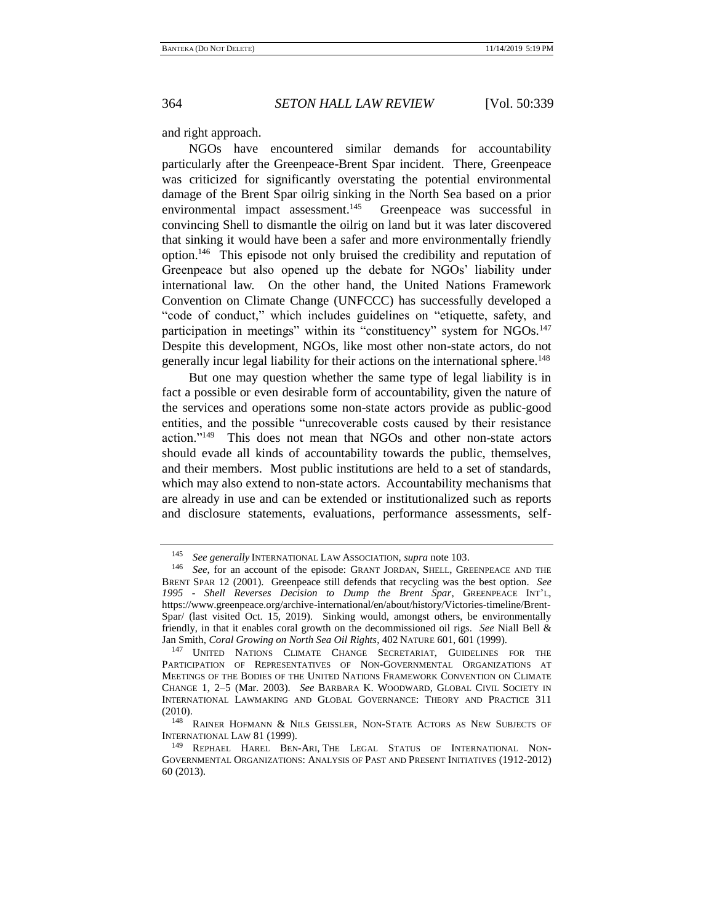and right approach.

NGOs have encountered similar demands for accountability particularly after the Greenpeace-Brent Spar incident. There, Greenpeace was criticized for significantly overstating the potential environmental damage of the Brent Spar oilrig sinking in the North Sea based on a prior environmental impact assessment.<sup>145</sup> Greenpeace was successful in convincing Shell to dismantle the oilrig on land but it was later discovered that sinking it would have been a safer and more environmentally friendly option.<sup>146</sup> This episode not only bruised the credibility and reputation of Greenpeace but also opened up the debate for NGOs' liability under international law. On the other hand, the United Nations Framework Convention on Climate Change (UNFCCC) has successfully developed a "code of conduct," which includes guidelines on "etiquette, safety, and participation in meetings" within its "constituency" system for NGOs.<sup>147</sup> Despite this development, NGOs, like most other non-state actors, do not generally incur legal liability for their actions on the international sphere.<sup>148</sup>

But one may question whether the same type of legal liability is in fact a possible or even desirable form of accountability, given the nature of the services and operations some non-state actors provide as public-good entities, and the possible "unrecoverable costs caused by their resistance action."<sup>149</sup> This does not mean that NGOs and other non-state actors should evade all kinds of accountability towards the public, themselves, and their members. Most public institutions are held to a set of standards, which may also extend to non-state actors. Accountability mechanisms that are already in use and can be extended or institutionalized such as reports and disclosure statements, evaluations, performance assessments, self-

<sup>145</sup> *See generally* INTERNATIONAL LAW ASSOCIATION, *supra* note [103.](#page-18-0)

<sup>146</sup> *See*, for an account of the episode: GRANT JORDAN, SHELL, GREENPEACE AND THE BRENT SPAR 12 (2001). Greenpeace still defends that recycling was the best option. *See 1995 - Shell Reverses Decision to Dump the Brent Spar*, GREENPEACE INT'L, https://www.greenpeace.org/archive-international/en/about/history/Victories-timeline/Brent-Spar/ (last visited Oct. 15, 2019). Sinking would, amongst others, be environmentally friendly, in that it enables coral growth on the decommissioned oil rigs. *See* Niall Bell & Jan Smith, *Coral Growing on North Sea Oil Rights*, 402 NATURE 601, 601 (1999).

<sup>147</sup> UNITED NATIONS CLIMATE CHANGE SECRETARIAT, GUIDELINES FOR THE PARTICIPATION OF REPRESENTATIVES OF NON-GOVERNMENTAL ORGANIZATIONS AT MEETINGS OF THE BODIES OF THE UNITED NATIONS FRAMEWORK CONVENTION ON CLIMATE CHANGE 1, 2–5 (Mar. 2003). *See* BARBARA K. WOODWARD, GLOBAL CIVIL SOCIETY IN INTERNATIONAL LAWMAKING AND GLOBAL GOVERNANCE: THEORY AND PRACTICE 311 (2010).

<sup>&</sup>lt;sup>148</sup> RAINER HOFMANN & NILS GEISSLER, NON-STATE ACTORS AS NEW SUBJECTS OF INTERNATIONAL LAW 81 (1999).

<sup>149</sup> REPHAEL HAREL BEN-ARI, THE LEGAL STATUS OF INTERNATIONAL NON-GOVERNMENTAL ORGANIZATIONS: ANALYSIS OF PAST AND PRESENT INITIATIVES (1912-2012) 60 (2013).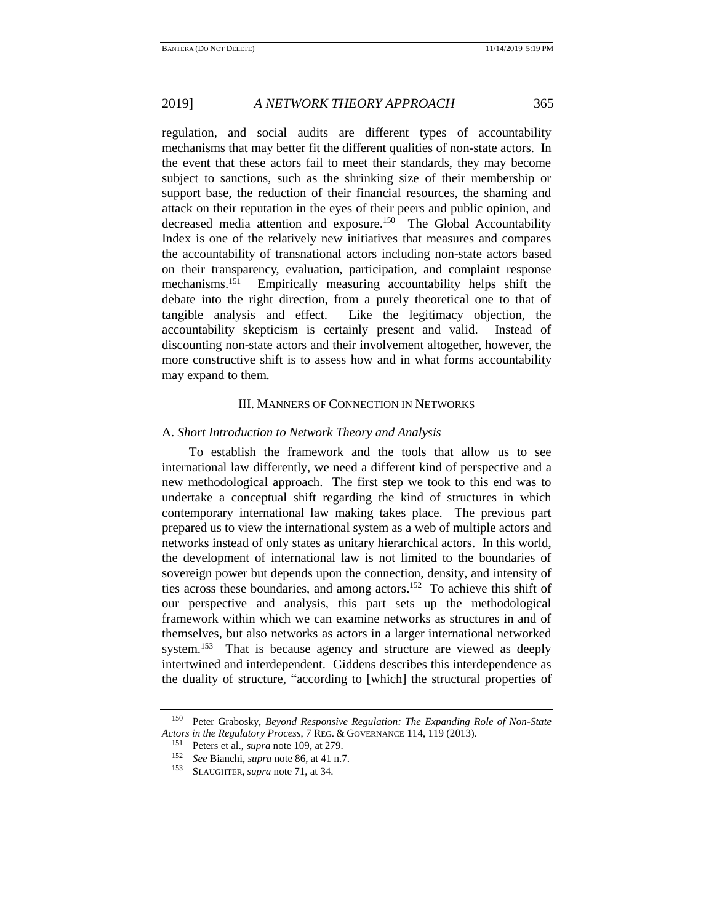regulation, and social audits are different types of accountability mechanisms that may better fit the different qualities of non-state actors. In the event that these actors fail to meet their standards, they may become subject to sanctions, such as the shrinking size of their membership or support base, the reduction of their financial resources, the shaming and attack on their reputation in the eyes of their peers and public opinion, and decreased media attention and exposure.<sup>150</sup> The Global Accountability Index is one of the relatively new initiatives that measures and compares the accountability of transnational actors including non-state actors based on their transparency, evaluation, participation, and complaint response mechanisms.<sup>151</sup> Empirically measuring accountability helps shift the debate into the right direction, from a purely theoretical one to that of tangible analysis and effect. Like the legitimacy objection, the accountability skepticism is certainly present and valid. Instead of discounting non-state actors and their involvement altogether, however, the more constructive shift is to assess how and in what forms accountability may expand to them.

## III. MANNERS OF CONNECTION IN NETWORKS

## A. *Short Introduction to Network Theory and Analysis*

To establish the framework and the tools that allow us to see international law differently, we need a different kind of perspective and a new methodological approach. The first step we took to this end was to undertake a conceptual shift regarding the kind of structures in which contemporary international law making takes place. The previous part prepared us to view the international system as a web of multiple actors and networks instead of only states as unitary hierarchical actors. In this world, the development of international law is not limited to the boundaries of sovereign power but depends upon the connection, density, and intensity of ties across these boundaries, and among actors. 152 To achieve this shift of our perspective and analysis, this part sets up the methodological framework within which we can examine networks as structures in and of themselves, but also networks as actors in a larger international networked system.<sup>153</sup> That is because agency and structure are viewed as deeply intertwined and interdependent. Giddens describes this interdependence as the duality of structure, "according to [which] the structural properties of

<sup>150</sup> Peter Grabosky, *Beyond Responsive Regulation: The Expanding Role of Non-State Actors in the Regulatory Process*, 7 REG. & GOVERNANCE 114, 119 (2013).

<sup>151</sup> Peters et al., *supra* note [109,](#page-19-0) at 279.

<sup>&</sup>lt;sup>152</sup> *See* Bianchi, *supra* note [86,](#page-15-0) at 41 n.7.<br><sup>153</sup> SLAUGUEED *supra* pote 71, at 34

SLAUGHTER, *supra* not[e 71,](#page-12-0) at 34.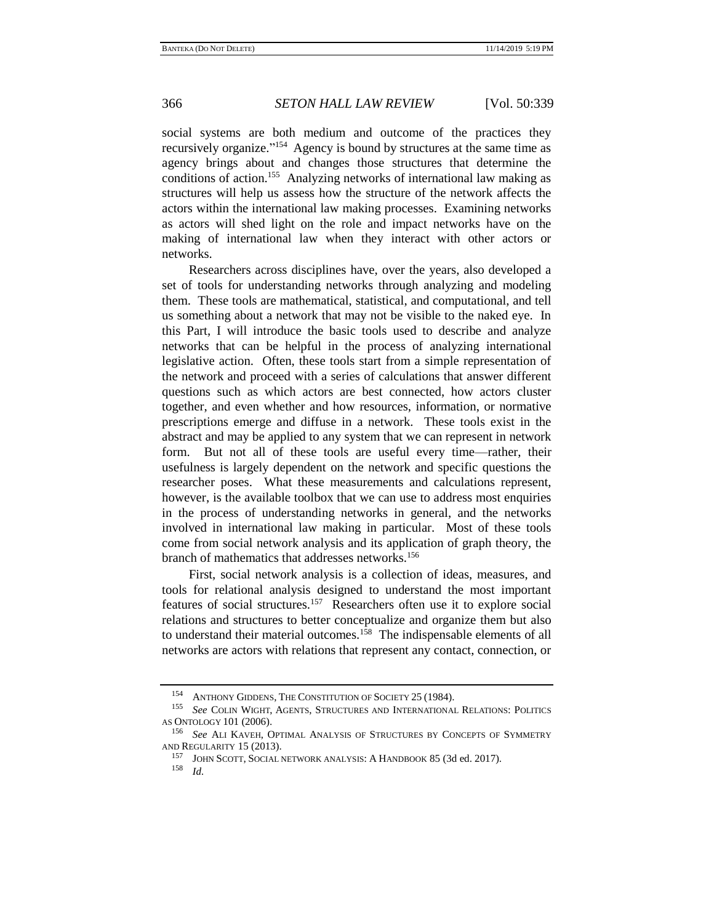<span id="page-27-0"></span>

social systems are both medium and outcome of the practices they recursively organize."<sup>154</sup> Agency is bound by structures at the same time as agency brings about and changes those structures that determine the conditions of action.<sup>155</sup> Analyzing networks of international law making as structures will help us assess how the structure of the network affects the actors within the international law making processes. Examining networks as actors will shed light on the role and impact networks have on the making of international law when they interact with other actors or networks.

Researchers across disciplines have, over the years, also developed a set of tools for understanding networks through analyzing and modeling them. These tools are mathematical, statistical, and computational, and tell us something about a network that may not be visible to the naked eye. In this Part, I will introduce the basic tools used to describe and analyze networks that can be helpful in the process of analyzing international legislative action. Often, these tools start from a simple representation of the network and proceed with a series of calculations that answer different questions such as which actors are best connected, how actors cluster together, and even whether and how resources, information, or normative prescriptions emerge and diffuse in a network. These tools exist in the abstract and may be applied to any system that we can represent in network form. But not all of these tools are useful every time—rather, their usefulness is largely dependent on the network and specific questions the researcher poses. What these measurements and calculations represent, however, is the available toolbox that we can use to address most enquiries in the process of understanding networks in general, and the networks involved in international law making in particular. Most of these tools come from social network analysis and its application of graph theory, the branch of mathematics that addresses networks.<sup>156</sup>

<span id="page-27-1"></span>First, social network analysis is a collection of ideas, measures, and tools for relational analysis designed to understand the most important features of social structures.<sup>157</sup> Researchers often use it to explore social relations and structures to better conceptualize and organize them but also to understand their material outcomes.<sup>158</sup> The indispensable elements of all networks are actors with relations that represent any contact, connection, or

<sup>&</sup>lt;sup>154</sup> ANTHONY GIDDENS, THE CONSTITUTION OF SOCIETY 25 (1984).

**See COLIN WIGHT, AGENTS, STRUCTURES AND INTERNATIONAL RELATIONS: POLITICS** AS ONTOLOGY 101 (2006).

<sup>156</sup> *See* ALI KAVEH, OPTIMAL ANALYSIS OF STRUCTURES BY CONCEPTS OF SYMMETRY AND REGULARITY 15 (2013).

<sup>&</sup>lt;sup>157</sup> JOHN SCOTT, SOCIAL NETWORK ANALYSIS: A HANDBOOK 85 (3d ed. 2017).<br><sup>158</sup> Id

*Id.*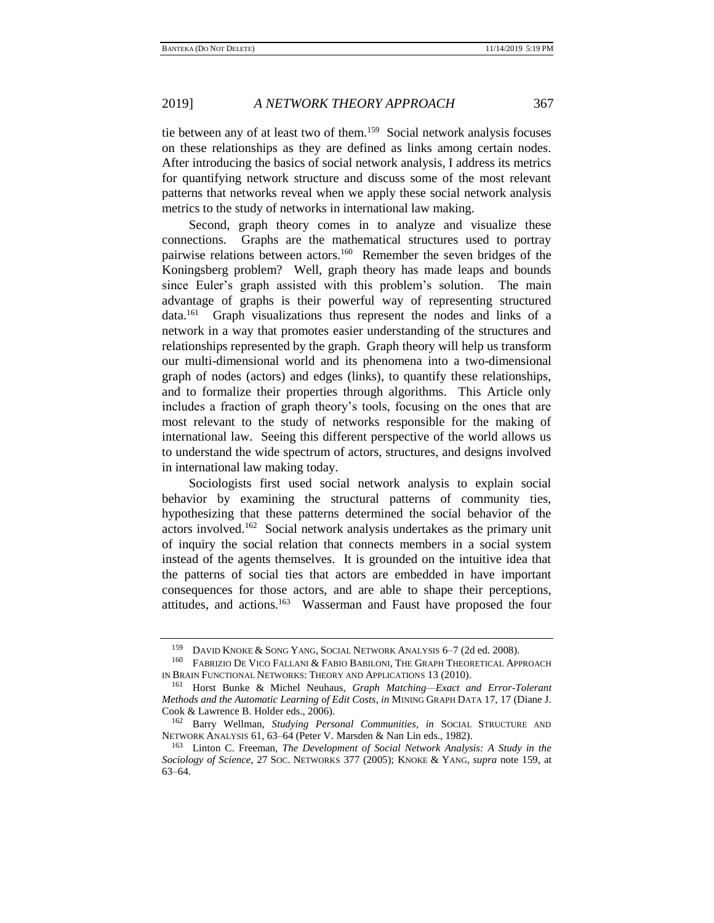<span id="page-28-0"></span>tie between any of at least two of them.<sup>159</sup> Social network analysis focuses on these relationships as they are defined as links among certain nodes. After introducing the basics of social network analysis, I address its metrics for quantifying network structure and discuss some of the most relevant patterns that networks reveal when we apply these social network analysis metrics to the study of networks in international law making.

Second, graph theory comes in to analyze and visualize these connections. Graphs are the mathematical structures used to portray pairwise relations between actors.<sup>160</sup> Remember the seven bridges of the Koningsberg problem? Well, graph theory has made leaps and bounds since Euler's graph assisted with this problem's solution. The main advantage of graphs is their powerful way of representing structured data. 161 Graph visualizations thus represent the nodes and links of a network in a way that promotes easier understanding of the structures and relationships represented by the graph. Graph theory will help us transform our multi-dimensional world and its phenomena into a two-dimensional graph of nodes (actors) and edges (links), to quantify these relationships, and to formalize their properties through algorithms. This Article only includes a fraction of graph theory's tools, focusing on the ones that are most relevant to the study of networks responsible for the making of international law. Seeing this different perspective of the world allows us to understand the wide spectrum of actors, structures, and designs involved in international law making today.

<span id="page-28-1"></span>Sociologists first used social network analysis to explain social behavior by examining the structural patterns of community ties, hypothesizing that these patterns determined the social behavior of the actors involved.<sup>162</sup> Social network analysis undertakes as the primary unit of inquiry the social relation that connects members in a social system instead of the agents themselves. It is grounded on the intuitive idea that the patterns of social ties that actors are embedded in have important consequences for those actors, and are able to shape their perceptions, attitudes, and actions.<sup>163</sup> Wasserman and Faust have proposed the four

<sup>159</sup> DAVID KNOKE & SONG YANG, SOCIAL NETWORK ANALYSIS 6–7 (2d ed. 2008).

<sup>160</sup> FABRIZIO DE VICO FALLANI & FABIO BABILONI, THE GRAPH THEORETICAL APPROACH IN BRAIN FUNCTIONAL NETWORKS: THEORY AND APPLICATIONS 13 (2010).

<sup>161</sup> Horst Bunke & Michel Neuhaus, *Graph Matching—Exact and Error-Tolerant Methods and the Automatic Learning of Edit Costs*, *in* MINING GRAPH DATA 17, 17 (Diane J. Cook & Lawrence B. Holder eds., 2006).

<sup>162</sup> Barry Wellman, *Studying Personal Communities*, *in* SOCIAL STRUCTURE AND NETWORK ANALYSIS 61, 63–64 (Peter V. Marsden & Nan Lin eds., 1982).

<sup>163</sup> Linton C. Freeman, *The Development of Social Network Analysis: A Study in the Sociology of Science*, 27 SOC. NETWORKS 377 (2005); KNOKE & YANG, *supra* note [159,](#page-27-0) at 63–64.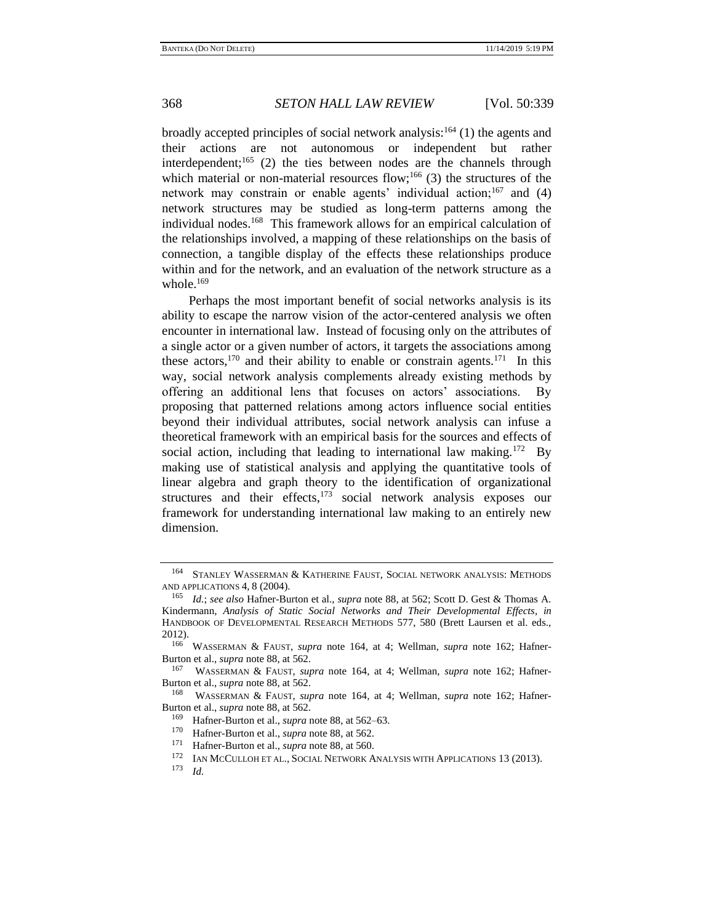broadly accepted principles of social network analysis: $164$  (1) the agents and their actions are not autonomous or independent but rather interdependent;<sup>165</sup> (2) the ties between nodes are the channels through which material or non-material resources flow; $166$  (3) the structures of the network may constrain or enable agents' individual action;<sup>167</sup> and  $(4)$ network structures may be studied as long-term patterns among the individual nodes.<sup>168</sup> This framework allows for an empirical calculation of the relationships involved, a mapping of these relationships on the basis of connection, a tangible display of the effects these relationships produce within and for the network, and an evaluation of the network structure as a whole. $169$ 

Perhaps the most important benefit of social networks analysis is its ability to escape the narrow vision of the actor-centered analysis we often encounter in international law. Instead of focusing only on the attributes of a single actor or a given number of actors, it targets the associations among these actors,<sup>170</sup> and their ability to enable or constrain agents.<sup>171</sup> In this way, social network analysis complements already existing methods by offering an additional lens that focuses on actors' associations. By proposing that patterned relations among actors influence social entities beyond their individual attributes, social network analysis can infuse a theoretical framework with an empirical basis for the sources and effects of social action, including that leading to international law making.<sup>172</sup> By making use of statistical analysis and applying the quantitative tools of linear algebra and graph theory to the identification of organizational structures and their effects, $173$  social network analysis exposes our framework for understanding international law making to an entirely new dimension.

<span id="page-29-0"></span><sup>164</sup> STANLEY WASSERMAN & KATHERINE FAUST, SOCIAL NETWORK ANALYSIS: METHODS AND APPLICATIONS 4, 8 (2004).

<sup>165</sup> *Id.*; *see also* Hafner-Burton et al., *supra* not[e 88,](#page-15-1) at 562; Scott D. Gest & Thomas A. Kindermann, *Analysis of Static Social Networks and Their Developmental Effects*, *in* HANDBOOK OF DEVELOPMENTAL RESEARCH METHODS 577, 580 (Brett Laursen et al. eds.,  $2012$ ).<br>166

<sup>166</sup> WASSERMAN & FAUST, *supra* note [164,](#page-28-0) at 4; Wellman, *supra* note [162;](#page-28-1) Hafner-Burton et al., *supra* not[e 88,](#page-15-1) at 562.

<sup>167</sup> WASSERMAN & FAUST, *supra* note [164,](#page-28-0) at 4; Wellman, *supra* note [162;](#page-28-1) Hafner-Burton et al., *supra* not[e 88,](#page-15-1) at 562.

<sup>168</sup> WASSERMAN & FAUST, *supra* note [164,](#page-28-0) at 4; Wellman, *supra* note [162;](#page-28-1) Hafner-Burton et al., *supra* not[e 88,](#page-15-1) at 562.

<sup>169</sup> Hafner-Burton et al., *supra* note [88,](#page-15-1) at 562–63.

<sup>170</sup> Hafner-Burton et al., *supra* note [88,](#page-15-1) at 562.

<sup>171</sup> Hafner-Burton et al., *supra* note [88,](#page-15-1) at 560.<br><sup>172</sup> JAN MCCULOHET AL SOCIAL NETWORK A

IAN MCCULLOH ET AL., SOCIAL NETWORK ANALYSIS WITH APPLICATIONS 13 (2013).

<sup>173</sup> *Id.*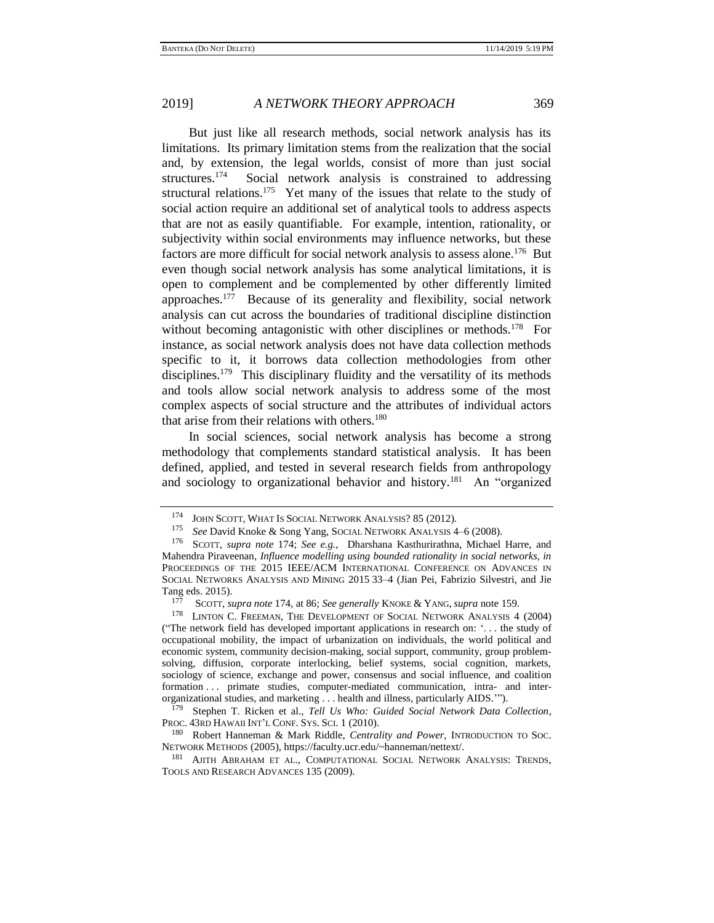<span id="page-30-0"></span>But just like all research methods, social network analysis has its limitations. Its primary limitation stems from the realization that the social and, by extension, the legal worlds, consist of more than just social structures.<sup>174</sup> Social network analysis is constrained to addressing structural relations.<sup>175</sup> Yet many of the issues that relate to the study of social action require an additional set of analytical tools to address aspects that are not as easily quantifiable. For example, intention, rationality, or subjectivity within social environments may influence networks, but these factors are more difficult for social network analysis to assess alone.<sup>176</sup> But even though social network analysis has some analytical limitations, it is open to complement and be complemented by other differently limited approaches.<sup>177</sup> Because of its generality and flexibility, social network analysis can cut across the boundaries of traditional discipline distinction without becoming antagonistic with other disciplines or methods.<sup>178</sup> For instance, as social network analysis does not have data collection methods specific to it, it borrows data collection methodologies from other disciplines.<sup>179</sup> This disciplinary fluidity and the versatility of its methods and tools allow social network analysis to address some of the most complex aspects of social structure and the attributes of individual actors that arise from their relations with others.<sup>180</sup>

<span id="page-30-2"></span>In social sciences, social network analysis has become a strong methodology that complements standard statistical analysis. It has been defined, applied, and tested in several research fields from anthropology and sociology to organizational behavior and history.<sup>181</sup> An "organized

<span id="page-30-1"></span>

<sup>&</sup>lt;sup>174</sup> JOHN SCOTT, WHAT IS SOCIAL NETWORK ANALYSIS? 85 (2012).

See David Knoke & Song Yang, Social NETWORK ANALYSIS 4-6 (2008).

<sup>176</sup> SCOTT, *supra note* [174;](#page-30-0) *See e.g.*, Dharshana Kasthurirathna, Michael Harre, and Mahendra Piraveenan, *Influence modelling using bounded rationality in social networks, in* PROCEEDINGS OF THE 2015 IEEE/ACM INTERNATIONAL CONFERENCE ON ADVANCES IN SOCIAL NETWORKS ANALYSIS AND MINING 2015 33–4 (Jian Pei, Fabrizio Silvestri, and Jie Tang eds. 2015).

<sup>177</sup> SCOTT, *supra note* [174,](#page-30-0) at 86; *See generally* KNOKE & YANG, *supra* note [159.](#page-27-0)

<sup>&</sup>lt;sup>178</sup> LINTON C. FREEMAN, THE DEVELOPMENT OF SOCIAL NETWORK ANALYSIS 4 (2004) ("The network field has developed important applications in research on: '. . . the study of occupational mobility, the impact of urbanization on individuals, the world political and economic system, community decision-making, social support, community, group problemsolving, diffusion, corporate interlocking, belief systems, social cognition, markets, sociology of science, exchange and power, consensus and social influence, and coalition formation . . . primate studies, computer-mediated communication, intra- and interorganizational studies, and marketing . . . health and illness, particularly AIDS.'").

<sup>179</sup> Stephen T. Ricken et al., *Tell Us Who: Guided Social Network Data Collection*, PROC. 43RD HAWAII INT'L CONF. SYS. SCI. 1 (2010).

<sup>180</sup> Robert Hanneman & Mark Riddle, *Centrality and Power*, INTRODUCTION TO SOC. NETWORK METHODS (2005), https://faculty.ucr.edu/~hanneman/nettext/.

<sup>&</sup>lt;sup>181</sup> AJITH ABRAHAM ET AL., COMPUTATIONAL SOCIAL NETWORK ANALYSIS: TRENDS, TOOLS AND RESEARCH ADVANCES 135 (2009).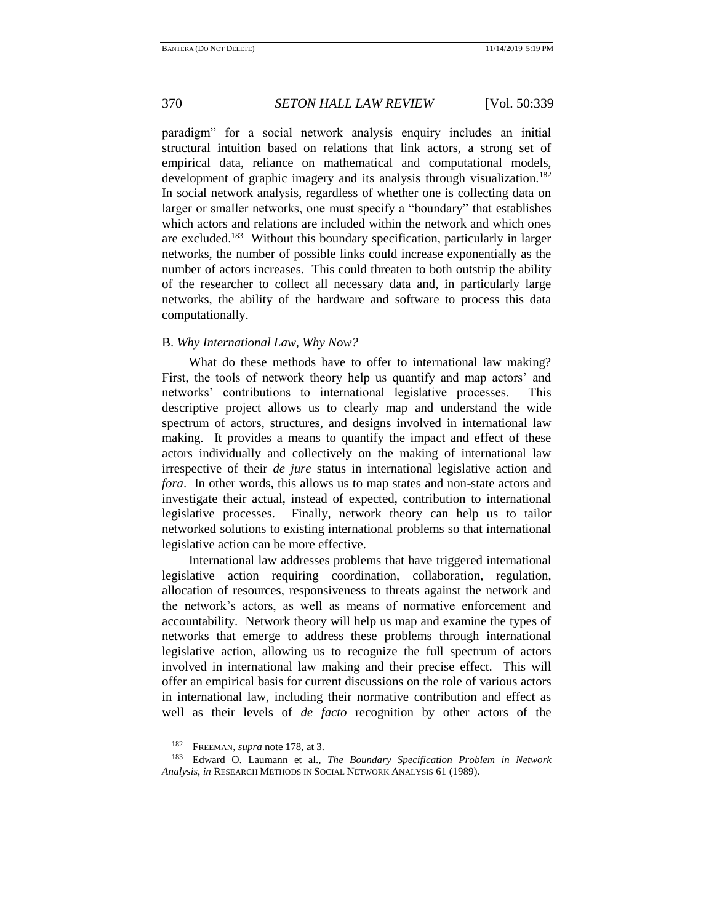paradigm" for a social network analysis enquiry includes an initial structural intuition based on relations that link actors, a strong set of empirical data, reliance on mathematical and computational models, development of graphic imagery and its analysis through visualization.<sup>182</sup> In social network analysis, regardless of whether one is collecting data on larger or smaller networks, one must specify a "boundary" that establishes which actors and relations are included within the network and which ones are excluded.<sup>183</sup> Without this boundary specification, particularly in larger networks, the number of possible links could increase exponentially as the number of actors increases. This could threaten to both outstrip the ability of the researcher to collect all necessary data and, in particularly large networks, the ability of the hardware and software to process this data computationally.

# B. *Why International Law, Why Now?*

What do these methods have to offer to international law making? First, the tools of network theory help us quantify and map actors' and networks' contributions to international legislative processes. This descriptive project allows us to clearly map and understand the wide spectrum of actors, structures, and designs involved in international law making. It provides a means to quantify the impact and effect of these actors individually and collectively on the making of international law irrespective of their *de jure* status in international legislative action and *fora*. In other words, this allows us to map states and non-state actors and investigate their actual, instead of expected, contribution to international legislative processes. Finally, network theory can help us to tailor networked solutions to existing international problems so that international legislative action can be more effective.

International law addresses problems that have triggered international legislative action requiring coordination, collaboration, regulation, allocation of resources, responsiveness to threats against the network and the network's actors, as well as means of normative enforcement and accountability. Network theory will help us map and examine the types of networks that emerge to address these problems through international legislative action, allowing us to recognize the full spectrum of actors involved in international law making and their precise effect. This will offer an empirical basis for current discussions on the role of various actors in international law, including their normative contribution and effect as well as their levels of *de facto* recognition by other actors of the

<sup>182</sup> FREEMAN, *supra* note [178,](#page-30-1) at 3.

<sup>183</sup> Edward O. Laumann et al., *The Boundary Specification Problem in Network Analysis*, *in* RESEARCH METHODS IN SOCIAL NETWORK ANALYSIS 61 (1989).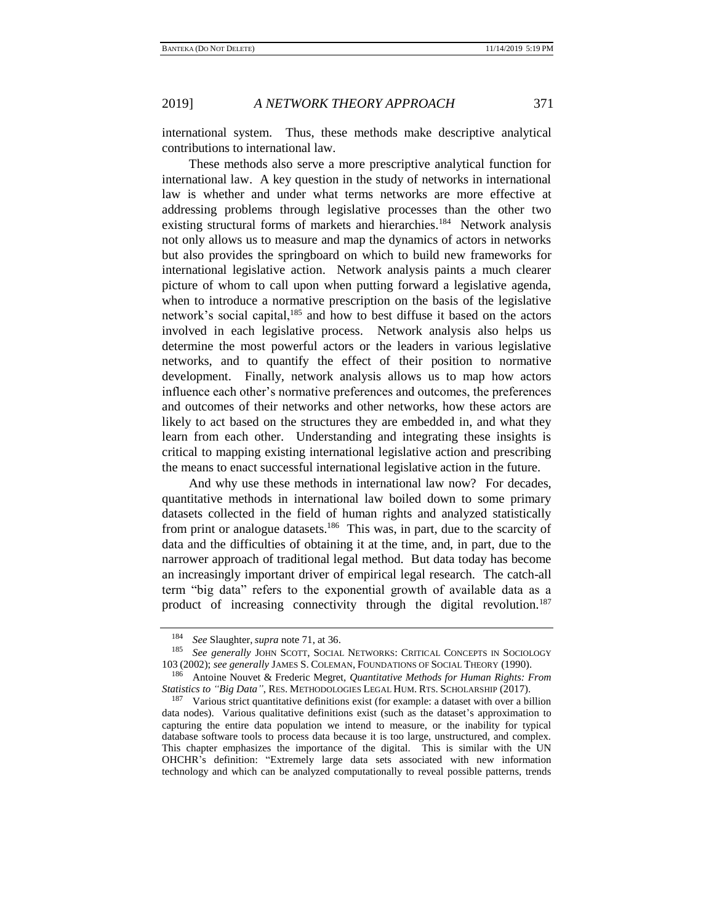international system. Thus, these methods make descriptive analytical contributions to international law.

<span id="page-32-0"></span>These methods also serve a more prescriptive analytical function for international law. A key question in the study of networks in international law is whether and under what terms networks are more effective at addressing problems through legislative processes than the other two existing structural forms of markets and hierarchies.<sup>184</sup> Network analysis not only allows us to measure and map the dynamics of actors in networks but also provides the springboard on which to build new frameworks for international legislative action. Network analysis paints a much clearer picture of whom to call upon when putting forward a legislative agenda, when to introduce a normative prescription on the basis of the legislative network's social capital, $185$  and how to best diffuse it based on the actors involved in each legislative process. Network analysis also helps us determine the most powerful actors or the leaders in various legislative networks, and to quantify the effect of their position to normative development. Finally, network analysis allows us to map how actors influence each other's normative preferences and outcomes, the preferences and outcomes of their networks and other networks, how these actors are likely to act based on the structures they are embedded in, and what they learn from each other. Understanding and integrating these insights is critical to mapping existing international legislative action and prescribing the means to enact successful international legislative action in the future.

And why use these methods in international law now? For decades, quantitative methods in international law boiled down to some primary datasets collected in the field of human rights and analyzed statistically from print or analogue datasets.<sup>186</sup> This was, in part, due to the scarcity of data and the difficulties of obtaining it at the time, and, in part, due to the narrower approach of traditional legal method. But data today has become an increasingly important driver of empirical legal research. The catch-all term "big data" refers to the exponential growth of available data as a product of increasing connectivity through the digital revolution.<sup>187</sup>

<sup>&</sup>lt;sup>184</sup> *See* Slaughter, *supra* note [71,](#page-12-0) at 36.<br><sup>185</sup> See generally JOIN SCOTT SOCIAL

See generally JOHN SCOTT, SOCIAL NETWORKS: CRITICAL CONCEPTS IN SOCIOLOGY 103 (2002); *see generally* JAMES S. COLEMAN, FOUNDATIONS OF SOCIAL THEORY (1990).

<sup>186</sup> Antoine Nouvet & Frederic Megret, *Quantitative Methods for Human Rights: From Statistics to "Big Data"*, RES. METHODOLOGIES LEGAL HUM. RTS. SCHOLARSHIP (2017).

<sup>&</sup>lt;sup>187</sup> Various strict quantitative definitions exist (for example: a dataset with over a billion data nodes). Various qualitative definitions exist (such as the dataset's approximation to capturing the entire data population we intend to measure, or the inability for typical database software tools to process data because it is too large, unstructured, and complex. This chapter emphasizes the importance of the digital. This is similar with the UN OHCHR's definition: "Extremely large data sets associated with new information technology and which can be analyzed computationally to reveal possible patterns, trends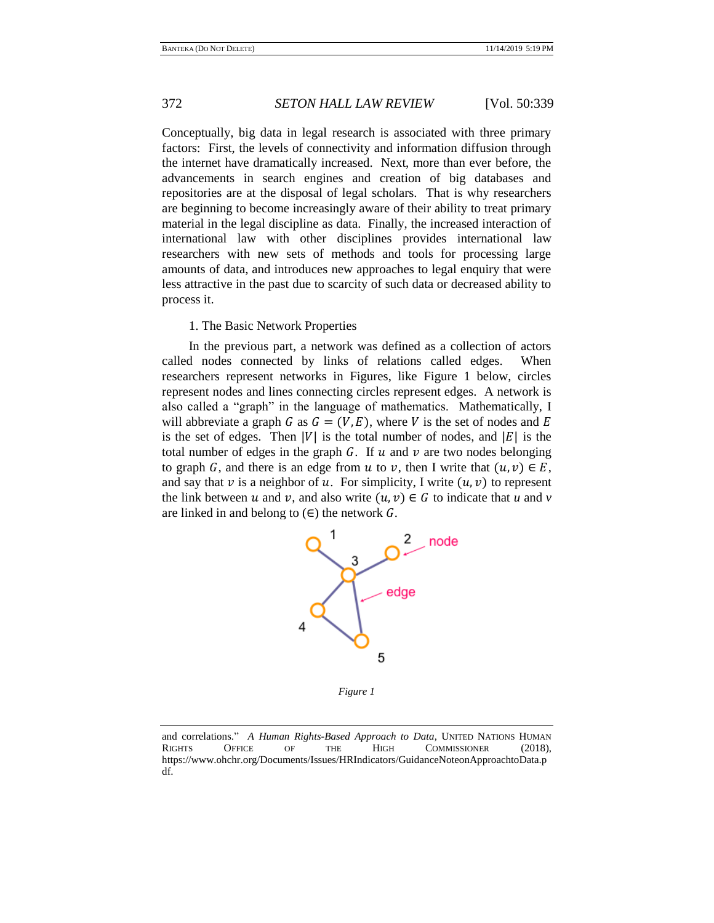Conceptually, big data in legal research is associated with three primary factors: First, the levels of connectivity and information diffusion through the internet have dramatically increased. Next, more than ever before, the advancements in search engines and creation of big databases and repositories are at the disposal of legal scholars. That is why researchers are beginning to become increasingly aware of their ability to treat primary material in the legal discipline as data. Finally, the increased interaction of international law with other disciplines provides international law researchers with new sets of methods and tools for processing large amounts of data, and introduces new approaches to legal enquiry that were less attractive in the past due to scarcity of such data or decreased ability to process it.

## 1. The Basic Network Properties

In the previous part, a network was defined as a collection of actors called nodes connected by links of relations called edges. When researchers represent networks in Figures, like Figure 1 below, circles represent nodes and lines connecting circles represent edges. A network is also called a "graph" in the language of mathematics. Mathematically, I will abbreviate a graph G as  $G = (V, E)$ , where V is the set of nodes and E is the set of edges. Then  $|V|$  is the total number of nodes, and  $|E|$  is the total number of edges in the graph  $G$ . If  $u$  and  $v$  are two nodes belonging to graph *G*, and there is an edge from *u* to *v*, then I write that  $(u, v) \in E$ , and say that v is a neighbor of u. For simplicity, I write  $(u, v)$  to represent the link between u and v, and also write  $(u, v) \in G$  to indicate that u and v are linked in and belong to  $(\epsilon)$  the network  $\mathcal{G}$ .



*Figure 1*

and correlations." *A Human Rights-Based Approach to Data*, UNITED NATIONS HUMAN RIGHTS OF THE HIGH COMMISSIONER (2018). RIGHTS OFFICE OF THE HIGH COMMISSIONER (2018), https://www.ohchr.org/Documents/Issues/HRIndicators/GuidanceNoteonApproachtoData.p df.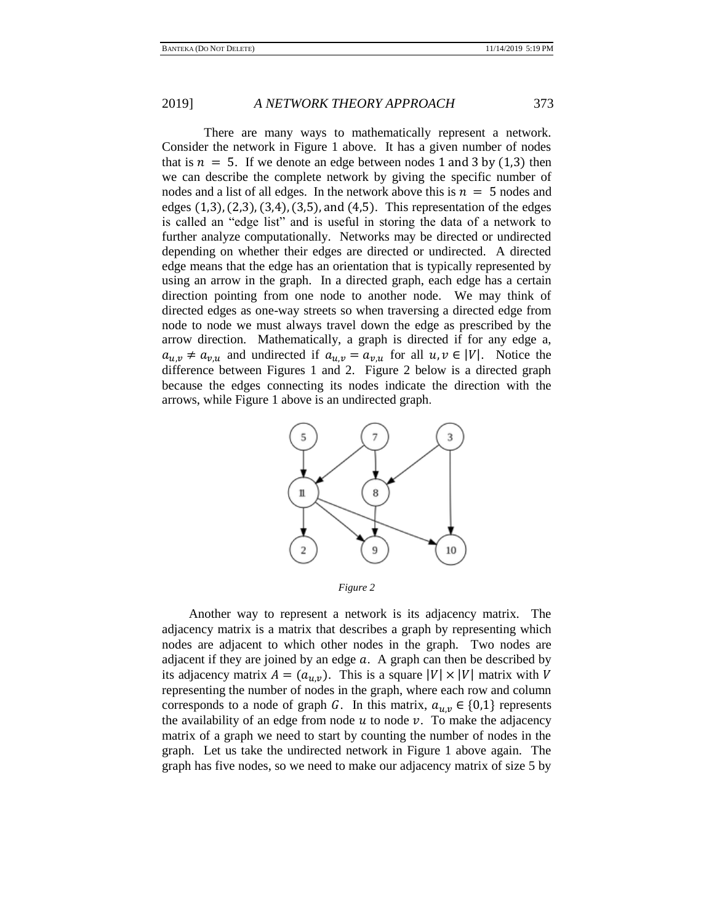There are many ways to mathematically represent a network. Consider the network in Figure 1 above. It has a given number of nodes that is  $n = 5$ . If we denote an edge between nodes 1 and 3 by (1,3) then we can describe the complete network by giving the specific number of nodes and a list of all edges. In the network above this is  $n = 5$  nodes and edges  $(1,3)$ ,  $(2,3)$ ,  $(3,4)$ ,  $(3,5)$ , and  $(4,5)$ . This representation of the edges is called an "edge list" and is useful in storing the data of a network to further analyze computationally. Networks may be directed or undirected depending on whether their edges are directed or undirected. A directed edge means that the edge has an orientation that is typically represented by using an arrow in the graph. In a directed graph, each edge has a certain direction pointing from one node to another node. We may think of directed edges as one-way streets so when traversing a directed edge from node to node we must always travel down the edge as prescribed by the arrow direction. Mathematically, a graph is directed if for any edge a,  $a_{u,v} \neq a_{v,u}$  and undirected if  $a_{u,v} = a_{v,u}$  for all  $u, v \in |V|$ . Notice the difference between Figures 1 and 2. Figure 2 below is a directed graph because the edges connecting its nodes indicate the direction with the arrows, while Figure 1 above is an undirected graph.



*Figure 2*

Another way to represent a network is its adjacency matrix. The adjacency matrix is a matrix that describes a graph by representing which nodes are adjacent to which other nodes in the graph. Two nodes are adjacent if they are joined by an edge  $a$ . A graph can then be described by its adjacency matrix  $A = (a_{u,v})$ . This is a square  $|V| \times |V|$  matrix with V representing the number of nodes in the graph, where each row and column corresponds to a node of graph G. In this matrix,  $a_{u,v} \in \{0,1\}$  represents the availability of an edge from node  $u$  to node  $v$ . To make the adjacency matrix of a graph we need to start by counting the number of nodes in the graph. Let us take the undirected network in Figure 1 above again. The graph has five nodes, so we need to make our adjacency matrix of size 5 by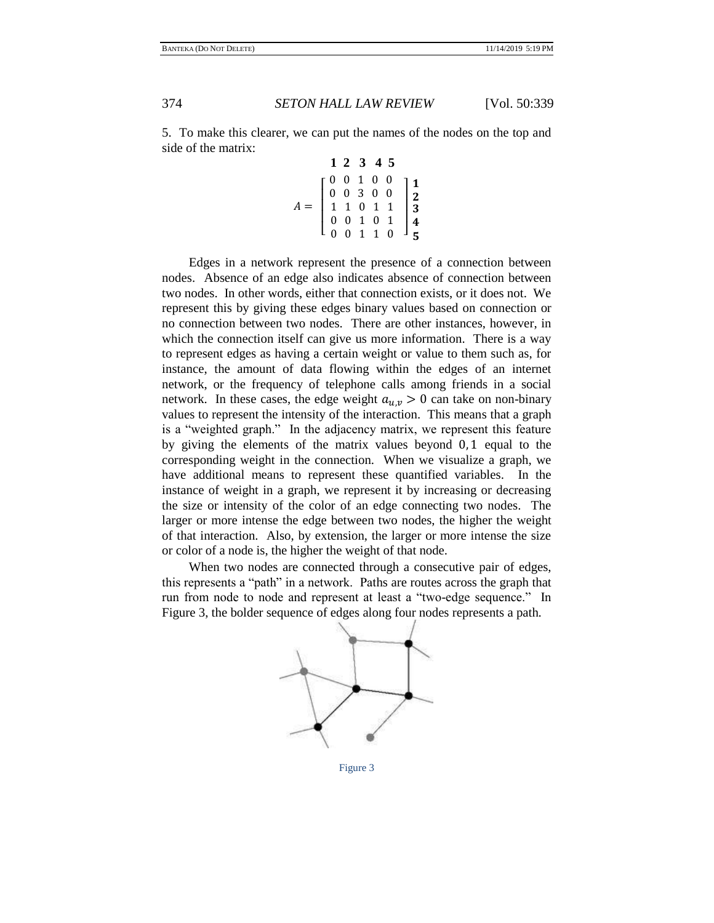5. To make this clearer, we can put the names of the nodes on the top and side of the matrix:

|  |  | 1 2 3 4 5 |                                                                                                                                                                                                                                                           |
|--|--|-----------|-----------------------------------------------------------------------------------------------------------------------------------------------------------------------------------------------------------------------------------------------------------|
|  |  |           | $\left[ \begin{array}{ccccccc} 0 & 0 & 1 & 0 & 0 \\ 0 & 0 & 3 & 0 & 0 \\ 1 & 1 & 0 & 1 & 1 \\ 0 & 0 & 1 & 0 & 1 \\ 0 & 0 & 1 & 1 & 0 \end{array} \right] \left. \begin{array}{c} {\bf 1} \\ {\bf 2} \\ {\bf 3} \\ {\bf 4} \\ {\bf 5} \end{array} \right.$ |
|  |  |           |                                                                                                                                                                                                                                                           |
|  |  |           |                                                                                                                                                                                                                                                           |
|  |  |           |                                                                                                                                                                                                                                                           |
|  |  |           |                                                                                                                                                                                                                                                           |

Edges in a network represent the presence of a connection between nodes. Absence of an edge also indicates absence of connection between two nodes. In other words, either that connection exists, or it does not. We represent this by giving these edges binary values based on connection or no connection between two nodes. There are other instances, however, in which the connection itself can give us more information. There is a way to represent edges as having a certain weight or value to them such as, for instance, the amount of data flowing within the edges of an internet network, or the frequency of telephone calls among friends in a social network. In these cases, the edge weight  $a_{u,v} > 0$  can take on non-binary values to represent the intensity of the interaction. This means that a graph is a "weighted graph." In the adjacency matrix, we represent this feature by giving the elements of the matrix values beyond 0, 1 equal to the corresponding weight in the connection. When we visualize a graph, we have additional means to represent these quantified variables. In the instance of weight in a graph, we represent it by increasing or decreasing the size or intensity of the color of an edge connecting two nodes. The larger or more intense the edge between two nodes, the higher the weight of that interaction. Also, by extension, the larger or more intense the size or color of a node is, the higher the weight of that node.

When two nodes are connected through a consecutive pair of edges, this represents a "path" in a network. Paths are routes across the graph that run from node to node and represent at least a "two-edge sequence." In Figure 3, the bolder sequence of edges along four nodes represents a path.



Figure 3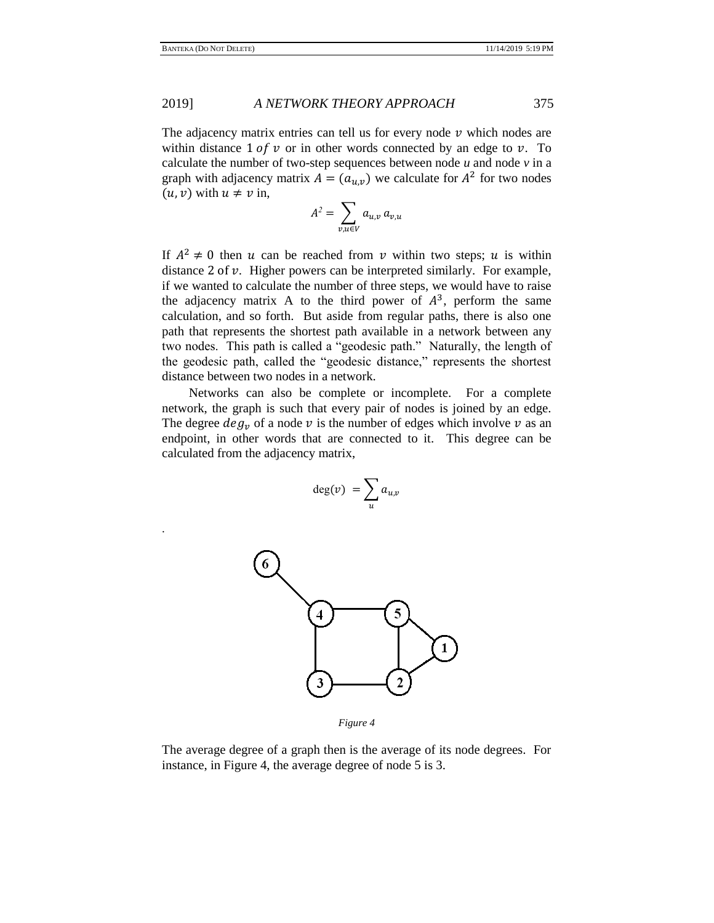.

## 2019] *A NETWORK THEORY APPROACH* 375

The adjacency matrix entries can tell us for every node  $\nu$  which nodes are within distance  $1 of v$  or in other words connected by an edge to  $v$ . To calculate the number of two-step sequences between node *u* and node *v* in a graph with adjacency matrix  $A = (a_{u,v})$  we calculate for  $A^2$  for two nodes  $(u, v)$  with  $u \neq v$  in,

$$
A^2 = \sum_{v,u \in V} a_{u,v} a_{v,u}
$$

If  $A^2 \neq 0$  then u can be reached from v within two steps; u is within distance  $2$  of  $\nu$ . Higher powers can be interpreted similarly. For example, if we wanted to calculate the number of three steps, we would have to raise the adjacency matrix A to the third power of  $A<sup>3</sup>$ , perform the same calculation, and so forth. But aside from regular paths, there is also one path that represents the shortest path available in a network between any two nodes. This path is called a "geodesic path." Naturally, the length of the geodesic path, called the "geodesic distance," represents the shortest distance between two nodes in a network.

Networks can also be complete or incomplete. For a complete network, the graph is such that every pair of nodes is joined by an edge. The degree  $deg_v$  of a node v is the number of edges which involve v as an endpoint, in other words that are connected to it. This degree can be calculated from the adjacency matrix,

$$
\deg(v) = \sum_{u} a_{u,v}
$$



*Figure 4*

The average degree of a graph then is the average of its node degrees. For instance, in Figure 4, the average degree of node 5 is 3.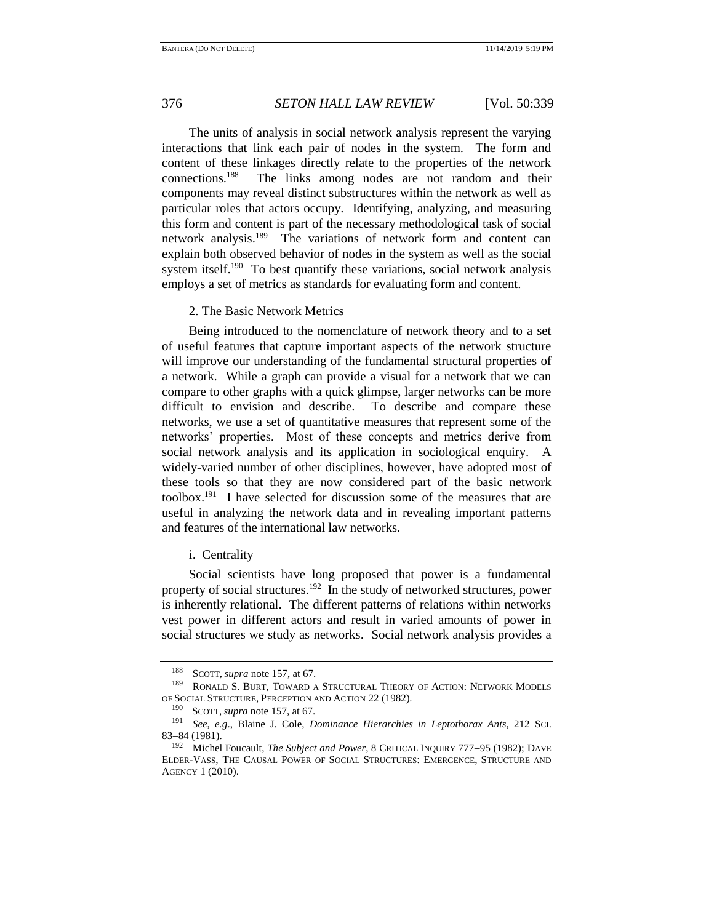The units of analysis in social network analysis represent the varying interactions that link each pair of nodes in the system. The form and content of these linkages directly relate to the properties of the network connections.<sup>188</sup> The links among nodes are not random and their components may reveal distinct substructures within the network as well as particular roles that actors occupy. Identifying, analyzing, and measuring this form and content is part of the necessary methodological task of social network analysis.<sup>189</sup> The variations of network form and content can explain both observed behavior of nodes in the system as well as the social system itself.<sup>190</sup> To best quantify these variations, social network analysis employs a set of metrics as standards for evaluating form and content.

<span id="page-37-0"></span>2. The Basic Network Metrics

Being introduced to the nomenclature of network theory and to a set of useful features that capture important aspects of the network structure will improve our understanding of the fundamental structural properties of a network. While a graph can provide a visual for a network that we can compare to other graphs with a quick glimpse, larger networks can be more difficult to envision and describe. To describe and compare these networks, we use a set of quantitative measures that represent some of the networks' properties. Most of these concepts and metrics derive from social network analysis and its application in sociological enquiry. A widely-varied number of other disciplines, however, have adopted most of these tools so that they are now considered part of the basic network toolbox.<sup>191</sup> I have selected for discussion some of the measures that are useful in analyzing the network data and in revealing important patterns and features of the international law networks.

i. Centrality

Social scientists have long proposed that power is a fundamental property of social structures.<sup>192</sup> In the study of networked structures, power is inherently relational. The different patterns of relations within networks vest power in different actors and result in varied amounts of power in social structures we study as networks. Social network analysis provides a

<sup>188</sup> SCOTT, *supra* note [157,](#page-27-1) at 67.

RONALD S. BURT, TOWARD A STRUCTURAL THEORY OF ACTION: NETWORK MODELS OF SOCIAL STRUCTURE, PERCEPTION AND ACTION 22 (1982).

<sup>&</sup>lt;sup>190</sup> SCOTT, *supra* not[e 157,](#page-27-1) at 67.

<sup>191</sup> *See, e.g*., Blaine J. Cole, *Dominance Hierarchies in Leptothorax Ants*, 212 SCI. 83−84 (1981).

<sup>192</sup> Michel Foucault, *The Subject and Power*, 8 CRITICAL INQUIRY 777−95 (1982); DAVE ELDER‐VASS, THE CAUSAL POWER OF SOCIAL STRUCTURES: EMERGENCE, STRUCTURE AND AGENCY 1 (2010).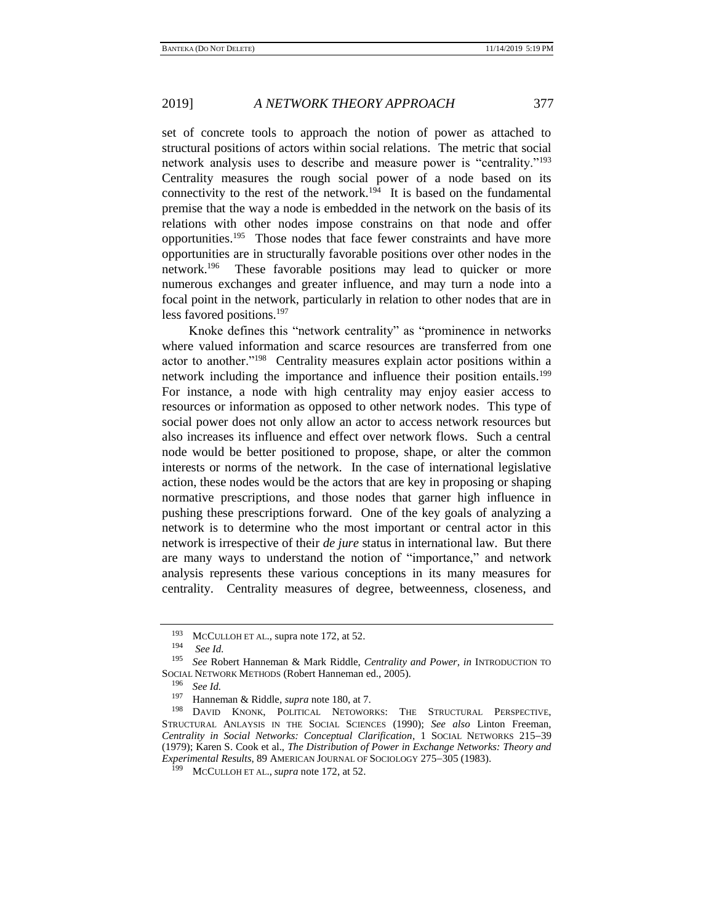set of concrete tools to approach the notion of power as attached to structural positions of actors within social relations. The metric that social network analysis uses to describe and measure power is "centrality."<sup>193</sup> Centrality measures the rough social power of a node based on its connectivity to the rest of the network.<sup>194</sup> It is based on the fundamental premise that the way a node is embedded in the network on the basis of its relations with other nodes impose constrains on that node and offer opportunities.<sup>195</sup> Those nodes that face fewer constraints and have more opportunities are in structurally favorable positions over other nodes in the network.<sup>196</sup> These favorable positions may lead to quicker or more numerous exchanges and greater influence, and may turn a node into a focal point in the network, particularly in relation to other nodes that are in less favored positions.<sup>197</sup>

<span id="page-38-0"></span>Knoke defines this "network centrality" as "prominence in networks where valued information and scarce resources are transferred from one actor to another."<sup>198</sup> Centrality measures explain actor positions within a network including the importance and influence their position entails.<sup>199</sup> For instance, a node with high centrality may enjoy easier access to resources or information as opposed to other network nodes. This type of social power does not only allow an actor to access network resources but also increases its influence and effect over network flows. Such a central node would be better positioned to propose, shape, or alter the common interests or norms of the network. In the case of international legislative action, these nodes would be the actors that are key in proposing or shaping normative prescriptions, and those nodes that garner high influence in pushing these prescriptions forward. One of the key goals of analyzing a network is to determine who the most important or central actor in this network is irrespective of their *de jure* status in international law. But there are many ways to understand the notion of "importance," and network analysis represents these various conceptions in its many measures for centrality. Centrality measures of degree, betweenness, closeness, and

<sup>193</sup> MCCULLOH ET AL., supra not[e 172,](#page-29-0) at 52.

<sup>194</sup> *See Id.*

<sup>195</sup> *See* Robert Hanneman & Mark Riddle, *Centrality and Power, in* INTRODUCTION TO SOCIAL NETWORK METHODS (Robert Hanneman ed., 2005).

<sup>196</sup> *See Id.* 

Hanneman & Riddle, *supra* not[e 180,](#page-30-2) at 7.

<sup>198</sup> DAVID KNONK, POLITICAL NETOWORKS: THE STRUCTURAL PERSPECTIVE, STRUCTURAL ANLAYSIS IN THE SOCIAL SCIENCES (1990); *See also* Linton Freeman, *Centrality in Social Networks: Conceptual Clarification*, 1 SOCIAL NETWORKS 215−39 (1979); Karen S. Cook et al., *The Distribution of Power in Exchange Networks: Theory and Experimental Results*, 89 AMERICAN JOURNAL OF SOCIOLOGY 275−305 (1983).

MCCULLOH ET AL., *supra* note [172,](#page-29-0) at 52.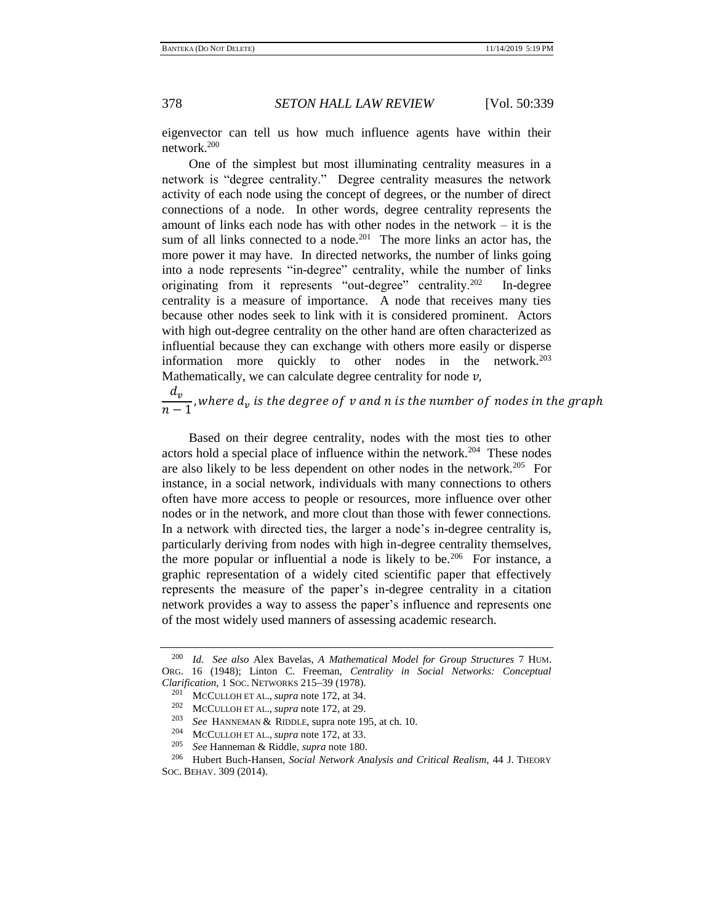<span id="page-39-0"></span>eigenvector can tell us how much influence agents have within their network.<sup>200</sup>

One of the simplest but most illuminating centrality measures in a network is "degree centrality." Degree centrality measures the network activity of each node using the concept of degrees, or the number of direct connections of a node. In other words, degree centrality represents the amount of links each node has with other nodes in the network  $-$  it is the sum of all links connected to a node.<sup>201</sup> The more links an actor has, the more power it may have.In directed networks, the number of links going into a node represents "in-degree" centrality, while the number of links originating from it represents "out-degree" centrality.<sup>202</sup> In-degree centrality is a measure of importance. A node that receives many ties because other nodes seek to link with it is considered prominent. Actors with high out-degree centrality on the other hand are often characterized as influential because they can exchange with others more easily or disperse information more quickly to other nodes in the network. $^{203}$ Mathematically, we can calculate degree centrality for node  $\nu$ ,

 $d_v$  $\frac{-v}{n-1}$ , where  $d_v$  is the degree of  $v$  and  $n$  is the number of nodes in the graph

Based on their degree centrality, nodes with the most ties to other actors hold a special place of influence within the network.<sup>204</sup> These nodes are also likely to be less dependent on other nodes in the network.<sup>205</sup> For instance, in a social network, individuals with many connections to others often have more access to people or resources, more influence over other nodes or in the network, and more clout than those with fewer connections. In a network with directed ties, the larger a node's in-degree centrality is, particularly deriving from nodes with high in-degree centrality themselves, the more popular or influential a node is likely to be.<sup>206</sup> For instance, a graphic representation of a widely cited scientific paper that effectively represents the measure of the paper's in-degree centrality in a citation network provides a way to assess the paper's influence and represents one of the most widely used manners of assessing academic research.

<sup>200</sup> *Id. See also* Alex Bavelas, *A Mathematical Model for Group Structures* 7 HUM. ORG. 16 (1948); Linton C. Freeman, *Centrality in Social Networks: Conceptual Clarification*, 1 SOC. NETWORKS 215−39 (1978).

<sup>&</sup>lt;sup>201</sup> MCCULLOH ET AL., *supra* note [172,](#page-29-0) at 34.

<sup>&</sup>lt;sup>202</sup> MCCULLOH ET AL., *supra* note [172,](#page-29-0) at 29.

<sup>&</sup>lt;sup>203</sup> *See* HANNEMAN & RIDDLE, supra not[e 195,](#page-38-0) at ch. 10.<br><sup>204</sup> MCCULLOUETAL, supra note 172, et <sup>22</sup>

<sup>&</sup>lt;sup>204</sup> MCCULLOH ET AL., *supra* note [172,](#page-29-0) at 33.<br><sup>205</sup> See Hannoman & Piddle, *supra* note 180.

<sup>205</sup> *See* Hanneman & Riddle, *supra* not[e 180.](#page-30-2)

<sup>206</sup> Hubert Buch-Hansen, *Social Network Analysis and Critical Realism,* 44 J. THEORY SOC. BEHAV. 309 (2014).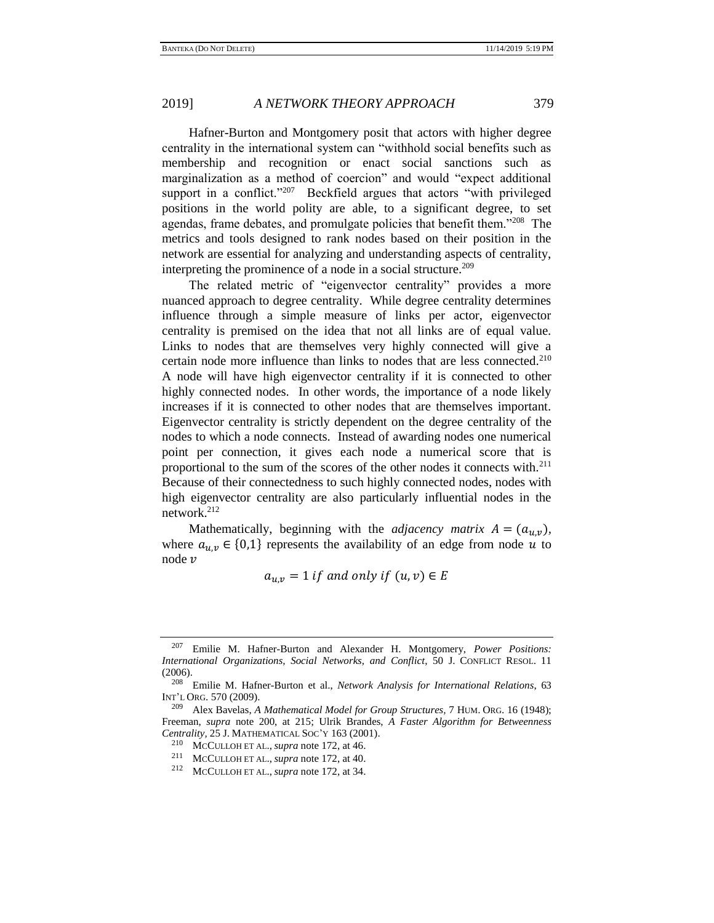Hafner-Burton and Montgomery posit that actors with higher degree centrality in the international system can "withhold social benefits such as membership and recognition or enact social sanctions such as marginalization as a method of coercion" and would "expect additional support in a conflict."<sup>207</sup> Beckfield argues that actors "with privileged positions in the world polity are able, to a significant degree, to set agendas, frame debates, and promulgate policies that benefit them."<sup>208</sup> The metrics and tools designed to rank nodes based on their position in the network are essential for analyzing and understanding aspects of centrality, interpreting the prominence of a node in a social structure.<sup>209</sup>

The related metric of "eigenvector centrality" provides a more nuanced approach to degree centrality. While degree centrality determines influence through a simple measure of links per actor, eigenvector centrality is premised on the idea that not all links are of equal value. Links to nodes that are themselves very highly connected will give a certain node more influence than links to nodes that are less connected.<sup>210</sup> A node will have high eigenvector centrality if it is connected to other highly connected nodes. In other words, the importance of a node likely increases if it is connected to other nodes that are themselves important. Eigenvector centrality is strictly dependent on the degree centrality of the nodes to which a node connects. Instead of awarding nodes one numerical point per connection, it gives each node a numerical score that is proportional to the sum of the scores of the other nodes it connects with.<sup>211</sup> Because of their connectedness to such highly connected nodes, nodes with high eigenvector centrality are also particularly influential nodes in the network.<sup>212</sup>

Mathematically, beginning with the *adjacency matrix*  $A = (a_{u,v})$ , where  $a_{u,v} \in \{0,1\}$  represents the availability of an edge from node u to node  $\nu$ 

 $a_{u,v} = 1$  if and only if  $(u, v) \in E$ 

<sup>207</sup> Emilie M. Hafner-Burton and Alexander H. Montgomery, *Power Positions: International Organizations, Social Networks, and Conflict*, 50 J. CONFLICT RESOL. 11 (2006).

<sup>208</sup> Emilie M. Hafner-Burton et al., *Network Analysis for International Relations*, 63 INT'L ORG. 570 (2009).

<sup>209</sup> Alex Bavelas, *A Mathematical Model for Group Structures,* 7 HUM. ORG. 16 (1948); Freeman, *supra* note [200,](#page-39-0) at 215; Ulrik Brandes, *A Faster Algorithm for Betweenness Centrality,* 25 J. MATHEMATICAL SOC'Y 163 (2001).

<sup>&</sup>lt;sup>210</sup> MCCULLOH ET AL., *supra* note [172,](#page-29-0) at 46.<br><sup>211</sup> MCCULOH ET AL., *supra* note 172, at 40.

<sup>&</sup>lt;sup>211</sup> MCCULLOH ET AL., *supra* note [172,](#page-29-0) at 40.<br><sup>212</sup> MCCULOH ET AL., *supra* note 172, at 34.

MCCULLOH ET AL., *supra* note [172,](#page-29-0) at 34.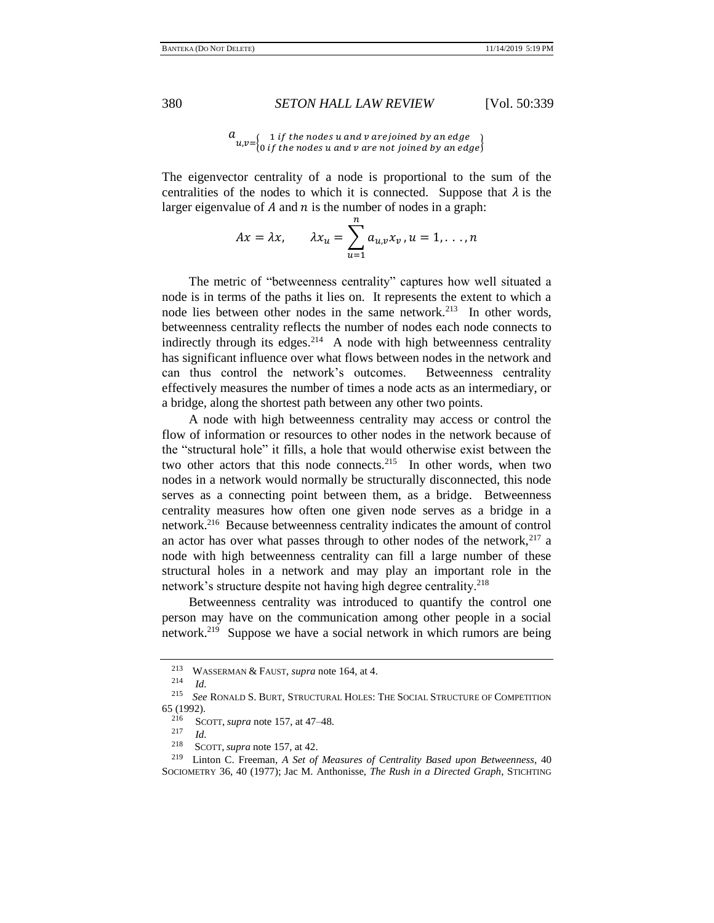# $a_{u,v=\begin{cases} 1 \text{ if the nodes } u \text{ and } v \text{ are joined by an edge } 0 \text{ if the nodes } u \text{ and } v \text{ are not joined by an edge } \end{cases}}$

The eigenvector centrality of a node is proportional to the sum of the centralities of the nodes to which it is connected. Suppose that  $\lambda$  is the larger eigenvalue of  $A$  and  $n$  is the number of nodes in a graph:

$$
Ax = \lambda x, \qquad \lambda x_u = \sum_{u=1}^n a_{u,v} x_v, u = 1, \dots, n
$$

The metric of "betweenness centrality" captures how well situated a node is in terms of the paths it lies on. It represents the extent to which a node lies between other nodes in the same network.<sup>213</sup> In other words, betweenness centrality reflects the number of nodes each node connects to indirectly through its edges.<sup>214</sup> A node with high betweenness centrality has significant influence over what flows between nodes in the network and can thus control the network's outcomes. Betweenness centrality effectively measures the number of times a node acts as an intermediary, or a bridge, along the shortest path between any other two points.

A node with high betweenness centrality may access or control the flow of information or resources to other nodes in the network because of the "structural hole" it fills, a hole that would otherwise exist between the two other actors that this node connects.<sup>215</sup> In other words, when two nodes in a network would normally be structurally disconnected, this node serves as a connecting point between them, as a bridge. Betweenness centrality measures how often one given node serves as a bridge in a network.<sup>216</sup> Because betweenness centrality indicates the amount of control an actor has over what passes through to other nodes of the network, $217$  a node with high betweenness centrality can fill a large number of these structural holes in a network and may play an important role in the network's structure despite not having high degree centrality.<sup>218</sup>

Betweenness centrality was introduced to quantify the control one person may have on the communication among other people in a social network.<sup>219</sup> Suppose we have a social network in which rumors are being

<sup>&</sup>lt;sup>213</sup> WASSERMAN & FAUST, *supra* not[e 164,](#page-28-0) at 4.

 $\frac{214}{215}$  *Id.* 

<sup>215</sup> *See* RONALD S. BURT, STRUCTURAL HOLES: THE SOCIAL STRUCTURE OF COMPETITION 65 (1992).

<sup>216</sup> SCOTT, *supra* not[e 157,](#page-27-1) at 47–48.

 $\frac{217}{218}$  *Id.* 

<sup>&</sup>lt;sup>218</sup> SCOTT, *supra* note [157,](#page-27-1) at 42.<br><sup>219</sup> Linton C. Freeman, A. Set of

<sup>219</sup> Linton C. Freeman, *A Set of Measures of Centrality Based upon Betweenness*, 40 SOCIOMETRY 36, 40 (1977); Jac M. Anthonisse, *The Rush in a Directed Graph*, STICHTING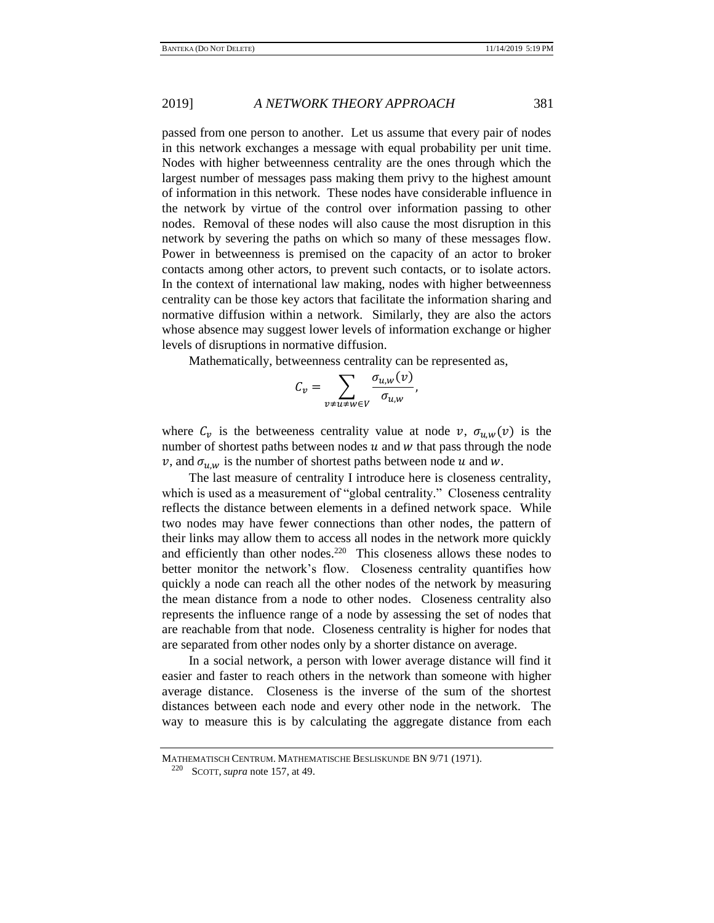passed from one person to another. Let us assume that every pair of nodes in this network exchanges a message with equal probability per unit time. Nodes with higher betweenness centrality are the ones through which the largest number of messages pass making them privy to the highest amount of information in this network. These nodes have considerable influence in the network by virtue of the control over information passing to other nodes. Removal of these nodes will also cause the most disruption in this network by severing the paths on which so many of these messages flow. Power in betweenness is premised on the capacity of an actor to broker contacts among other actors, to prevent such contacts, or to isolate actors. In the context of international law making, nodes with higher betweenness centrality can be those key actors that facilitate the information sharing and normative diffusion within a network. Similarly, they are also the actors whose absence may suggest lower levels of information exchange or higher levels of disruptions in normative diffusion.

Mathematically, betweenness centrality can be represented as,

$$
C_v = \sum_{v \neq u \neq w \in V} \frac{\sigma_{u,w}(v)}{\sigma_{u,w}},
$$

where  $C_v$  is the betweeness centrality value at node  $v$ ,  $\sigma_{u,w}(v)$  is the number of shortest paths between nodes  $u$  and  $w$  that pass through the node  $v$ , and  $\sigma_{u,w}$  is the number of shortest paths between node u and w.

The last measure of centrality I introduce here is closeness centrality, which is used as a measurement of "global centrality." Closeness centrality reflects the distance between elements in a defined network space. While two nodes may have fewer connections than other nodes, the pattern of their links may allow them to access all nodes in the network more quickly and efficiently than other nodes.<sup>220</sup> This closeness allows these nodes to better monitor the network's flow. Closeness centrality quantifies how quickly a node can reach all the other nodes of the network by measuring the mean distance from a node to other nodes. Closeness centrality also represents the influence range of a node by assessing the set of nodes that are reachable from that node. Closeness centrality is higher for nodes that are separated from other nodes only by a shorter distance on average.

In a social network, a person with lower average distance will find it easier and faster to reach others in the network than someone with higher average distance. Closeness is the inverse of the sum of the shortest distances between each node and every other node in the network. The way to measure this is by calculating the aggregate distance from each

MATHEMATISCH CENTRUM. MATHEMATISCHE BESLISKUNDE BN 9/71 (1971).

<sup>220</sup> SCOTT, *supra* not[e 157,](#page-27-1) at 49.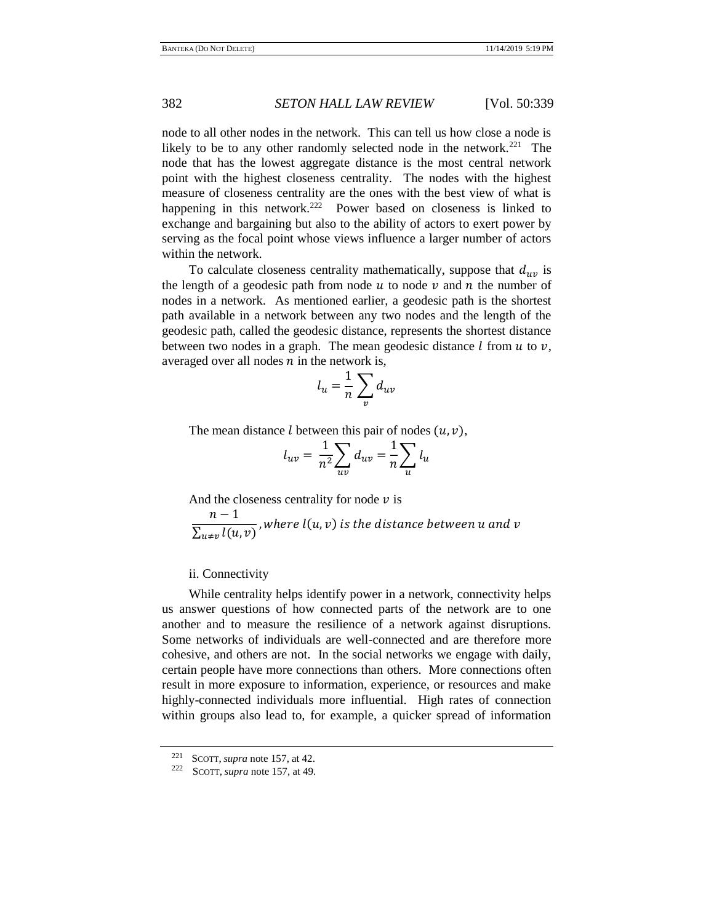node to all other nodes in the network. This can tell us how close a node is likely to be to any other randomly selected node in the network.<sup>221</sup> The node that has the lowest aggregate distance is the most central network point with the highest closeness centrality. The nodes with the highest measure of closeness centrality are the ones with the best view of what is happening in this network.<sup>222</sup> Power based on closeness is linked to exchange and bargaining but also to the ability of actors to exert power by serving as the focal point whose views influence a larger number of actors within the network.

To calculate closeness centrality mathematically, suppose that  $d_{uv}$  is the length of a geodesic path from node  $u$  to node  $v$  and  $n$  the number of nodes in a network.As mentioned earlier, a geodesic path is the shortest path available in a network between any two nodes and the length of the geodesic path, called the geodesic distance, represents the shortest distance between two nodes in a graph. The mean geodesic distance  $l$  from  $u$  to  $v$ , averaged over all nodes  $n$  in the network is,

$$
l_u = \frac{1}{n} \sum_v d_{uv}
$$

The mean distance *l* between this pair of nodes  $(u, v)$ ,

$$
l_{uv} = \frac{1}{n^2} \sum_{uv} d_{uv} = \frac{1}{n} \sum_{u} l_u
$$

And the closeness centrality for node  $\nu$  is

 $n-1$  $\frac{1}{\sum_{u \neq v} l(u, v)}$ , where  $l(u, v)$  is the distance between u and v

## ii. Connectivity

While centrality helps identify power in a network, connectivity helps us answer questions of how connected parts of the network are to one another and to measure the resilience of a network against disruptions. Some networks of individuals are well-connected and are therefore more cohesive, and others are not. In the social networks we engage with daily, certain people have more connections than others. More connections often result in more exposure to information, experience, or resources and make highly-connected individuals more influential. High rates of connection within groups also lead to, for example, a quicker spread of information

<sup>&</sup>lt;sup>221</sup> SCOTT, *supra* not[e 157,](#page-27-1) at 42.<br><sup>222</sup> SCOTT, *supra* pote 157, at 49.

SCOTT, *supra* note [157,](#page-27-1) at 49.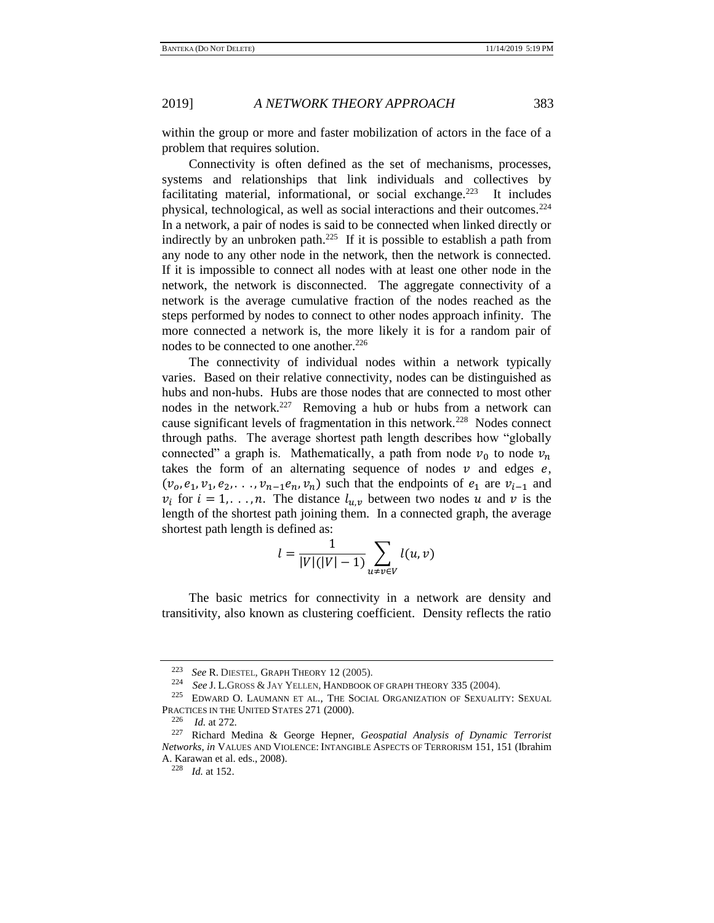within the group or more and faster mobilization of actors in the face of a problem that requires solution.

Connectivity is often defined as the set of mechanisms, processes, systems and relationships that link individuals and collectives by facilitating material, informational, or social exchange. $^{223}$  It includes physical, technological, as well as social interactions and their outcomes.<sup>224</sup> In a network, a pair of nodes is said to be connected when linked directly or indirectly by an unbroken path.<sup>225</sup> If it is possible to establish a path from any node to any other node in the network, then the network is connected. If it is impossible to connect all nodes with at least one other node in the network, the network is disconnected. The aggregate connectivity of a network is the average cumulative fraction of the nodes reached as the steps performed by nodes to connect to other nodes approach infinity. The more connected a network is, the more likely it is for a random pair of nodes to be connected to one another.<sup>226</sup>

The connectivity of individual nodes within a network typically varies. Based on their relative connectivity, nodes can be distinguished as hubs and non-hubs. Hubs are those nodes that are connected to most other nodes in the network.<sup>227</sup> Removing a hub or hubs from a network can cause significant levels of fragmentation in this network.<sup>228</sup> Nodes connect through paths. The average shortest path length describes how "globally connected" a graph is. Mathematically, a path from node  $v_0$  to node  $v_n$ takes the form of an alternating sequence of nodes  $\nu$  and edges  $e$ ,  $(v_0, e_1, v_1, e_2, \ldots, v_{n-1}e_n, v_n)$  such that the endpoints of  $e_1$  are  $v_{i-1}$  and  $v_i$  for  $i = 1, \ldots, n$ . The distance  $l_{u,v}$  between two nodes u and v is the length of the shortest path joining them. In a connected graph, the average shortest path length is defined as:

$$
l = \frac{1}{|V|(|V|-1)}\sum_{u\neq v\in V}l(u,v)
$$

The basic metrics for connectivity in a network are density and transitivity, also known as clustering coefficient. Density reflects the ratio

<sup>223</sup> *See* R. DIESTEL, GRAPH THEORY 12 (2005).

<sup>&</sup>lt;sup>224</sup> *See* J. L.GROSS & JAY YELLEN, HANDBOOK OF GRAPH THEORY 335 (2004).

EDWARD O. LAUMANN ET AL., THE SOCIAL ORGANIZATION OF SEXUALITY: SEXUAL PRACTICES IN THE UNITED STATES 271 (2000).<br>
<sup>226</sup> *Id.* at 272

*Id.* at 272.

<sup>227</sup> Richard Medina & George Hepner, *Geospatial Analysis of Dynamic Terrorist Networks*, *in* VALUES AND VIOLENCE: INTANGIBLE ASPECTS OF TERRORISM 151, 151 (Ibrahim A. Karawan et al. eds., 2008).

<sup>228</sup> *Id.* at 152.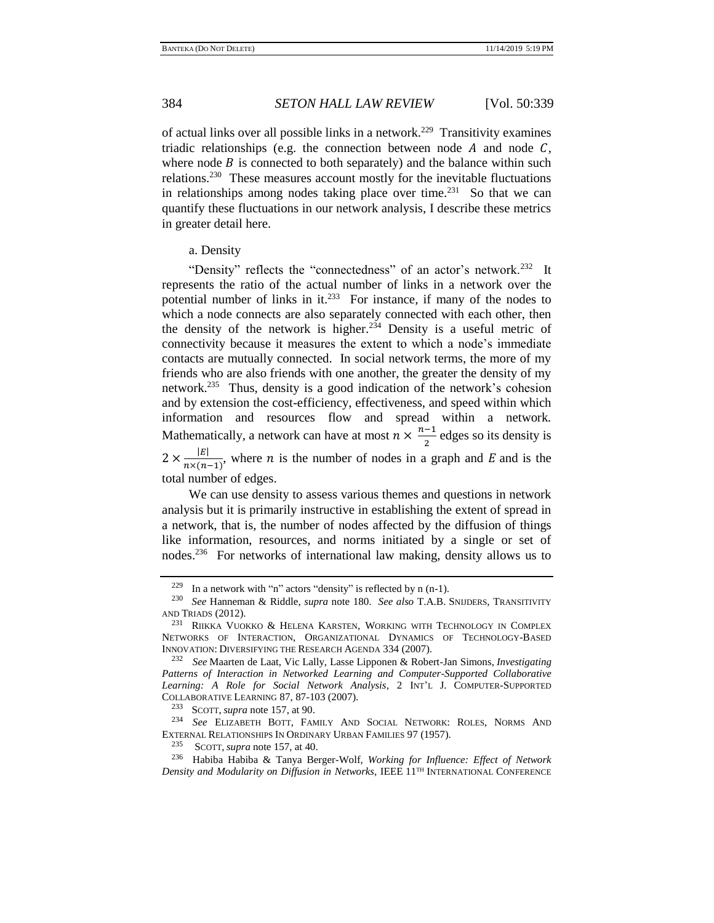of actual links over all possible links in a network.<sup>229</sup> Transitivity examines triadic relationships (e.g. the connection between node  $A$  and node  $C$ , where node  $\hat{B}$  is connected to both separately) and the balance within such relations.<sup>230</sup> These measures account mostly for the inevitable fluctuations in relationships among nodes taking place over time. $^{231}$  So that we can quantify these fluctuations in our network analysis, I describe these metrics in greater detail here.

## a. Density

"Density" reflects the "connectedness" of an actor's network.<sup>232</sup> It represents the ratio of the actual number of links in a network over the potential number of links in it.<sup>233</sup> For instance, if many of the nodes to which a node connects are also separately connected with each other, then the density of the network is higher.<sup>234</sup> Density is a useful metric of connectivity because it measures the extent to which a node's immediate contacts are mutually connected. In social network terms, the more of my friends who are also friends with one another, the greater the density of my network.<sup>235</sup> Thus, density is a good indication of the network's cohesion and by extension the cost-efficiency, effectiveness, and speed within which information and resources flow and spread within a network. Mathematically, a network can have at most  $n \times \frac{n-1}{2}$  $\frac{1}{2}$  edges so its density is  $2 \times \frac{|E|}{m\sqrt{n}}$  $\frac{|\mathcal{L}|}{n \times (n-1)}$ , where *n* is the number of nodes in a graph and *E* and is the total number of edges.

We can use density to assess various themes and questions in network analysis but it is primarily instructive in establishing the extent of spread in a network, that is, the number of nodes affected by the diffusion of things like information, resources, and norms initiated by a single or set of nodes.<sup>236</sup> For networks of international law making, density allows us to

SCOTT, *supra* not[e 157,](#page-27-1) at 90.

SCOTT, *supra* note [157,](#page-27-1) at 40.

<span id="page-45-0"></span><sup>&</sup>lt;sup>229</sup> In a network with "n" actors "density" is reflected by n  $(n-1)$ .

<sup>230</sup> *See* Hanneman & Riddle, *supra* note [180.](#page-30-2) *See also* T.A.B. SNIJDERS, TRANSITIVITY AND TRIADS (2012).

<sup>231</sup> RIIKKA VUOKKO & HELENA KARSTEN, WORKING WITH TECHNOLOGY IN COMPLEX NETWORKS OF INTERACTION, ORGANIZATIONAL DYNAMICS OF TECHNOLOGY-BASED INNOVATION: DIVERSIFYING THE RESEARCH AGENDA 334 (2007).

<sup>232</sup> *See* Maarten de Laat, Vic Lally, Lasse Lipponen & Robert-Jan Simons, *Investigating Patterns of Interaction in Networked Learning and Computer-Supported Collaborative Learning: A Role for Social Network Analysis*, 2 INT'L J. COMPUTER-SUPPORTED COLLABORATIVE LEARNING 87, 87-103 (2007).

<sup>234</sup> *See* ELIZABETH BOTT, FAMILY AND SOCIAL NETWORK: ROLES, NORMS AND EXTERNAL RELATIONSHIPS IN ORDINARY URBAN FAMILIES 97 (1957).

<sup>236</sup> Habiba Habiba & Tanya Berger-Wolf, *Working for Influence: Effect of Network Density and Modularity on Diffusion in Networks,* IEEE 11TH INTERNATIONAL CONFERENCE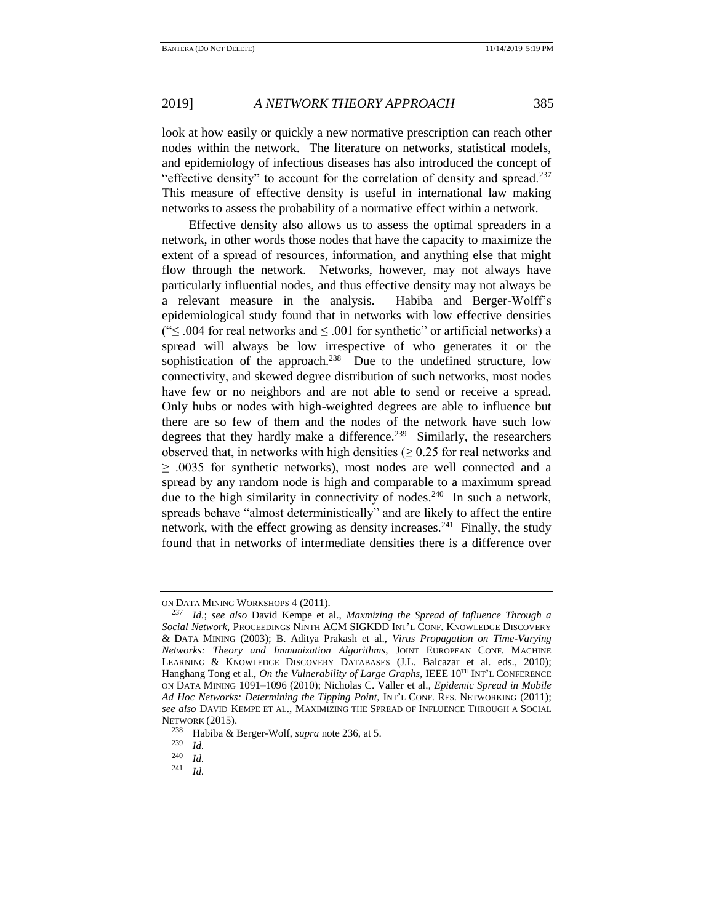look at how easily or quickly a new normative prescription can reach other nodes within the network. The literature on networks, statistical models, and epidemiology of infectious diseases has also introduced the concept of "effective density" to account for the correlation of density and spread.<sup>237</sup> This measure of effective density is useful in international law making networks to assess the probability of a normative effect within a network.

Effective density also allows us to assess the optimal spreaders in a network, in other words those nodes that have the capacity to maximize the extent of a spread of resources, information, and anything else that might flow through the network. Networks, however, may not always have particularly influential nodes, and thus effective density may not always be a relevant measure in the analysis. Habiba and Berger-Wolff's epidemiological study found that in networks with low effective densities (" $≤$  .004 for real networks and  $≤$  .001 for synthetic" or artificial networks) a spread will always be low irrespective of who generates it or the sophistication of the approach.<sup>238</sup> Due to the undefined structure, low connectivity, and skewed degree distribution of such networks, most nodes have few or no neighbors and are not able to send or receive a spread. Only hubs or nodes with high-weighted degrees are able to influence but there are so few of them and the nodes of the network have such low degrees that they hardly make a difference.<sup>239</sup> Similarly, the researchers observed that, in networks with high densities  $(≥ 0.25$  for real networks and  $\geq$  .0035 for synthetic networks), most nodes are well connected and a spread by any random node is high and comparable to a maximum spread due to the high similarity in connectivity of nodes.<sup>240</sup> In such a network, spreads behave "almost deterministically" and are likely to affect the entire network, with the effect growing as density increases.<sup>241</sup> Finally, the study found that in networks of intermediate densities there is a difference over

ON DATA MINING WORKSHOPS 4 (2011).

<sup>237</sup> *Id.*; *see also* David Kempe et al., *Maxmizing the Spread of Influence Through a Social Network*, PROCEEDINGS NINTH ACM SIGKDD INT'L CONF. KNOWLEDGE DISCOVERY & DATA MINING (2003); B. Aditya Prakash et al., *Virus Propagation on Time-Varying Networks: Theory and Immunization Algorithms*, JOINT EUROPEAN CONF. MACHINE LEARNING & KNOWLEDGE DISCOVERY DATABASES (J.L. Balcazar et al. eds., 2010); Hanghang Tong et al., *On the Vulnerability of Large Graphs*, IEEE 10<sup>TH</sup> INT'L CONFERENCE ON DATA MINING 1091–1096 (2010); Nicholas C. Valler et al., *Epidemic Spread in Mobile Ad Hoc Networks: Determining the Tipping Point*, INT'L CONF. RES. NETWORKING (2011); *see also* DAVID KEMPE ET AL., MAXIMIZING THE SPREAD OF INFLUENCE THROUGH A SOCIAL NETWORK (2015).

<sup>&</sup>lt;sup>238</sup> Habiba & Berger-Wolf, *supra* not[e 236,](#page-45-0) at 5.<br><sup>239</sup>  $H$ 

 $\frac{239}{240}$  *Id.* 

 $\frac{240}{241}$  *Id.* 

*Id.*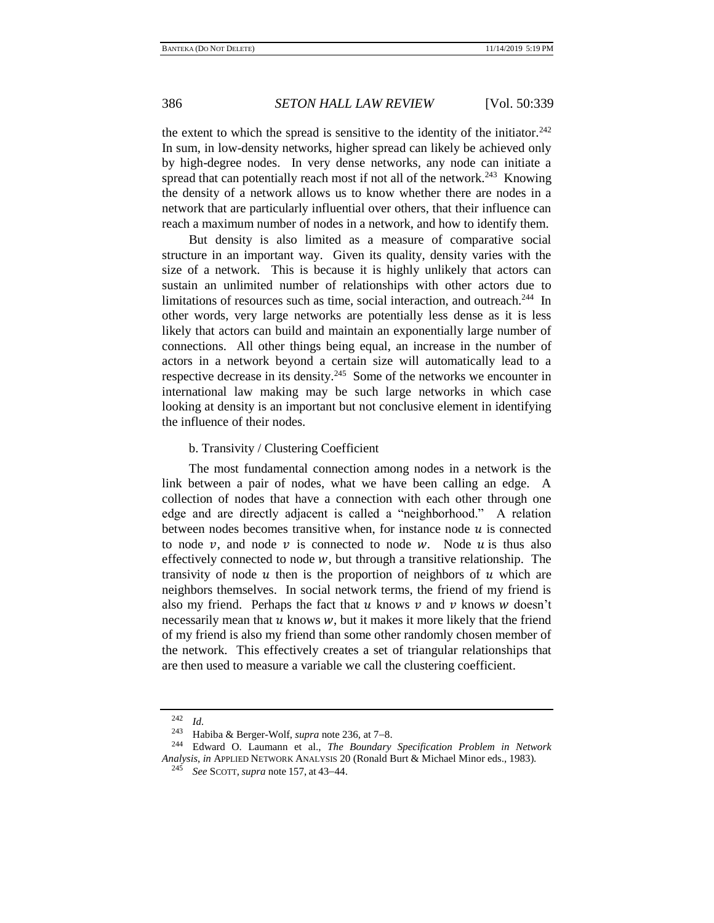the extent to which the spread is sensitive to the identity of the initiator. $242$ In sum, in low-density networks, higher spread can likely be achieved only by high-degree nodes. In very dense networks, any node can initiate a spread that can potentially reach most if not all of the network. $243$  Knowing the density of a network allows us to know whether there are nodes in a network that are particularly influential over others, that their influence can reach a maximum number of nodes in a network, and how to identify them.

But density is also limited as a measure of comparative social structure in an important way. Given its quality, density varies with the size of a network. This is because it is highly unlikely that actors can sustain an unlimited number of relationships with other actors due to limitations of resources such as time, social interaction, and outreach.<sup>244</sup> In other words, very large networks are potentially less dense as it is less likely that actors can build and maintain an exponentially large number of connections. All other things being equal, an increase in the number of actors in a network beyond a certain size will automatically lead to a respective decrease in its density.<sup>245</sup> Some of the networks we encounter in international law making may be such large networks in which case looking at density is an important but not conclusive element in identifying the influence of their nodes.

## b. Transivity / Clustering Coefficient

The most fundamental connection among nodes in a network is the link between a pair of nodes, what we have been calling an edge. A collection of nodes that have a connection with each other through one edge and are directly adjacent is called a "neighborhood." A relation between nodes becomes transitive when, for instance node  $u$  is connected to node  $v$ , and node  $v$  is connected to node  $w$ . Node  $u$  is thus also effectively connected to node  $w$ , but through a transitive relationship. The transivity of node  $u$  then is the proportion of neighbors of  $u$  which are neighbors themselves. In social network terms, the friend of my friend is also my friend. Perhaps the fact that  $u$  knows  $v$  and  $v$  knows  $w$  doesn't necessarily mean that  $u$  knows  $w$ , but it makes it more likely that the friend of my friend is also my friend than some other randomly chosen member of the network. This effectively creates a set of triangular relationships that are then used to measure a variable we call the clustering coefficient.

 $\frac{242}{243}$  *Id.* 

<sup>243</sup> Habiba & Berger-Wolf, *supra* not[e 236,](#page-45-0) at 7−8.

<sup>244</sup> Edward O. Laumann et al., *The Boundary Specification Problem in Network Analysis*, *in* APPLIED NETWORK ANALYSIS 20 (Ronald Burt & Michael Minor eds., 1983).

<sup>245</sup> *See* SCOTT, *supra* note [157,](#page-27-1) at 43−44.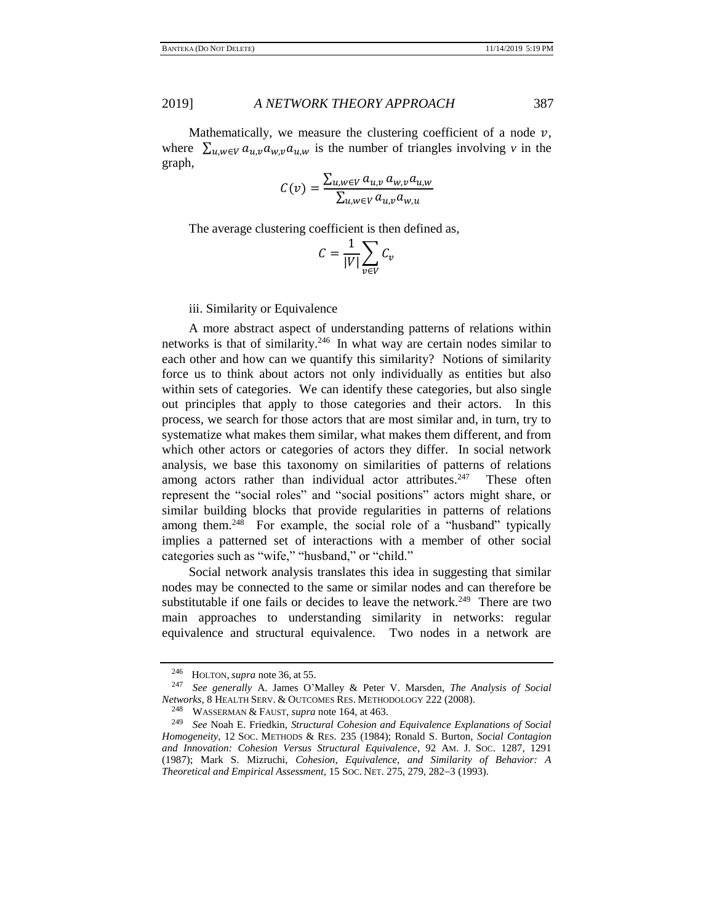Mathematically, we measure the clustering coefficient of a node  $v$ , where  $\sum_{u,w \in V} a_{u,v} a_{w,v} a_{u,w}$  is the number of triangles involving *v* in the graph,

$$
C(v) = \frac{\sum_{u,w \in V} a_{u,v} a_{w,v} a_{u,w}}{\sum_{u,w \in V} a_{u,v} a_{w,u}}
$$

The average clustering coefficient is then defined as,

$$
C = \frac{1}{|V|} \sum_{v \in V} C_v
$$

iii. Similarity or Equivalence

A more abstract aspect of understanding patterns of relations within networks is that of similarity.<sup>246</sup> In what way are certain nodes similar to each other and how can we quantify this similarity? Notions of similarity force us to think about actors not only individually as entities but also within sets of categories. We can identify these categories, but also single out principles that apply to those categories and their actors. In this process, we search for those actors that are most similar and, in turn, try to systematize what makes them similar, what makes them different, and from which other actors or categories of actors they differ. In social network analysis, we base this taxonomy on similarities of patterns of relations among actors rather than individual actor attributes. $247$  These often represent the "social roles" and "social positions" actors might share, or similar building blocks that provide regularities in patterns of relations among them.<sup>248</sup> For example, the social role of a "husband" typically implies a patterned set of interactions with a member of other social categories such as "wife," "husband," or "child."

Social network analysis translates this idea in suggesting that similar nodes may be connected to the same or similar nodes and can therefore be substitutable if one fails or decides to leave the network.<sup>249</sup> There are two main approaches to understanding similarity in networks: regular equivalence and structural equivalence. Two nodes in a network are

<sup>246</sup> HOLTON, *supra* note [36,](#page-8-0) at 55.

<sup>247</sup> *See generally* A. James O'Malley & Peter V. Marsden, *The Analysis of Social Networks,* 8 HEALTH SERV. & OUTCOMES RES. METHODOLOGY 222 (2008).

WASSERMAN & FAUST, *supra* not[e 164,](#page-28-0) at 463.

<sup>249</sup> *See* Noah E. Friedkin, *Structural Cohesion and Equivalence Explanations of Social Homogeneity,* 12 SOC. METHODS & RES. 235 (1984); Ronald S. Burton, *Social Contagion and Innovation: Cohesion Versus Structural Equivalence*, 92 AM. J. SOC. 1287, 1291 (1987); Mark S. Mizruchi, *Cohesion, Equivalence, and Similarity of Behavior: A Theoretical and Empirical Assessment,* 15 SOC. NET. 275, 279, 282−3 (1993).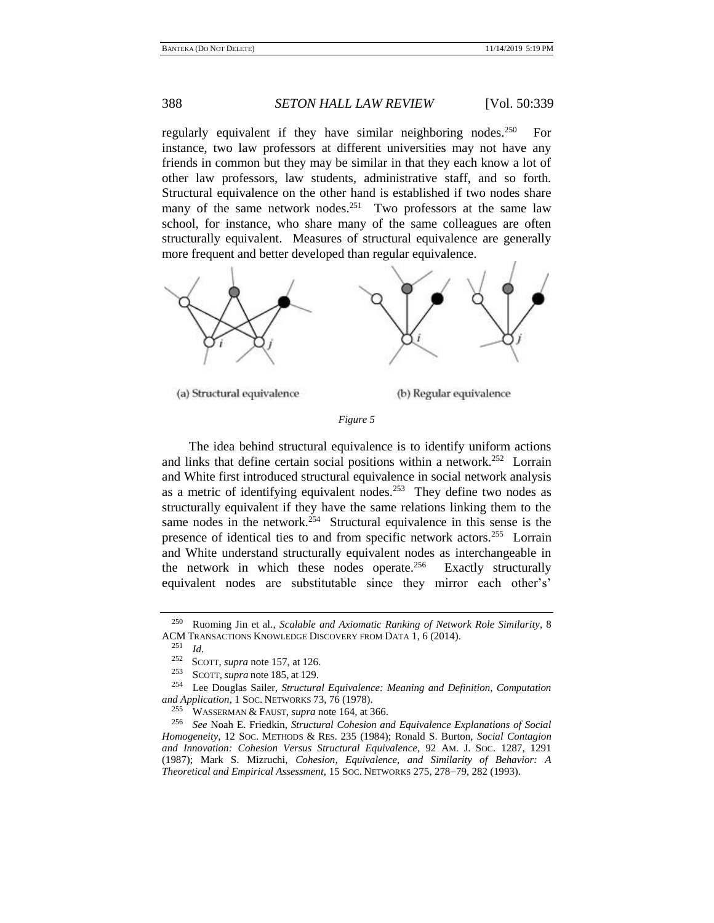regularly equivalent if they have similar neighboring nodes.<sup>250</sup> For instance, two law professors at different universities may not have any friends in common but they may be similar in that they each know a lot of other law professors, law students, administrative staff, and so forth. Structural equivalence on the other hand is established if two nodes share many of the same network nodes.<sup>251</sup> Two professors at the same law school, for instance, who share many of the same colleagues are often structurally equivalent. Measures of structural equivalence are generally more frequent and better developed than regular equivalence.



(a) Structural equivalence

(b) Regular equivalence

## *Figure 5*

The idea behind structural equivalence is to identify uniform actions and links that define certain social positions within a network.<sup>252</sup> Lorrain and White first introduced structural equivalence in social network analysis as a metric of identifying equivalent nodes.<sup>253</sup> They define two nodes as structurally equivalent if they have the same relations linking them to the same nodes in the network.<sup>254</sup> Structural equivalence in this sense is the presence of identical ties to and from specific network actors.<sup>255</sup> Lorrain and White understand structurally equivalent nodes as interchangeable in the network in which these nodes operate. $256$  Exactly structurally equivalent nodes are substitutable since they mirror each other's'

<sup>250</sup> Ruoming Jin et al., *Scalable and Axiomatic Ranking of Network Role Similarity*, 8 ACM TRANSACTIONS KNOWLEDGE DISCOVERY FROM DATA 1, 6 (2014).

 $\frac{251}{252}$  *Id.* 

<sup>&</sup>lt;sup>252</sup> SCOTT, *supra* note [157,](#page-27-1) at 126.

<sup>&</sup>lt;sup>253</sup> SCOTT, *supra* note [185,](#page-32-0) at 129.<br><sup>254</sup> Lee Douglas Sailer *Structura* 

Lee Douglas Sailer, *Structural Equivalence: Meaning and Definition, Computation and Application*, 1 Soc. NETWORKS 73, 76 (1978).<br><sup>255</sup> WASSEDMAN & FAUSE, suppose the 164 of 3

<sup>255</sup> WASSERMAN & FAUST, *supra* not[e 164,](#page-28-0) at 366.

<sup>256</sup> *See* Noah E. Friedkin, *Structural Cohesion and Equivalence Explanations of Social Homogeneity,* 12 SOC. METHODS & RES. 235 (1984); Ronald S. Burton, *Social Contagion and Innovation: Cohesion Versus Structural Equivalence*, 92 AM. J. SOC. 1287, 1291 (1987); Mark S. Mizruchi, *Cohesion, Equivalence, and Similarity of Behavior: A Theoretical and Empirical Assessment,* 15 SOC. NETWORKS 275, 278−79, 282 (1993).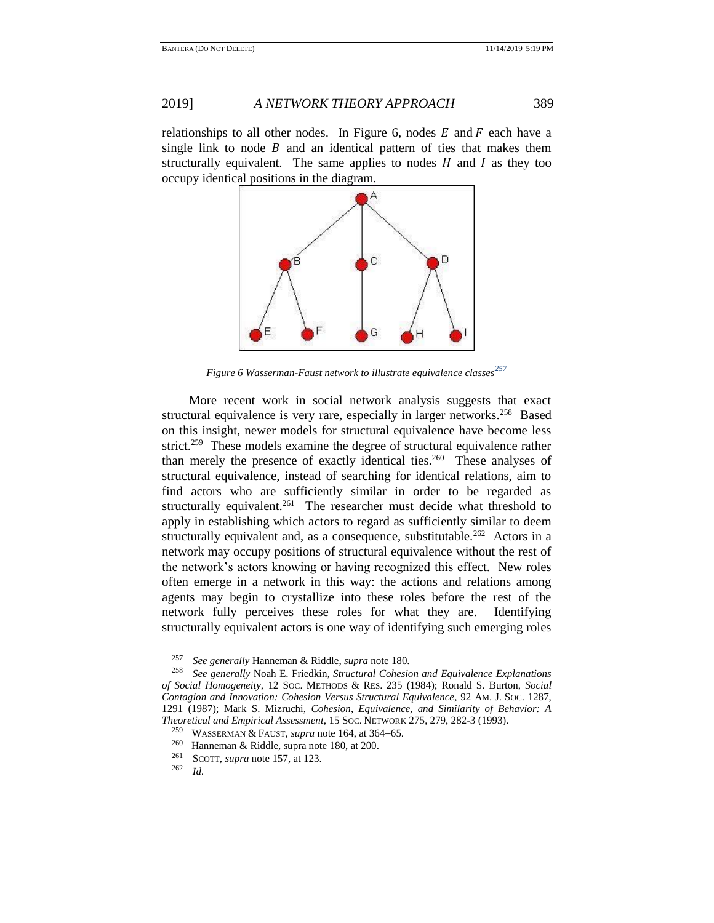relationships to all other nodes. In Figure 6, nodes  $E$  and  $F$  each have a single link to node  $B$  and an identical pattern of ties that makes them structurally equivalent. The same applies to nodes  $H$  and  $I$  as they too occupy identical positions in the diagram.



*Figure 6 Wasserman-Faust network to illustrate equivalence classes<sup>257</sup>*

More recent work in social network analysis suggests that exact structural equivalence is very rare, especially in larger networks.<sup>258</sup> Based on this insight, newer models for structural equivalence have become less strict.<sup>259</sup> These models examine the degree of structural equivalence rather than merely the presence of exactly identical ties.<sup>260</sup> These analyses of structural equivalence, instead of searching for identical relations, aim to find actors who are sufficiently similar in order to be regarded as structurally equivalent.<sup>261</sup> The researcher must decide what threshold to apply in establishing which actors to regard as sufficiently similar to deem structurally equivalent and, as a consequence, substitutable.<sup>262</sup> Actors in a network may occupy positions of structural equivalence without the rest of the network's actors knowing or having recognized this effect. New roles often emerge in a network in this way: the actions and relations among agents may begin to crystallize into these roles before the rest of the network fully perceives these roles for what they are. Identifying structurally equivalent actors is one way of identifying such emerging roles

<sup>257</sup> *See generally* Hanneman & Riddle, *supra* not[e 180.](#page-30-2)

<sup>258</sup> *See generally* Noah E. Friedkin, *Structural Cohesion and Equivalence Explanations of Social Homogeneity,* 12 SOC. METHODS & RES. 235 (1984); Ronald S. Burton, *Social Contagion and Innovation: Cohesion Versus Structural Equivalence*, 92 AM. J. SOC. 1287, 1291 (1987); Mark S. Mizruchi, *Cohesion, Equivalence, and Similarity of Behavior: A Theoretical and Empirical Assessment,* 15 SOC. NETWORK 275, 279, 282-3 (1993).

<sup>259</sup> WASSERMAN & FAUST, *supra* note [164,](#page-28-0) at 364−65.

<sup>&</sup>lt;sup>260</sup> Hanneman & Riddle, supra not[e 180,](#page-30-2) at 200.<br><sup>261</sup> SCOTT, supra note 157, at 123

<sup>&</sup>lt;sup>261</sup> SCOTT, *supra* not[e 157,](#page-27-1) at 123.<br><sup>262</sup> *Id* 

*Id.*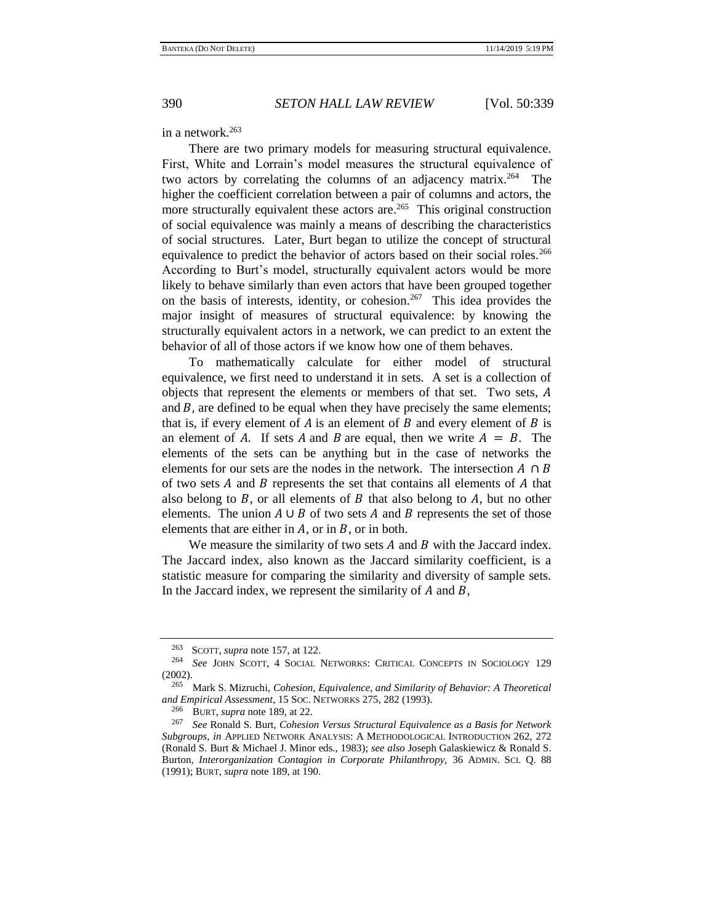## in a network.<sup>263</sup>

There are two primary models for measuring structural equivalence. First, White and Lorrain's model measures the structural equivalence of two actors by correlating the columns of an adjacency matrix.<sup>264</sup> The higher the coefficient correlation between a pair of columns and actors, the more structurally equivalent these actors are.<sup>265</sup> This original construction of social equivalence was mainly a means of describing the characteristics of social structures. Later, Burt began to utilize the concept of structural equivalence to predict the behavior of actors based on their social roles.<sup>266</sup> According to Burt's model, structurally equivalent actors would be more likely to behave similarly than even actors that have been grouped together on the basis of interests, identity, or cohesion.<sup>267</sup> This idea provides the major insight of measures of structural equivalence: by knowing the structurally equivalent actors in a network, we can predict to an extent the behavior of all of those actors if we know how one of them behaves.

To mathematically calculate for either model of structural equivalence, we first need to understand it in sets. A set is a collection of objects that represent the elements or members of that set. Two sets, and  $B$ , are defined to be equal when they have precisely the same elements; that is, if every element of  $A$  is an element of  $B$  and every element of  $B$  is an element of A. If sets A and B are equal, then we write  $A = B$ . The elements of the sets can be anything but in the case of networks the elements for our sets are the nodes in the network. The intersection  $A \cap B$ of two sets  $A$  and  $B$  represents the set that contains all elements of  $A$  that also belong to  $B$ , or all elements of  $B$  that also belong to  $A$ , but no other elements. The union  $A \cup B$  of two sets  $A$  and  $B$  represents the set of those elements that are either in  $A$ , or in  $B$ , or in both.

We measure the similarity of two sets  $A$  and  $B$  with the Jaccard index. The Jaccard index, also known as the Jaccard similarity coefficient, is a statistic measure for comparing the similarity and diversity of sample sets. In the Jaccard index, we represent the similarity of  $A$  and  $B$ ,

 $\frac{263}{264}$  SCOTT, *supra* note [157,](#page-27-1) at 122.

<sup>264</sup> *See* JOHN SCOTT, 4 SOCIAL NETWORKS: CRITICAL CONCEPTS IN SOCIOLOGY 129 (2002).

<sup>265</sup> Mark S. Mizruchi, *Cohesion, Equivalence, and Similarity of Behavior: A Theoretical and Empirical Assessment*, 15 SOC. NETWORKS 275, 282 (1993).

<sup>&</sup>lt;sup>266</sup> BURT, *supra* not[e 189,](#page-37-0) at 22.<br><sup>267</sup> See Ronald S. Burt, Cohesia

<sup>267</sup> *See* Ronald S. Burt, *Cohesion Versus Structural Equivalence as a Basis for Network Subgroups*, *in* APPLIED NETWORK ANALYSIS: A METHODOLOGICAL INTRODUCTION 262, 272 (Ronald S. Burt & Michael J. Minor eds., 1983); *see also* Joseph Galaskiewicz & Ronald S. Burton, *Interorganization Contagion in Corporate Philanthropy,* 36 ADMIN. SCI. Q. 88 (1991); BURT, *supra* not[e 189,](#page-37-0) at 190.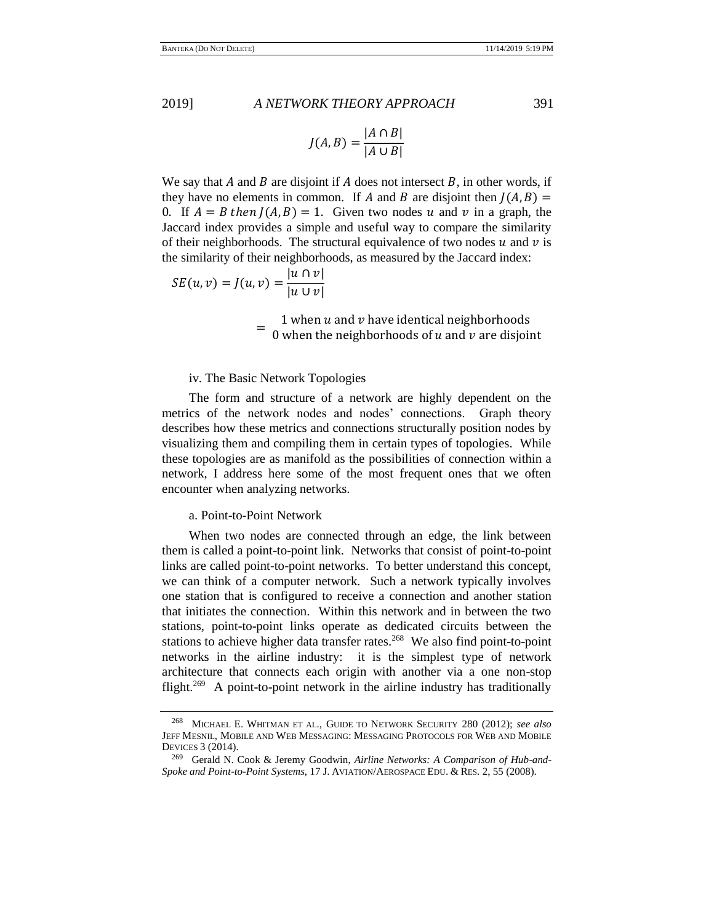$$
J(A, B) = \frac{|A \cap B|}{|A \cup B|}
$$

We say that A and B are disjoint if A does not intersect B, in other words, if they have no elements in common. If A and B are disjoint then  $J(A, B) =$ 0. If  $A = B$  then  $J(A, B) = 1$ . Given two nodes u and v in a graph, the Jaccard index provides a simple and useful way to compare the similarity of their neighborhoods. The structural equivalence of two nodes  $u$  and  $v$  is the similarity of their neighborhoods, as measured by the Jaccard index:

$$
SE(u, v) = J(u, v) = \frac{|u \cap v|}{|u \cup v|}
$$

 $=$  0 when the neighborhoods of  $u$  and  $v$  are disjoint 1 when  $u$  and  $v$  have identical neighborhoods

## iv. The Basic Network Topologies

The form and structure of a network are highly dependent on the metrics of the network nodes and nodes' connections. Graph theory describes how these metrics and connections structurally position nodes by visualizing them and compiling them in certain types of topologies. While these topologies are as manifold as the possibilities of connection within a network, I address here some of the most frequent ones that we often encounter when analyzing networks.

## a. Point-to-Point Network

When two nodes are connected through an edge, the link between them is called a point-to-point link. Networks that consist of point-to-point links are called point-to-point networks. To better understand this concept, we can think of a computer network. Such a network typically involves one station that is configured to receive a connection and another station that initiates the connection. Within this network and in between the two stations, point-to-point links operate as dedicated circuits between the stations to achieve higher data transfer rates. $268$  We also find point-to-point networks in the airline industry: it is the simplest type of network architecture that connects each origin with another via a one non-stop flight.<sup>269</sup> A point-to-point network in the airline industry has traditionally

<sup>268</sup> MICHAEL E. WHITMAN ET AL., GUIDE TO NETWORK SECURITY 280 (2012); *see also* JEFF MESNIL, MOBILE AND WEB MESSAGING: MESSAGING PROTOCOLS FOR WEB AND MOBILE DEVICES 3 (2014).

<sup>269</sup> Gerald N. Cook & Jeremy Goodwin, *Airline Networks: A Comparison of Hub-and-Spoke and Point-to-Point Systems*, 17 J. AVIATION/AEROSPACE EDU. & RES. 2, 55 (2008).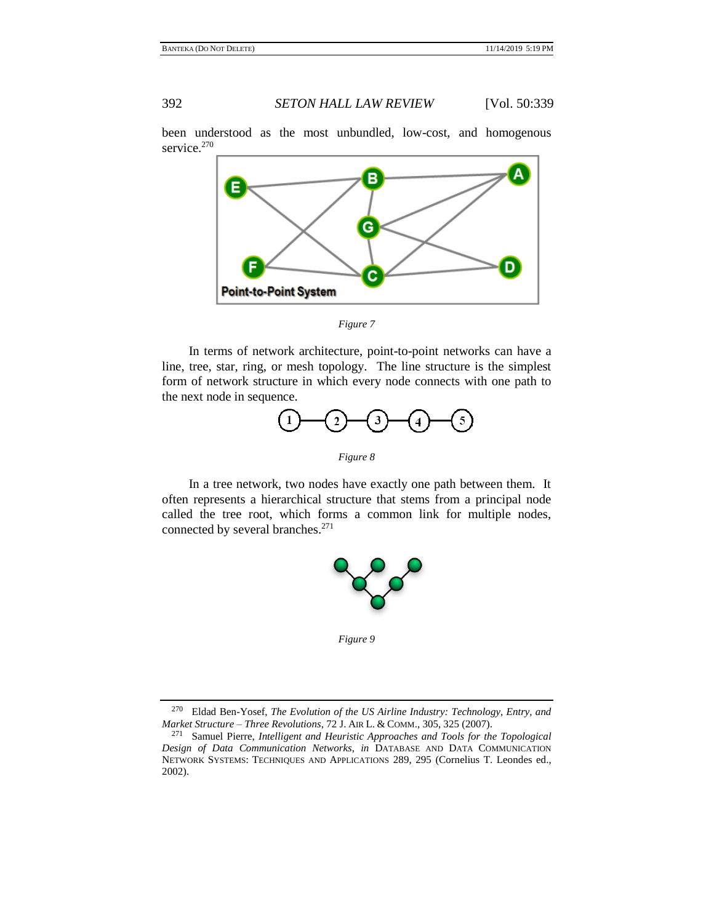been understood as the most unbundled, low-cost, and homogenous service.<sup>270</sup>

<span id="page-53-0"></span>

*Figure 7*

In terms of network architecture, point-to-point networks can have a line, tree, star, ring, or mesh topology. The line structure is the simplest form of network structure in which every node connects with one path to the next node in sequence.



*Figure 8*

In a tree network, two nodes have exactly one path between them. It often represents a hierarchical structure that stems from a principal node called the tree root, which forms a common link for multiple nodes, connected by several branches.<sup>271</sup>



*Figure 9*

<sup>270</sup> Eldad Ben-Yosef, *The Evolution of the US Airline Industry: Technology, Entry, and Market Structure – Three Revolutions*, 72 J. AIR L. & COMM., 305, 325 (2007).

<sup>271</sup> Samuel Pierre, *Intelligent and Heuristic Approaches and Tools for the Topological Design of Data Communication Networks*, *in* DATABASE AND DATA COMMUNICATION NETWORK SYSTEMS: TECHNIQUES AND APPLICATIONS 289, 295 (Cornelius T. Leondes ed., 2002).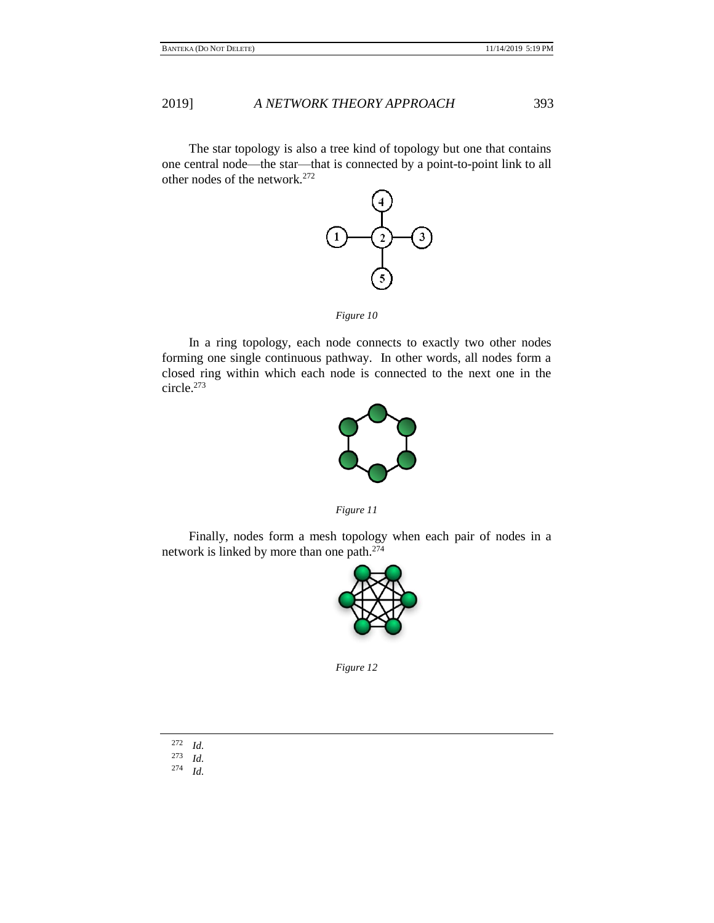The star topology is also a tree kind of topology but one that contains one central node—the star—that is connected by a point-to-point link to all other nodes of the network.<sup>272</sup>



*Figure 10*

In a ring topology, each node connects to exactly two other nodes forming one single continuous pathway. In other words, all nodes form a closed ring within which each node is connected to the next one in the circle.<sup>273</sup>



*Figure 11*

Finally, nodes form a mesh topology when each pair of nodes in a network is linked by more than one path.<sup>274</sup>



*Figure 12*

- $\frac{272}{273}$  *Id.*  $rac{273}{274}$  *Id.*
- <sup>274</sup> *Id.*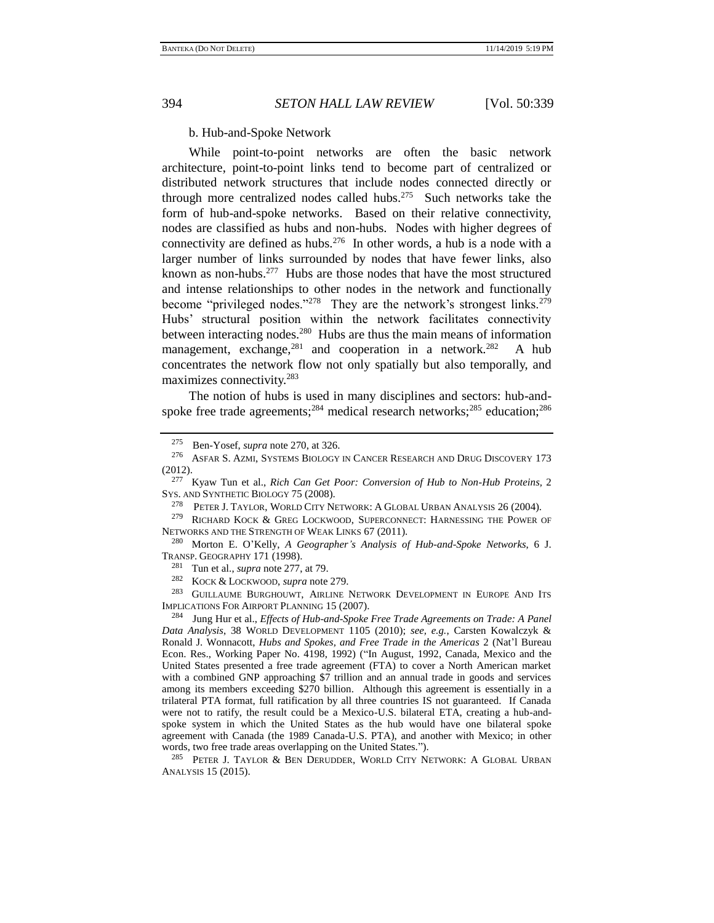<span id="page-55-1"></span>

## b. Hub-and-Spoke Network

<span id="page-55-0"></span>While point-to-point networks are often the basic network architecture, point-to-point links tend to become part of centralized or distributed network structures that include nodes connected directly or through more centralized nodes called hubs.<sup>275</sup> Such networks take the form of hub-and-spoke networks. Based on their relative connectivity, nodes are classified as hubs and non-hubs. Nodes with higher degrees of connectivity are defined as hubs.<sup>276</sup> In other words, a hub is a node with a larger number of links surrounded by nodes that have fewer links, also known as non-hubs.<sup>277</sup> Hubs are those nodes that have the most structured and intense relationships to other nodes in the network and functionally become "privileged nodes."<sup>278</sup> They are the network's strongest links.<sup>279</sup> Hubs' structural position within the network facilitates connectivity between interacting nodes.<sup>280</sup> Hubs are thus the main means of information management, exchange, $281$  and cooperation in a network. $282$  A hub concentrates the network flow not only spatially but also temporally, and maximizes connectivity.<sup>283</sup>

<span id="page-55-4"></span><span id="page-55-3"></span>The notion of hubs is used in many disciplines and sectors: hub-andspoke free trade agreements; $284$  medical research networks; $285$  education; $286$ 

<sup>277</sup> Kyaw Tun et al., *Rich Can Get Poor: Conversion of Hub to Non-Hub Proteins,* 2 SYS. AND SYNTHETIC BIOLOGY 75 (2008).

<sup>278</sup> PETER J. TAYLOR, WORLD CITY NETWORK: A GLOBAL URBAN ANALYSIS 26 (2004).<br><sup>279</sup> Richard Kock & Greg Lockwood, Superconnect: Harnessing the Power

RICHARD KOCK & GREG LOCKWOOD, SUPERCONNECT: HARNESSING THE POWER OF NETWORKS AND THE STRENGTH OF WEAK LINKS 67 (2011).

<sup>280</sup> Morton E. O'Kelly, *A Geographer's Analysis of Hub-and-Spoke Networks*, 6 J. TRANSP. GEOGRAPHY 171 (1998).

<sup>281</sup> Tun et al., *supra* not[e 277,](#page-55-0) at 79.

<sup>282</sup> KOCK & LOCKWOOD, *supra* not[e 279.](#page-55-1)

GUILLAUME BURGHOUWT, AIRLINE NETWORK DEVELOPMENT IN EUROPE AND ITS IMPLICATIONS FOR AIRPORT PLANNING 15 (2007).

<sup>284</sup> Jung Hur et al., *Effects of Hub-and-Spoke Free Trade Agreements on Trade: A Panel Data Analysis*, 38 WORLD DEVELOPMENT 1105 (2010); *see, e.g.*, Carsten Kowalczyk & Ronald J. Wonnacott, *Hubs and Spokes, and Free Trade in the Americas* 2 (Nat'l Bureau Econ. Res., Working Paper No. 4198, 1992) ("In August, 1992, Canada, Mexico and the United States presented a free trade agreement (FTA) to cover a North American market with a combined GNP approaching \$7 trillion and an annual trade in goods and services among its members exceeding \$270 billion. Although this agreement is essentially in a trilateral PTA format, full ratification by all three countries IS not guaranteed. If Canada were not to ratify, the result could be a Mexico-U.S. bilateral ETA, creating a hub-andspoke system in which the United States as the hub would have one bilateral spoke agreement with Canada (the 1989 Canada-U.S. PTA), and another with Mexico; in other words, two free trade areas overlapping on the United States.").

<sup>285</sup> PETER J. TAYLOR & BEN DERUDDER, WORLD CITY NETWORK: A GLOBAL URBAN ANALYSIS 15 (2015).

<span id="page-55-2"></span><sup>&</sup>lt;sup>275</sup> Ben-Yosef, *supra* not[e 270,](#page-53-0) at 326.<br><sup>276</sup> ASEAR S. AZMI SYSTEMS BIOLOGY

ASFAR S. AZMI, SYSTEMS BIOLOGY IN CANCER RESEARCH AND DRUG DISCOVERY 173 (2012).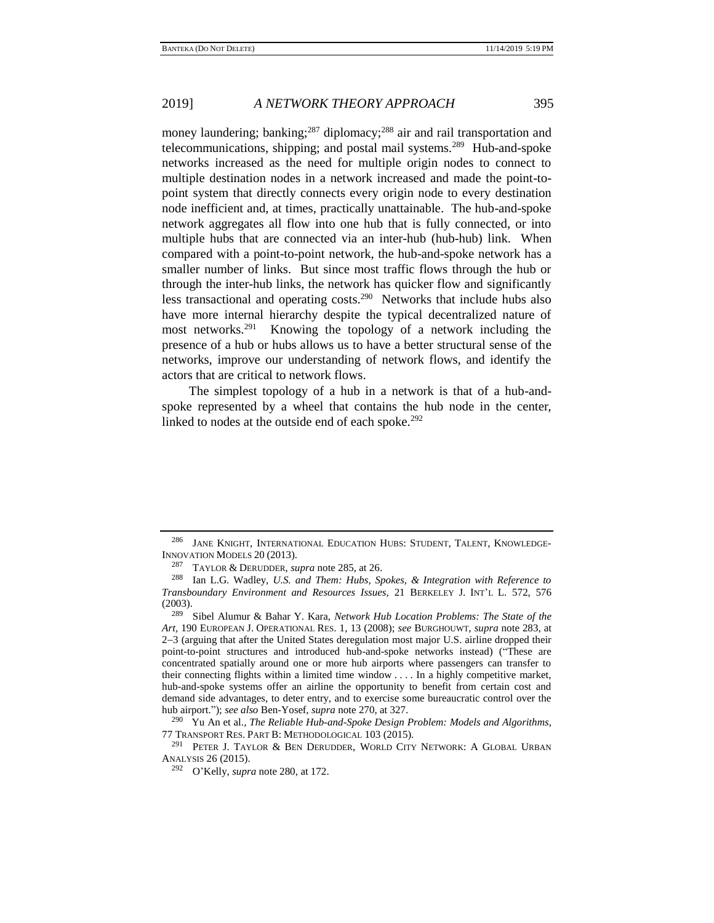money laundering; banking;<sup>287</sup> diplomacy;<sup>288</sup> air and rail transportation and telecommunications, shipping; and postal mail systems.<sup>289</sup> Hub-and-spoke networks increased as the need for multiple origin nodes to connect to multiple destination nodes in a network increased and made the point-topoint system that directly connects every origin node to every destination node inefficient and, at times, practically unattainable. The hub-and-spoke network aggregates all flow into one hub that is fully connected, or into multiple hubs that are connected via an inter-hub (hub-hub) link. When compared with a point-to-point network, the hub-and-spoke network has a smaller number of links. But since most traffic flows through the hub or through the inter-hub links, the network has quicker flow and significantly less transactional and operating costs.<sup>290</sup> Networks that include hubs also have more internal hierarchy despite the typical decentralized nature of most networks.<sup>291</sup> Knowing the topology of a network including the presence of a hub or hubs allows us to have a better structural sense of the networks, improve our understanding of network flows, and identify the actors that are critical to network flows.

The simplest topology of a hub in a network is that of a hub-andspoke represented by a wheel that contains the hub node in the center, linked to nodes at the outside end of each spoke. $292$ 

<sup>286</sup> JANE KNIGHT, INTERNATIONAL EDUCATION HUBS: STUDENT, TALENT, KNOWLEDGE-INNOVATION MODELS 20 (2013).

<sup>287</sup> TAYLOR & DERUDDER, *supra* note [285,](#page-55-2) at 26.<br><sup>288</sup> Ian J. G. Wadley, *U.S. and Them: Hubs. Sr* 

Ian L.G. Wadley, *U.S. and Them: Hubs, Spokes, & Integration with Reference to Transboundary Environment and Resources Issues,* 21 BERKELEY J. INT'L L. 572, 576 (2003).

<sup>289</sup> Sibel Alumur & Bahar Y. Kara, *Network Hub Location Problems: The State of the Art,* 190 EUROPEAN J. OPERATIONAL RES. 1, 13 (2008); *see* BURGHOUWT, *supra* note [283,](#page-55-3) at 2−3 (arguing that after the United States deregulation most major U.S. airline dropped their point-to-point structures and introduced hub-and-spoke networks instead) ("These are concentrated spatially around one or more hub airports where passengers can transfer to their connecting flights within a limited time window . . . . In a highly competitive market, hub-and-spoke systems offer an airline the opportunity to benefit from certain cost and demand side advantages, to deter entry, and to exercise some bureaucratic control over the hub airport."); *see also* Ben-Yosef, *supra* not[e 270,](#page-53-0) at 327.

<sup>290</sup> Yu An et al., *The Reliable Hub-and-Spoke Design Problem: Models and Algorithms*, 77 TRANSPORT RES. PART B: METHODOLOGICAL 103 (2015).

<sup>&</sup>lt;sup>291</sup> PETER J. TAYLOR & BEN DERUDDER, WORLD CITY NETWORK: A GLOBAL URBAN ANALYSIS 26 (2015).

<sup>292</sup> O'Kelly, *supra* not[e 280,](#page-55-4) at 172.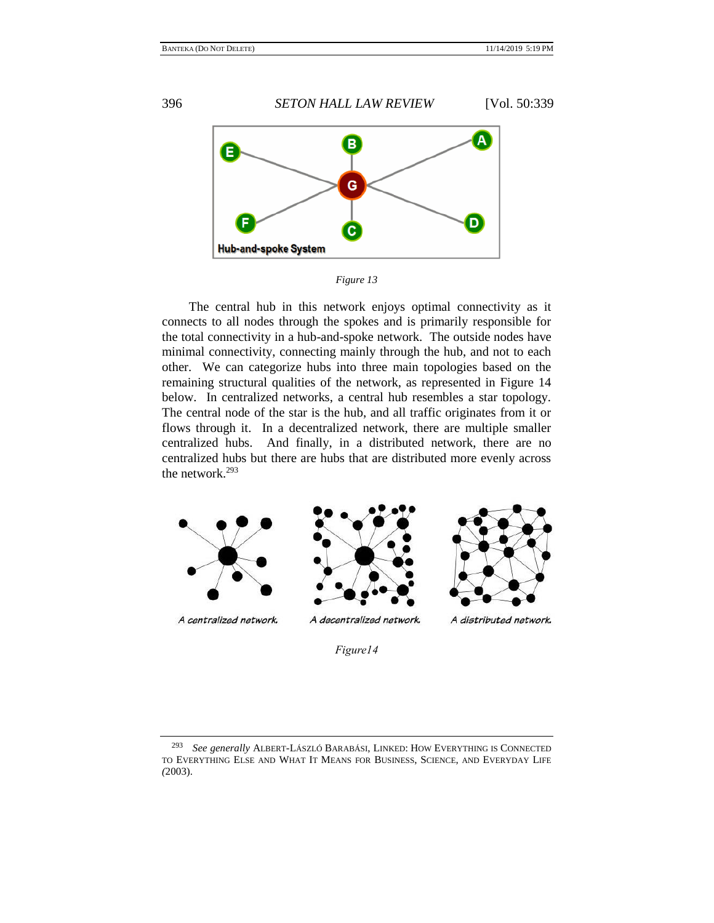

*Figure 13*

The central hub in this network enjoys optimal connectivity as it connects to all nodes through the spokes and is primarily responsible for the total connectivity in a hub-and-spoke network. The outside nodes have minimal connectivity, connecting mainly through the hub, and not to each other. We can categorize hubs into three main topologies based on the remaining structural qualities of the network, as represented in Figure 14 below. In centralized networks, a central hub resembles a star topology. The central node of the star is the hub, and all traffic originates from it or flows through it. In a decentralized network, there are multiple smaller centralized hubs. And finally, in a distributed network, there are no centralized hubs but there are hubs that are distributed more evenly across the network.<sup>293</sup>



*Figure14*

<sup>293</sup> *See generally* ALBERT-LÁSZLÓ BARABÁSI, LINKED: HOW EVERYTHING IS CONNECTED TO EVERYTHING ELSE AND WHAT IT MEANS FOR BUSINESS, SCIENCE, AND EVERYDAY LIFE *(*2003).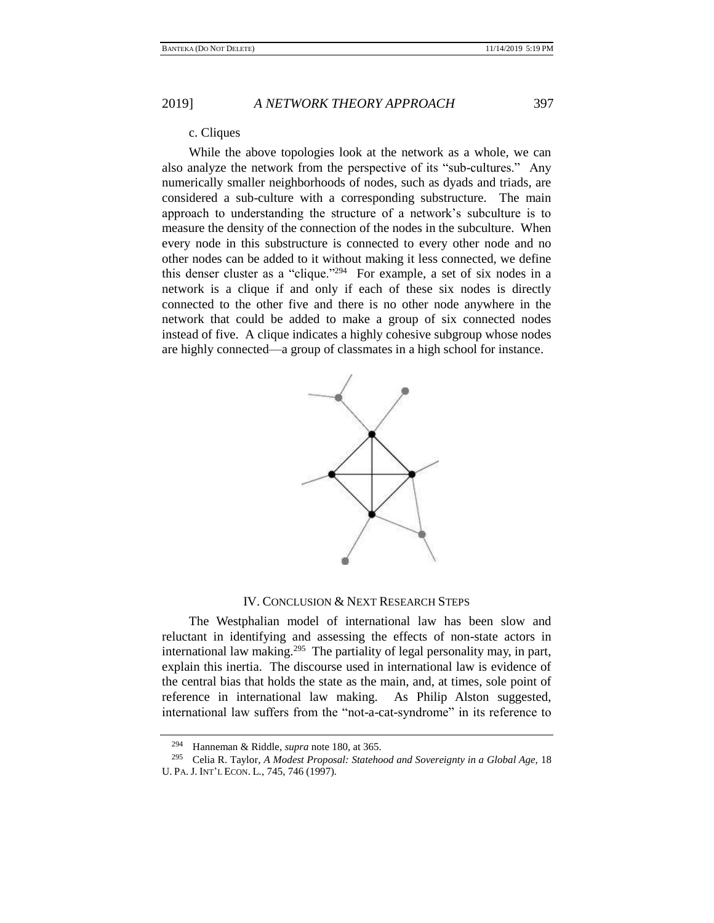c. Cliques

While the above topologies look at the network as a whole, we can also analyze the network from the perspective of its "sub-cultures." Any numerically smaller neighborhoods of nodes, such as dyads and triads, are considered a sub-culture with a corresponding substructure. The main approach to understanding the structure of a network's subculture is to measure the density of the connection of the nodes in the subculture. When every node in this substructure is connected to every other node and no other nodes can be added to it without making it less connected, we define this denser cluster as a "clique."<sup>294</sup> For example, a set of six nodes in a network is a clique if and only if each of these six nodes is directly connected to the other five and there is no other node anywhere in the network that could be added to make a group of six connected nodes instead of five. A clique indicates a highly cohesive subgroup whose nodes are highly connected—a group of classmates in a high school for instance.



## IV. CONCLUSION & NEXT RESEARCH STEPS

The Westphalian model of international law has been slow and reluctant in identifying and assessing the effects of non-state actors in international law making.<sup>295</sup> The partiality of legal personality may, in part, explain this inertia. The discourse used in international law is evidence of the central bias that holds the state as the main, and, at times, sole point of reference in international law making. As Philip Alston suggested, international law suffers from the "not-a-cat-syndrome" in its reference to

<sup>294</sup> Hanneman & Riddle, *supra* not[e 180,](#page-30-2) at 365.

<sup>295</sup> Celia R. Taylor, *A Modest Proposal: Statehood and Sovereignty in a Global Age,* 18 U. PA. J. INT'L ECON. L*.*, 745, 746 (1997).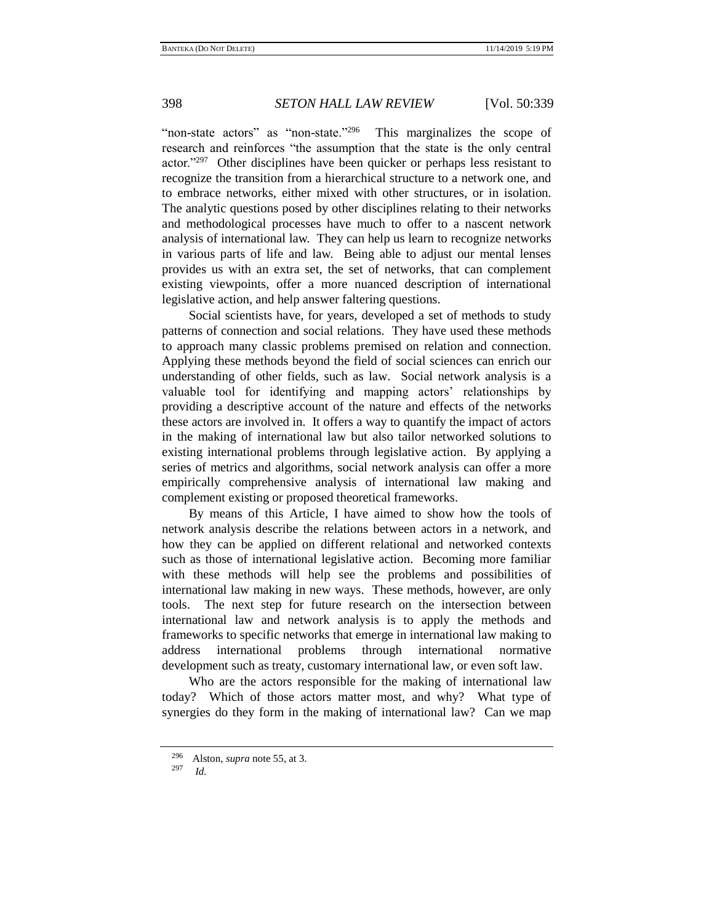"non-state actors" as "non-state."<sup>296</sup> This marginalizes the scope of research and reinforces "the assumption that the state is the only central actor."<sup>297</sup> Other disciplines have been quicker or perhaps less resistant to recognize the transition from a hierarchical structure to a network one, and to embrace networks, either mixed with other structures, or in isolation. The analytic questions posed by other disciplines relating to their networks and methodological processes have much to offer to a nascent network analysis of international law. They can help us learn to recognize networks in various parts of life and law. Being able to adjust our mental lenses provides us with an extra set, the set of networks, that can complement existing viewpoints, offer a more nuanced description of international legislative action, and help answer faltering questions.

Social scientists have, for years, developed a set of methods to study patterns of connection and social relations. They have used these methods to approach many classic problems premised on relation and connection. Applying these methods beyond the field of social sciences can enrich our understanding of other fields, such as law. Social network analysis is a valuable tool for identifying and mapping actors' relationships by providing a descriptive account of the nature and effects of the networks these actors are involved in. It offers a way to quantify the impact of actors in the making of international law but also tailor networked solutions to existing international problems through legislative action. By applying a series of metrics and algorithms, social network analysis can offer a more empirically comprehensive analysis of international law making and complement existing or proposed theoretical frameworks.

By means of this Article, I have aimed to show how the tools of network analysis describe the relations between actors in a network, and how they can be applied on different relational and networked contexts such as those of international legislative action. Becoming more familiar with these methods will help see the problems and possibilities of international law making in new ways. These methods, however, are only tools. The next step for future research on the intersection between international law and network analysis is to apply the methods and frameworks to specific networks that emerge in international law making to address international problems through international normative development such as treaty, customary international law, or even soft law.

Who are the actors responsible for the making of international law today? Which of those actors matter most, and why? What type of synergies do they form in the making of international law? Can we map

<sup>&</sup>lt;sup>296</sup> Alston, *supra* not[e 55,](#page-11-1) at 3.<br><sup>297</sup> Id

*Id.*